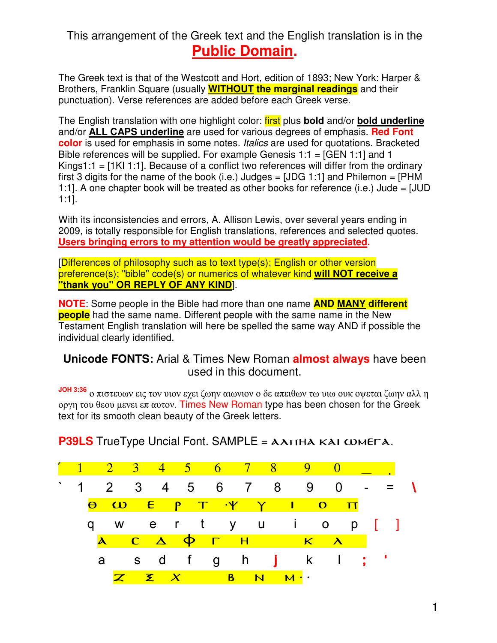#### This arrangement of the Greek text and the English translation is in the **Public Domain.**

The Greek text is that of the Westcott and Hort, edition of 1893; New York: Harper & Brothers, Franklin Square (usually **WITHOUT the marginal readings** and their punctuation). Verse references are added before each Greek verse.

The English translation with one highlight color: first plus **bold** and/or **bold underline** and/or **ALL CAPS underline** are used for various degrees of emphasis. **Red Font color** is used for emphasis in some notes. Italics are used for quotations. Bracketed Bible references will be supplied. For example Genesis 1:1 = [GEN 1:1] and 1 Kings1:1  $=$  [1KI 1:1]. Because of a conflict two references will differ from the ordinary first 3 digits for the name of the book (i.e.) Judges =  $[JDG 1:1]$  and Philemon =  $[PHM]$ 1:1]. A one chapter book will be treated as other books for reference (i.e.) Jude = [JUD 1:1].

With its inconsistencies and errors, A. Allison Lewis, over several years ending in 2009, is totally responsible for English translations, references and selected quotes. **Users bringing errors to my attention would be greatly appreciated.** 

[Differences of philosophy such as to text type(s); English or other version preference(s); "bible" code(s) or numerics of whatever kind **will NOT receive a "thank you" OR REPLY OF ANY KIND**].

**NOTE**: Some people in the Bible had more than one name **AND MANY different people** had the same name. Different people with the same name in the New Testament English translation will here be spelled the same way AND if possible the individual clearly identified.

#### **Unicode FONTS:** Arial & Times New Roman **almost always** have been used in this document.

**JOH 3:36** ο πιστευων εις τον υιον εχει ζωην αιωνιον ο δε απειθων τω υιω ουκ οψεται ζωην αλλ η οργη του θεου µενει επ αυτον. Times New Roman type has been chosen for the Greek text for its smooth clean beauty of the Greek letters.

**P39LS** TrueType Uncial Font. SAMPLE = AATTHA KAI WMETA.

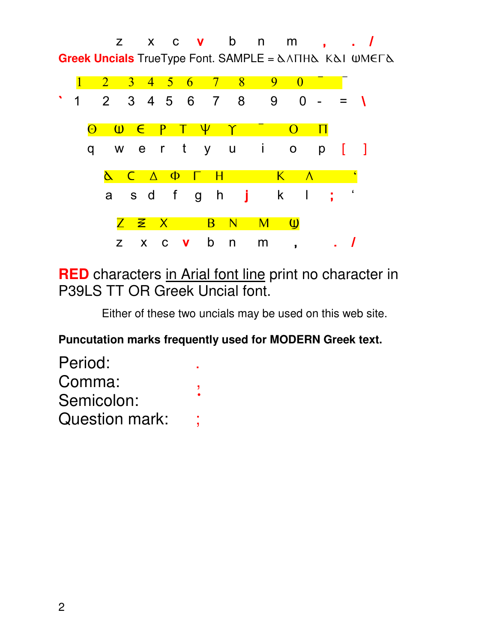z x c **v** b n m , . / **Greek Uncials** TrueType Font. SAMPLE = ΔΛΠΗΔ ΚΔΙ ΨΜΕΓΔ



**RED** characters in Arial font line print no character in P39LS TT OR Greek Uncial font.

Either of these two uncials may be used on this web site.

#### **Puncutation marks frequently used for MODERN Greek text.**

| Period:        |  |
|----------------|--|
| Comma:         |  |
| Semicolon:     |  |
| Question mark: |  |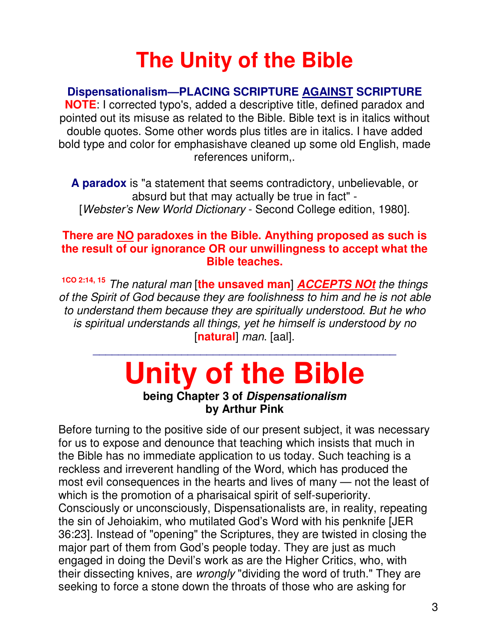### **The Unity of the Bible**

#### **Dispensationalism—PLACING SCRIPTURE AGAINST SCRIPTURE**

**NOTE**: I corrected typo's, added a descriptive title, defined paradox and pointed out its misuse as related to the Bible. Bible text is in italics without double quotes. Some other words plus titles are in italics. I have added bold type and color for emphasishave cleaned up some old English, made references uniform,.

**A paradox** is "a statement that seems contradictory, unbelievable, or absurd but that may actually be true in fact" - [Webster's New World Dictionary - Second College edition, 1980].

#### **There are NO paradoxes in the Bible. Anything proposed as such is the result of our ignorance OR our unwillingness to accept what the Bible teaches.**

**1CO 2:14, 15** The natural man [**the unsaved man**] **ACCEPTS NOt** the things of the Spirit of God because they are foolishness to him and he is not able to understand them because they are spiritually understood. But he who is spiritual understands all things, yet he himself is understood by no [**natural**] man. [aal].

## **Unity of the Bible**

\_\_\_\_\_\_\_\_\_\_\_\_\_\_\_\_\_\_\_\_\_\_\_\_\_\_\_\_\_\_\_\_\_\_\_\_\_\_\_\_\_\_\_\_\_\_\_\_

#### **being Chapter 3 of Dispensationalism by Arthur Pink**

Before turning to the positive side of our present subject, it was necessary for us to expose and denounce that teaching which insists that much in the Bible has no immediate application to us today. Such teaching is a reckless and irreverent handling of the Word, which has produced the most evil consequences in the hearts and lives of many — not the least of which is the promotion of a pharisaical spirit of self-superiority. Consciously or unconsciously, Dispensationalists are, in reality, repeating the sin of Jehoiakim, who mutilated God's Word with his penknife [JER 36:23]. Instead of "opening" the Scriptures, they are twisted in closing the major part of them from God's people today. They are just as much engaged in doing the Devil's work as are the Higher Critics, who, with their dissecting knives, are *wrongly* "dividing the word of truth." They are seeking to force a stone down the throats of those who are asking for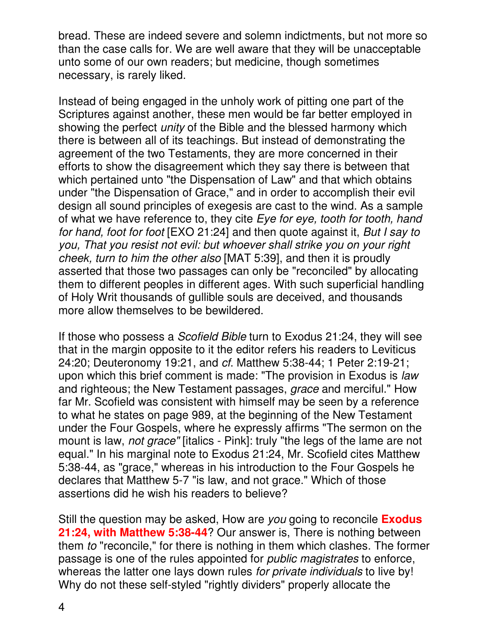bread. These are indeed severe and solemn indictments, but not more so than the case calls for. We are well aware that they will be unacceptable unto some of our own readers; but medicine, though sometimes necessary, is rarely liked.

Instead of being engaged in the unholy work of pitting one part of the Scriptures against another, these men would be far better employed in showing the perfect *unity* of the Bible and the blessed harmony which there is between all of its teachings. But instead of demonstrating the agreement of the two Testaments, they are more concerned in their efforts to show the disagreement which they say there is between that which pertained unto "the Dispensation of Law" and that which obtains under "the Dispensation of Grace," and in order to accomplish their evil design all sound principles of exegesis are cast to the wind. As a sample of what we have reference to, they cite Eye for eye, tooth for tooth, hand for hand, foot for foot [EXO 21:24] and then quote against it, But I say to you, That you resist not evil: but whoever shall strike you on your right cheek, turn to him the other also [MAT 5:39], and then it is proudly asserted that those two passages can only be "reconciled" by allocating them to different peoples in different ages. With such superficial handling of Holy Writ thousands of gullible souls are deceived, and thousands more allow themselves to be bewildered.

If those who possess a Scofield Bible turn to Exodus 21:24, they will see that in the margin opposite to it the editor refers his readers to Leviticus 24:20; Deuteronomy 19:21, and cf. Matthew 5:38-44; 1 Peter 2:19-21; upon which this brief comment is made: "The provision in Exodus is law and righteous; the New Testament passages, grace and merciful." How far Mr. Scofield was consistent with himself may be seen by a reference to what he states on page 989, at the beginning of the New Testament under the Four Gospels, where he expressly affirms "The sermon on the mount is law, *not grace*" [italics - Pink]: truly "the legs of the lame are not equal." In his marginal note to Exodus 21:24, Mr. Scofield cites Matthew 5:38-44, as "grace," whereas in his introduction to the Four Gospels he declares that Matthew 5-7 "is law, and not grace." Which of those assertions did he wish his readers to believe?

Still the question may be asked, How are you going to reconcile **Exodus 21:24, with Matthew 5:38-44**? Our answer is, There is nothing between them to "reconcile," for there is nothing in them which clashes. The former passage is one of the rules appointed for public magistrates to enforce, whereas the latter one lays down rules for private individuals to live by! Why do not these self-styled "rightly dividers" properly allocate the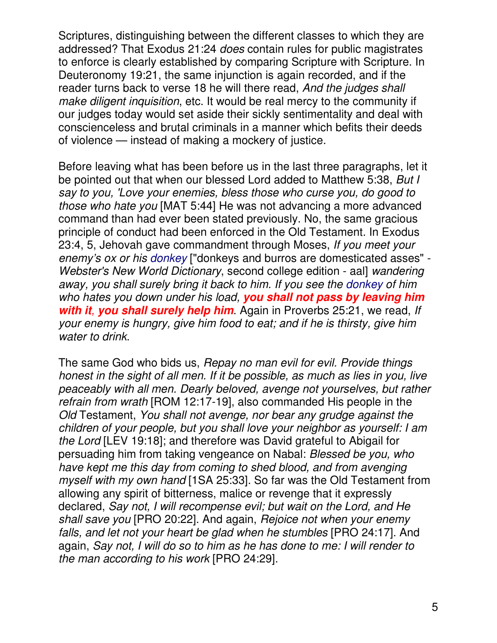Scriptures, distinguishing between the different classes to which they are addressed? That Exodus 21:24 does contain rules for public magistrates to enforce is clearly established by comparing Scripture with Scripture. In Deuteronomy 19:21, the same injunction is again recorded, and if the reader turns back to verse 18 he will there read, And the judges shall make diligent inquisition, etc. It would be real mercy to the community if our judges today would set aside their sickly sentimentality and deal with conscienceless and brutal criminals in a manner which befits their deeds of violence — instead of making a mockery of justice.

Before leaving what has been before us in the last three paragraphs, let it be pointed out that when our blessed Lord added to Matthew 5:38, But I say to you, 'Love your enemies, bless those who curse you, do good to those who hate you [MAT 5:44] He was not advancing a more advanced command than had ever been stated previously. No, the same gracious principle of conduct had been enforced in the Old Testament. In Exodus 23:4, 5, Jehovah gave commandment through Moses, If you meet your enemy's ox or his donkey ["donkeys and burros are domesticated asses" - Webster's New World Dictionary, second college edition - aal] wandering away, you shall surely bring it back to him. If you see the donkey of him who hates you down under his load, **you shall not pass by leaving him with it, you shall surely help him.** Again in Proverbs 25:21, we read, If your enemy is hungry, give him food to eat; and if he is thirsty, give him water to drink.

The same God who bids us, Repay no man evil for evil. Provide things honest in the sight of all men. If it be possible, as much as lies in you, live peaceably with all men. Dearly beloved, avenge not yourselves, but rather refrain from wrath [ROM 12:17-19], also commanded His people in the Old Testament, You shall not avenge, nor bear any grudge against the children of your people, but you shall love your neighbor as yourself: I am the Lord [LEV 19:18]; and therefore was David grateful to Abigail for persuading him from taking vengeance on Nabal: Blessed be you, who have kept me this day from coming to shed blood, and from avenging myself with my own hand [1SA 25:33]. So far was the Old Testament from allowing any spirit of bitterness, malice or revenge that it expressly declared, Say not, I will recompense evil; but wait on the Lord, and He shall save you [PRO 20:22]. And again, Rejoice not when your enemy falls, and let not your heart be glad when he stumbles [PRO 24:17]. And again, Say not, I will do so to him as he has done to me: I will render to the man according to his work [PRO 24:29].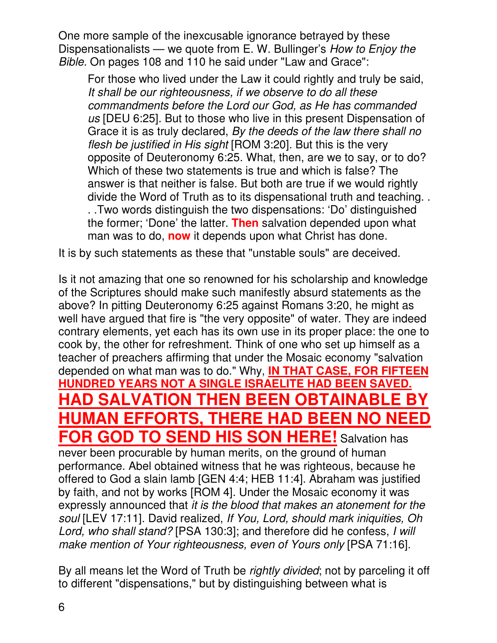One more sample of the inexcusable ignorance betrayed by these Dispensationalists — we quote from E. W. Bullinger's *How to Enjoy the* Bible. On pages 108 and 110 he said under "Law and Grace":

For those who lived under the Law it could rightly and truly be said, It shall be our righteousness, if we observe to do all these commandments before the Lord our God, as He has commanded us [DEU 6:25]. But to those who live in this present Dispensation of Grace it is as truly declared, By the deeds of the law there shall no flesh be justified in His sight [ROM 3:20]. But this is the very opposite of Deuteronomy 6:25. What, then, are we to say, or to do? Which of these two statements is true and which is false? The answer is that neither is false. But both are true if we would rightly divide the Word of Truth as to its dispensational truth and teaching. . . .Two words distinguish the two dispensations: 'Do' distinguished the former; 'Done' the latter. **Then** salvation depended upon what man was to do, **now** it depends upon what Christ has done.

It is by such statements as these that "unstable souls" are deceived.

Is it not amazing that one so renowned for his scholarship and knowledge of the Scriptures should make such manifestly absurd statements as the above? In pitting Deuteronomy 6:25 against Romans 3:20, he might as well have argued that fire is "the very opposite" of water. They are indeed contrary elements, yet each has its own use in its proper place: the one to cook by, the other for refreshment. Think of one who set up himself as a teacher of preachers affirming that under the Mosaic economy "salvation depended on what man was to do." Why, **IN THAT CASE, FOR FIFTEEN HUNDRED YEARS NOT A SINGLE ISRAELITE HAD BEEN SAVED. HAD SALVATION THEN BEEN OBTAINABLE BY HUMAN EFFORTS, THERE HAD BEEN NO NEED FOR GOD TO SEND HIS SON HERE!** Salvation has never been procurable by human merits, on the ground of human performance. Abel obtained witness that he was righteous, because he offered to God a slain lamb [GEN 4:4; HEB 11:4]. Abraham was justified by faith, and not by works [ROM 4]. Under the Mosaic economy it was expressly announced that it is the blood that makes an atonement for the soul [LEV 17:11]. David realized, If You, Lord, should mark iniquities, Oh Lord, who shall stand? [PSA 130:3]; and therefore did he confess, I will make mention of Your righteousness, even of Yours only [PSA 71:16].

By all means let the Word of Truth be rightly divided; not by parceling it off to different "dispensations," but by distinguishing between what is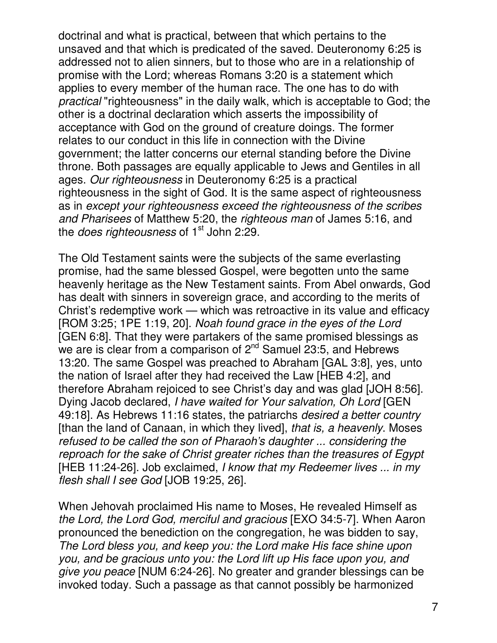doctrinal and what is practical, between that which pertains to the unsaved and that which is predicated of the saved. Deuteronomy 6:25 is addressed not to alien sinners, but to those who are in a relationship of promise with the Lord; whereas Romans 3:20 is a statement which applies to every member of the human race. The one has to do with practical "righteousness" in the daily walk, which is acceptable to God; the other is a doctrinal declaration which asserts the impossibility of acceptance with God on the ground of creature doings. The former relates to our conduct in this life in connection with the Divine government; the latter concerns our eternal standing before the Divine throne. Both passages are equally applicable to Jews and Gentiles in all ages. Our righteousness in Deuteronomy 6:25 is a practical righteousness in the sight of God. It is the same aspect of righteousness as in except your righteousness exceed the righteousness of the scribes and Pharisees of Matthew 5:20, the righteous man of James 5:16, and the *does righteousness* of  $1<sup>st</sup>$  John 2:29.

The Old Testament saints were the subjects of the same everlasting promise, had the same blessed Gospel, were begotten unto the same heavenly heritage as the New Testament saints. From Abel onwards, God has dealt with sinners in sovereign grace, and according to the merits of Christ's redemptive work — which was retroactive in its value and efficacy [ROM 3:25; 1PE 1:19, 20]. Noah found grace in the eyes of the Lord [GEN 6:8]. That they were partakers of the same promised blessings as we are is clear from a comparison of  $2^{nd}$  Samuel 23:5, and Hebrews 13:20. The same Gospel was preached to Abraham [GAL 3:8], yes, unto the nation of Israel after they had received the Law [HEB 4:2], and therefore Abraham rejoiced to see Christ's day and was glad [JOH 8:56]. Dying Jacob declared, I have waited for Your salvation, Oh Lord [GEN 49:18]. As Hebrews 11:16 states, the patriarchs desired a better country [than the land of Canaan, in which they lived], that is, a heavenly. Moses refused to be called the son of Pharaoh's daughter ... considering the reproach for the sake of Christ greater riches than the treasures of Egypt [HEB 11:24-26]. Job exclaimed, I know that my Redeemer lives ... in my flesh shall I see God [JOB 19:25, 26].

When Jehovah proclaimed His name to Moses, He revealed Himself as the Lord, the Lord God, merciful and gracious [EXO 34:5-7]. When Aaron pronounced the benediction on the congregation, he was bidden to say, The Lord bless you, and keep you: the Lord make His face shine upon you, and be gracious unto you: the Lord lift up His face upon you, and give you peace [NUM 6:24-26]. No greater and grander blessings can be invoked today. Such a passage as that cannot possibly be harmonized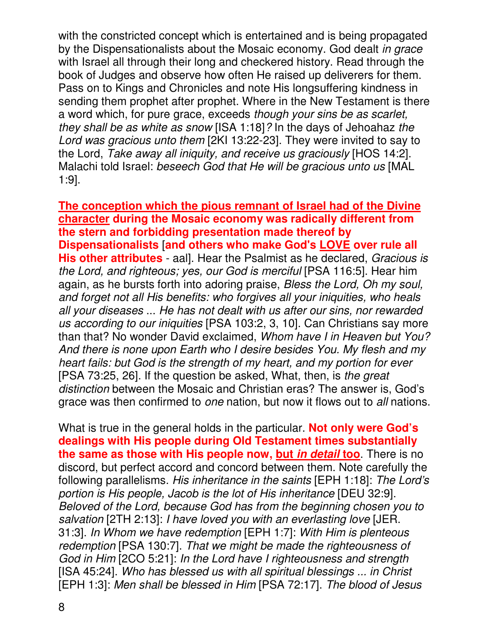with the constricted concept which is entertained and is being propagated by the Dispensationalists about the Mosaic economy. God dealt in grace with Israel all through their long and checkered history. Read through the book of Judges and observe how often He raised up deliverers for them. Pass on to Kings and Chronicles and note His longsuffering kindness in sending them prophet after prophet. Where in the New Testament is there a word which, for pure grace, exceeds though your sins be as scarlet, they shall be as white as snow [ISA 1:18]? In the days of Jehoahaz the Lord was gracious unto them [2KI 13:22-23]. They were invited to say to the Lord, Take away all iniquity, and receive us graciously [HOS 14:2]. Malachi told Israel: beseech God that He will be gracious unto us [MAL 1:9].

**The conception which the pious remnant of Israel had of the Divine character during the Mosaic economy was radically different from the stern and forbidding presentation made thereof by Dispensationalists** [**and others who make God's LOVE over rule all His other attributes** - aal]. Hear the Psalmist as he declared, Gracious is the Lord, and righteous; yes, our God is merciful [PSA 116:5]. Hear him again, as he bursts forth into adoring praise, Bless the Lord, Oh my soul, and forget not all His benefits: who forgives all your iniquities, who heals all your diseases ... He has not dealt with us after our sins, nor rewarded us according to our iniquities [PSA 103:2, 3, 10]. Can Christians say more than that? No wonder David exclaimed, Whom have I in Heaven but You? And there is none upon Earth who I desire besides You. My flesh and my heart fails: but God is the strength of my heart, and my portion for ever [PSA 73:25, 26]. If the question be asked, What, then, is the great distinction between the Mosaic and Christian eras? The answer is, God's grace was then confirmed to *one* nation, but now it flows out to *all* nations.

What is true in the general holds in the particular. **Not only were God's dealings with His people during Old Testament times substantially the same as those with His people now, but in detail too**. There is no discord, but perfect accord and concord between them. Note carefully the following parallelisms. His inheritance in the saints [EPH 1:18]: The Lord's portion is His people, Jacob is the lot of His inheritance [DEU 32:9]. Beloved of the Lord, because God has from the beginning chosen you to salvation [2TH 2:13]: I have loved you with an everlasting love [JER. 31:3]. In Whom we have redemption [EPH 1:7]: With Him is plenteous redemption [PSA 130:7]. That we might be made the righteousness of God in Him [2CO 5:21]: In the Lord have I righteousness and strength [ISA 45:24]. Who has blessed us with all spiritual blessings ... in Christ [EPH 1:3]: Men shall be blessed in Him [PSA 72:17]. The blood of Jesus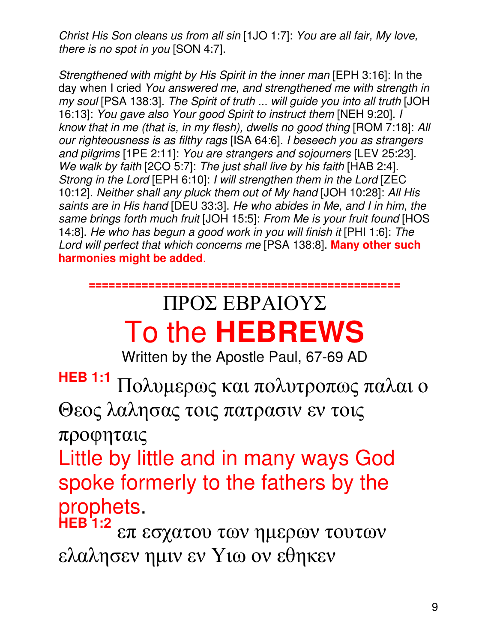Christ His Son cleans us from all sin [1JO 1:7]: You are all fair, My love, there is no spot in you [SON 4:7].

Strengthened with might by His Spirit in the inner man [EPH 3:16]: In the day when I cried You answered me, and strengthened me with strength in my soul [PSA 138:3]. The Spirit of truth ... will guide you into all truth [JOH 16:13]: You gave also Your good Spirit to instruct them [NEH 9:20]. I know that in me (that is, in my flesh), dwells no good thing [ROM 7:18]: All our righteousness is as filthy rags [ISA 64:6]. I beseech you as strangers and pilgrims [1PE 2:11]: You are strangers and sojourners [LEV 25:23]. We walk by faith [2CO 5:7]: The just shall live by his faith [HAB 2:4]. Strong in the Lord [EPH 6:10]: I will strengthen them in the Lord [ZEC 10:12]. Neither shall any pluck them out of My hand [JOH 10:28]: All His saints are in His hand [DEU 33:3]. He who abides in Me, and I in him, the same brings forth much fruit [JOH 15:5]: From Me is your fruit found [HOS 14:8]. He who has begun a good work in you will finish it [PHI 1:6]: The Lord will perfect that which concerns me [PSA 138:8]. **Many other such harmonies might be added**.

### **===============================================**  ΠΡΟΣ ΕΒΡΑΙΟΥΣ To the **HEBREWS**

Written by the Apostle Paul, 67-69 AD

**HEB 1:1** Πολυµερως και πολυτροπως παλαι ο Θεος λαλησας τοις πατρασιν εν τοις

προφηταις

Little by little and in many ways God spoke formerly to the fathers by the prophets.

**HEB 1:2** επ εσχατου των ηµερων τουτων ελαλησεν ηµιν εν Υιω ον εθηκεν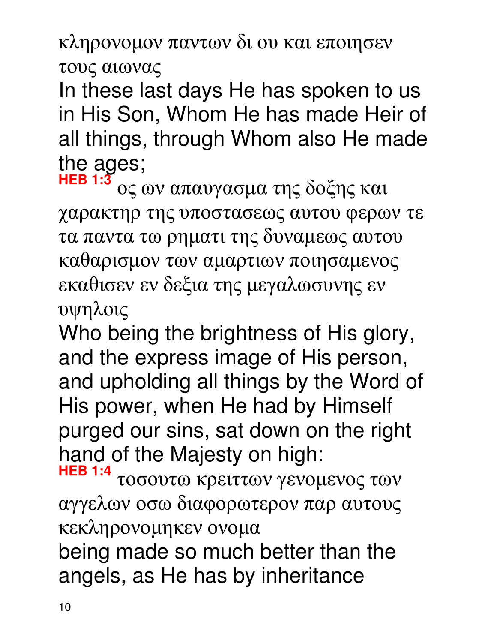κληρονοµον παντων δι ου και εποιησεν τους αιωνας

In these last days He has spoken to us in His Son, Whom He has made Heir of all things, through Whom also He made the ages;

**HEB 1:3** ος ων απαυγασµα της δοξης και χαρακτηρ της υποστασεως αυτου φερων τε τα παντα τω ρηµατι της δυναµεως αυτου καθαρισµον των αµαρτιων ποιησαµενος εκαθισεν εν δεξια της µεγαλωσυνης εν υψηλοις

Who being the brightness of His glory, and the express image of His person, and upholding all things by the Word of His power, when He had by Himself purged our sins, sat down on the right hand of the Majesty on high:

**HEB 1:4** τοσουτω κρειττων γενοµενος των αγγελων οσω διαφορωτερον παρ αυτους κεκληρονοµηκεν ονοµα

being made so much better than the angels, as He has by inheritance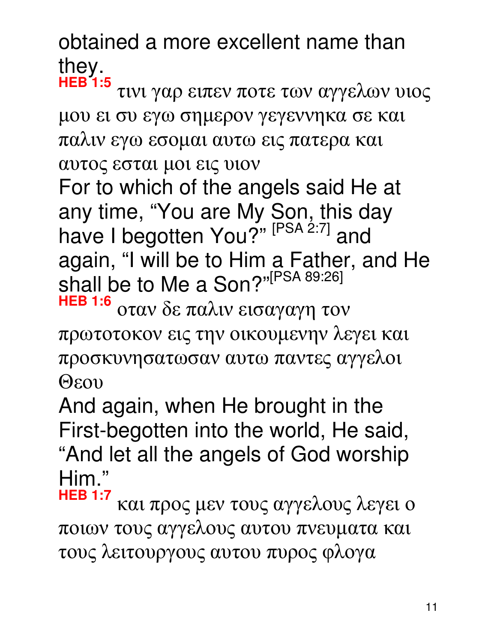obtained a more excellent name than they.

**HEB 1:5** τινι γαρ ειπεν ποτε των αγγελων υιος µου ει συ εγω σηµερον γεγεννηκα σε και παλιν εγω εσοµαι αυτω εις πατερα και αυτος εσται µοι εις υιον For to which of the angels said He at any time, "You are My Son, this day have I begotten You?" [PSA 2:7] and again, "I will be to Him a Father, and He shall be to Me a Son?"<sup>[PSA 89:26]</sup>

**HEB 1:6** οταν δε παλιν εισαγαγη τον πρωτοτοκον εις την οικουµενην λεγει και προσκυνησατωσαν αυτω παντες αγγελοι Θεου

And again, when He brought in the First-begotten into the world, He said, "And let all the angels of God worship Him."

**HEB 1:7** και προς µεν τους αγγελους λεγει ο ποιων τους αγγελους αυτου πνευµατα και τους λειτουργους αυτου πυρος φλογα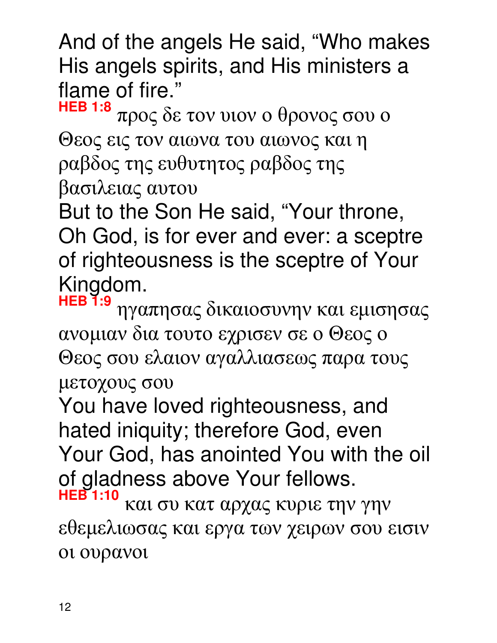And of the angels He said, "Who makes His angels spirits, and His ministers a flame of fire."

**HEB 1:8** προς δε τον υιον ο θρονος σου ο Θεος εις τον αιωνα του αιωνος και η ραβδος της ευθυτητος ραβδος της βασιλειας αυτου

But to the Son He said, "Your throne, Oh God, is for ever and ever: a sceptre of righteousness is the sceptre of Your Kingdom.

**HEB 1:9** ηγαπησας δικαιοσυνην και εµισησας ανοµιαν δια τουτο εχρισεν σε ο Θεος ο Θεος σου ελαιον αγαλλιασεως παρα τους µετοχους σου

You have loved righteousness, and hated iniquity; therefore God, even Your God, has anointed You with the oil of gladness above Your fellows. **HEB 1:10** και συ κατ αρχας κυριε την γην

εθεµελιωσας και εργα των χειρων σου εισιν οι ουρανοι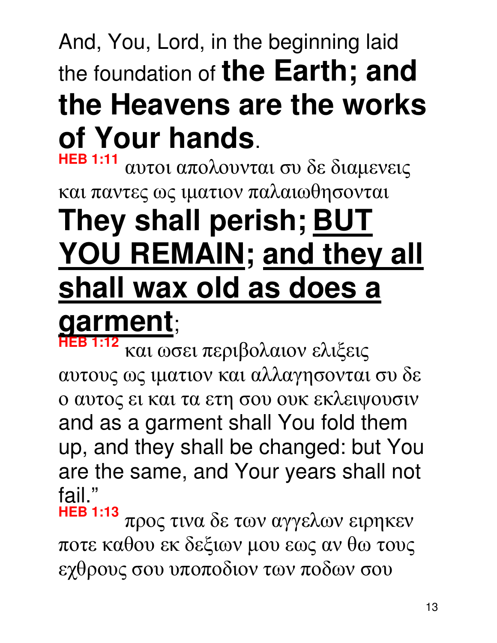## And, You, Lord, in the beginning laid the foundation of **the Earth; and the Heavens are the works of Your hands**.

**HEB 1:11** αυτοι απολουνται συ δε διαµενεις και παντες ως ιµατιον παλαιωθησονται **They shall perish; BUT YOU REMAIN; and they all shall wax old as does a garment**;

**HEB 1:12** και ωσει περιβολαιον ελιξεις αυτους ως ιµατιον και αλλαγησονται συ δε ο αυτος ει και τα ετη σου ουκ εκλειψουσιν and as a garment shall You fold them up, and they shall be changed: but You are the same, and Your years shall not fail."

**HEB 1:13** προς τινα δε των αγγελων ειρηκεν ποτε καθου εκ δεξιων µου εως αν θω τους εχθρους σου υποποδιον των ποδων σου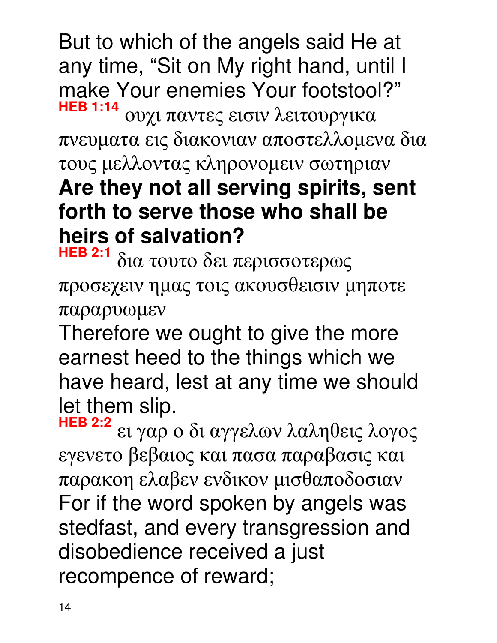But to which of the angels said He at any time, "Sit on My right hand, until I make Your enemies Your footstool?" **HEB 1:14**

ουχι παντες εισιν λειτουργικα πνευµατα εις διακονιαν αποστελλοµενα δια τους µελλοντας κληρονοµειν σωτηριαν **Are they not all serving spirits, sent forth to serve those who shall be heirs of salvation?**<br>**HEB 2:1** surversed as

**HEB 2:1** δια τουτο δει περισσοτερως προσεχειν ηµας τοις ακουσθεισιν µηποτε παραρυωµεν

Therefore we ought to give the more earnest heed to the things which we have heard, lest at any time we should let them slip.

**HEB 2:2** ει γαρ ο δι αγγελων λαληθεις λογος εγενετο βεβαιος και πασα παραβασις και παρακοη ελαβεν ενδικον µισθαποδοσιαν For if the word spoken by angels was stedfast, and every transgression and disobedience received a just recompence of reward;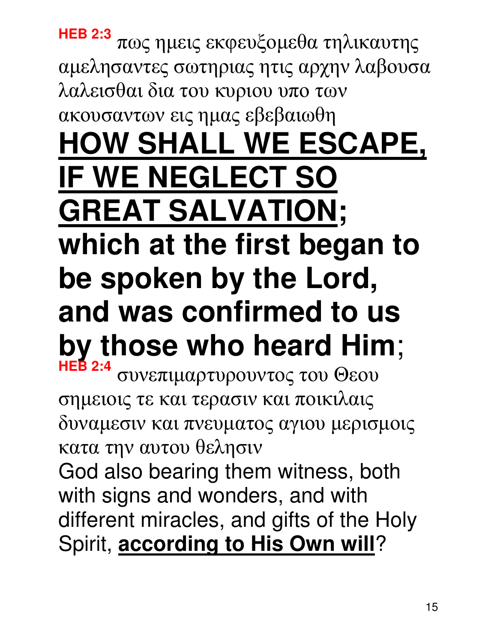## **HEB 2:3** πως ηµεις εκφευξοµεθα τηλικαυτης αµελησαντες σωτηριας ητις αρχην λαβουσα λαλεισθαι δια του κυριου υπο των ακουσαντων εις ηµας εβεβαιωθη **HOW SHALL WE ESCAPE, IF WE NEGLECT SO GREAT SALVATION; which at the first began to be spoken by the Lord, and was confirmed to us by those who heard Him**; **HEB 2:4** συνεπιµαρτυρουντος του Θεου σηµειοις τε και τερασιν και ποικιλαις

δυναµεσιν και πνευµατος αγιου µερισµοις κατα την αυτου θελησιν

God also bearing them witness, both with signs and wonders, and with different miracles, and gifts of the Holy Spirit, **according to His Own will**?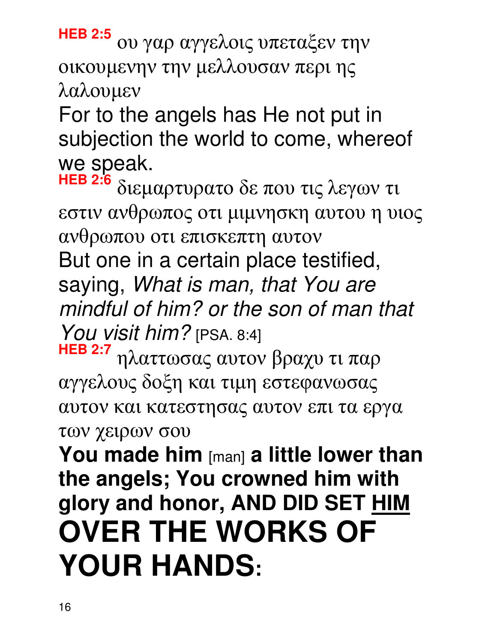**HEB 2:5** ου γαρ αγγελοις υπεταξεν την οικουµενην την µελλουσαν περι ης λαλουµεν

For to the angels has He not put in subjection the world to come, whereof we speak.

**HEB 2:6** διεµαρτυρατο δε που τις λεγων τι εστιν ανθρωπος οτι µιµνησκη αυτου η υιος ανθρωπου οτι επισκεπτη αυτον But one in a certain place testified, saying, What is man, that You are mindful of him? or the son of man that You visit him? [PSA. 8:4]

**HEB 2:7** ηλαττωσας αυτον βραχυ τι παρ αγγελους δοξη και τιµη εστεφανωσας αυτον και κατεστησας αυτον επι τα εργα των χειρων σου

**You made him** [man] **a little lower than the angels; You crowned him with glory and honor, AND DID SET HIM OVER THE WORKS OF YOUR HANDS:**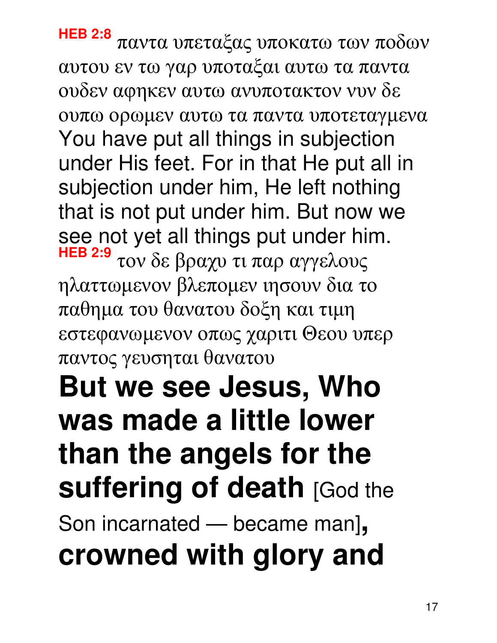**HEB 2:8** παντα υπεταξας υποκατω των ποδων αυτου εν τω γαρ υποταξαι αυτω τα παντα ουδεν αφηκεν αυτω ανυποτακτον νυν δε ουπω ορωµεν αυτω τα παντα υποτεταγµενα You have put all things in subjection under His feet. For in that He put all in subjection under him, He left nothing that is not put under him. But now we see not yet all things put under him. **HEB 2:9** τον δε βραχυ τι παρ αγγελους ηλαττωµενον βλεποµεν ιησουν δια το παθηµα του θανατου δοξη και τιµη εστεφανωµενον οπως χαριτι Θεου υπερ παντος γευσηται θανατου **But we see Jesus, Who was made a little lower than the angels for the suffering of death [God the** Son incarnated — became man]**, crowned with glory and**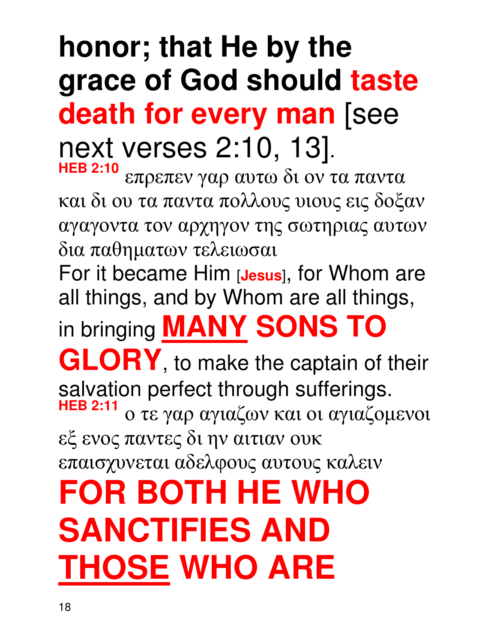### **honor; that He by the grace of God should taste death for every man** [see next verses 2:10, 13]. **HEB 2:10**

επρεπεν γαρ αυτω δι ον τα παντα και δι ου τα παντα πολλους υιους εις δοξαν αγαγοντα τον αρχηγον της σωτηριας αυτων δια παθηµατων τελειωσαι

For it became Him [**Jesus**], for Whom are all things, and by Whom are all things,

in bringing **MANY SONS TO** 

**GLORY**, to make the captain of their salvation perfect through sufferings. **HEB 2:11** ο τε γαρ αγιαζων και οι αγιαζοµενοι εξ ενος παντες δι ην αιτιαν ουκ

επαισχυνεται αδελφους αυτους καλειν

**FOR BOTH HE WHO SANCTIFIES AND THOSE WHO ARE**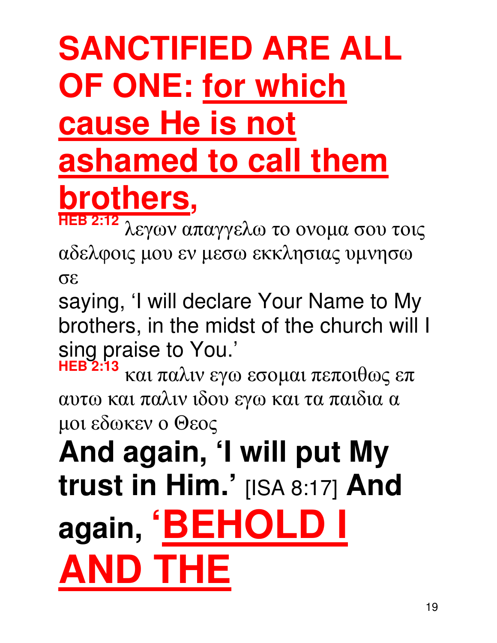# **SANCTIFIED ARE ALL OF ONE: for which cause He is not ashamed to call them brothers,**

**HEB 2:12** λεγων απαγγελω το ονοµα σου τοις αδελφοις µου εν µεσω εκκλησιας υµνησω σε

saying, 'I will declare Your Name to My brothers, in the midst of the church will I sing praise to You.'

**HEB 2:13** και παλιν εγω εσοµαι πεποιθως επ αυτω και παλιν ιδου εγω και τα παιδια α µοι εδωκεν ο Θεος

**And again, 'I will put My trust in Him.'** [ISA 8:17] **And again, 'BEHOLD I AND THE**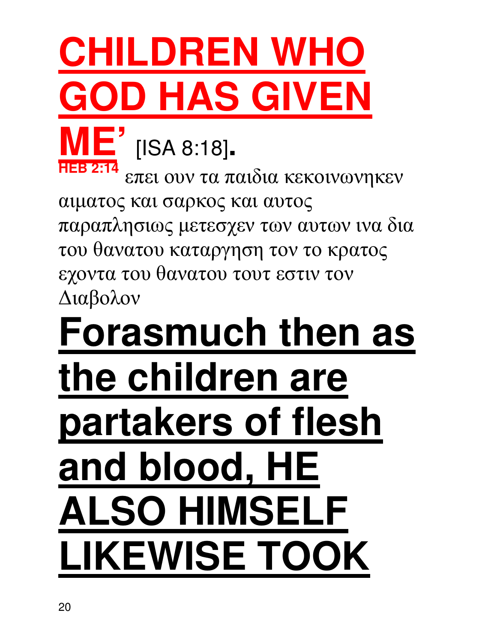## **CHILDREN WHO GOD HAS GIVEN ME'** [ISA 8:18]**. HEB 2:14**

επει ουν τα παιδια κεκοινωνηκεν αιµατος και σαρκος και αυτος παραπλησιως µετεσχεν των αυτων ινα δια του θανατου καταργηση τον το κρατος εχοντα του θανατου τουτ εστιν τον ∆ιαβολον

# **Forasmuch then as the children are partakers of flesh and blood, HE ALSO HIMSELF LIKEWISE TOOK**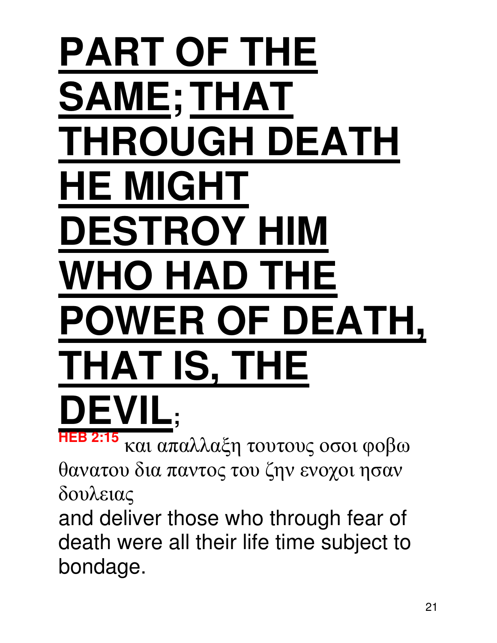# **PART OF THE SAME;THAT THROUGH DEATH HE MIGHT DESTROY HIM WHO HAD THE POWER OF DEATH, THAT IS, THE DEVIL; HEB 2:15**

και απαλλαξη τουτους οσοι φοβω θανατου δια παντος του ζην ενοχοι ησαν δουλειας

and deliver those who through fear of death were all their life time subject to bondage.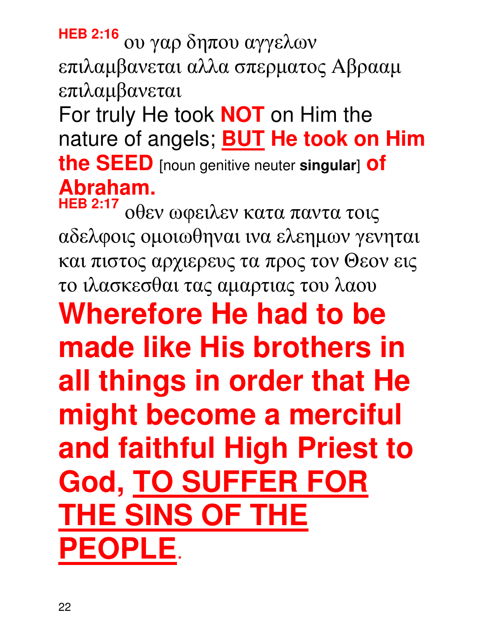**HEB 2:16** ου γαρ δηπου αγγελων επιλαµβανεται αλλα σπερµατος Aβρααµ επιλαµβανεται For truly He took **NOT** on Him the nature of angels; **BUT He took on Him the SEED** [noun genitive neuter **singular**] **of**  Abraham.

**HEB 2:17** οθεν ωφειλεν κατα παντα τοις αδελφοις οµοιωθηναι ινα ελεηµων γενηται και πιστος αρχιερευς τα προς τον Θεον εις το ιλασκεσθαι τας αµαρτιας του λαου **Wherefore He had to be made like His brothers in all things in order that He might become a merciful and faithful High Priest to God, TO SUFFER FOR THE SINS OF THE PEOPLE**.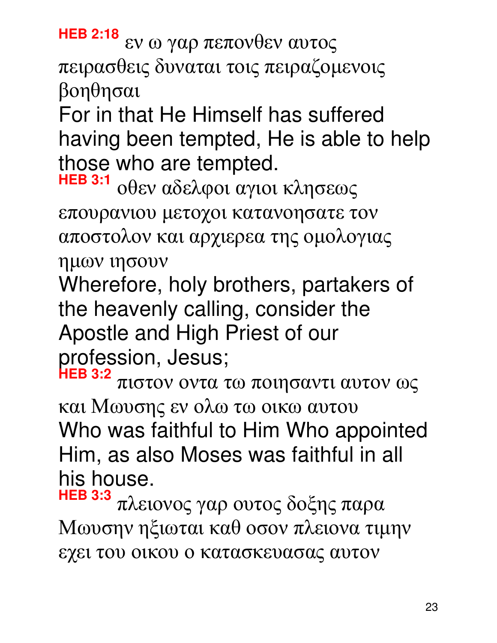**HEB 2:18** εν ω γαρ πεπονθεν αυτος πειρασθεις δυναται τοις πειραζοµενοις βοηθησαι

For in that He Himself has suffered having been tempted, He is able to help those who are tempted.

**HEB 3:1** οθεν αδελφοι αγιοι κλησεως επουρανιου µετοχοι κατανοησατε τον αποστολον και αρχιερεα της οµολογιας ηµων ιησουν

Wherefore, holy brothers, partakers of the heavenly calling, consider the Apostle and High Priest of our profession, Jesus;

**HEB 3:2** πιστον οντα τω ποιησαντι αυτον ως και Μωυσης εν ολω τω οικω αυτου Who was faithful to Him Who appointed Him, as also Moses was faithful in all his house.

**HEB 3:3** πλειονος γαρ ουτος δοξης παρα Μωυσην ηξιωται καθ οσον πλειονα τιµην εχει του οικου ο κατασκευασας αυτον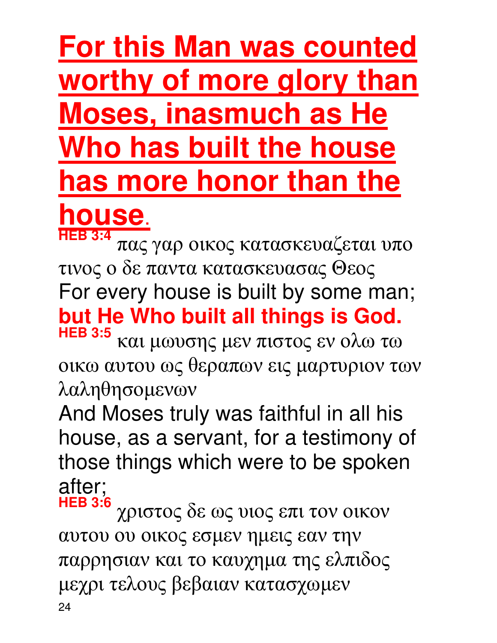## **For this Man was counted worthy of more glory than Moses, inasmuch as He Who has built the house has more honor than the**

## **house**.

**HEB 3:4** πας γαρ οικος κατασκευαζεται υπο τινος ο δε παντα κατασκευασας Θεος For every house is built by some man; **but He Who built all things is God. HEB 3:5** και µωυσης µεν πιστος εν ολω τω

οικω αυτου ως θεραπων εις µαρτυριον των λαληθησοµενων

And Moses truly was faithful in all his house, as a servant, for a testimony of those things which were to be spoken after;

**HEB 3:6** χριστος δε ως υιος επι τον οικον αυτου ου οικος εσµεν ηµεις εαν την παρρησιαν και το καυχηµα της ελπιδος µεχρι τελους βεβαιαν κατασχωµεν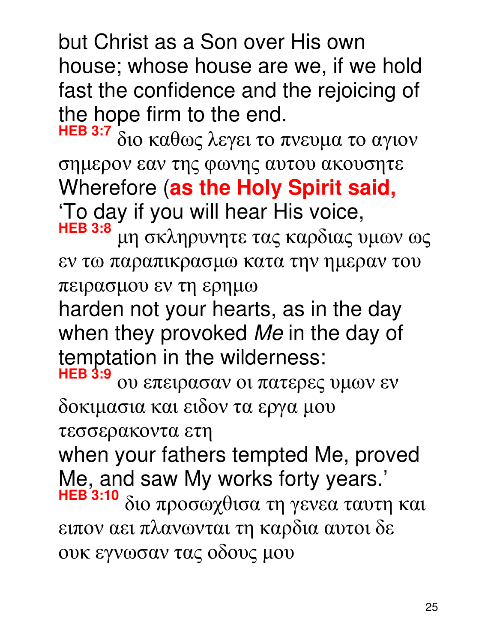but Christ as a Son over His own house; whose house are we, if we hold fast the confidence and the rejoicing of the hope firm to the end.

**HEB 3:7** διο καθως λεγει το πνευµα το αγιον σηµερον εαν της φωνης αυτου ακουσητε Wherefore (**as the Holy Spirit said,** 'To day if you will hear His voice, **HEB 3:8** µη σκληρυνητε τας καρδιας υµων ως

εν τω παραπικρασµω κατα την ηµεραν του πειρασµου εν τη ερηµω

harden not your hearts, as in the day when they provoked Me in the day of temptation in the wilderness:

**HEB 3:9** ου επειρασαν οι πατερες υµων εν δοκιµασια και ειδον τα εργα µου

τεσσερακοντα ετη

when your fathers tempted Me, proved Me, and saw My works forty years.' **HEB 3:10** διο προσωχθισα τη γενεα ταυτη και ειπον αει πλανωνται τη καρδια αυτοι δε ουκ εγνωσαν τας οδους µου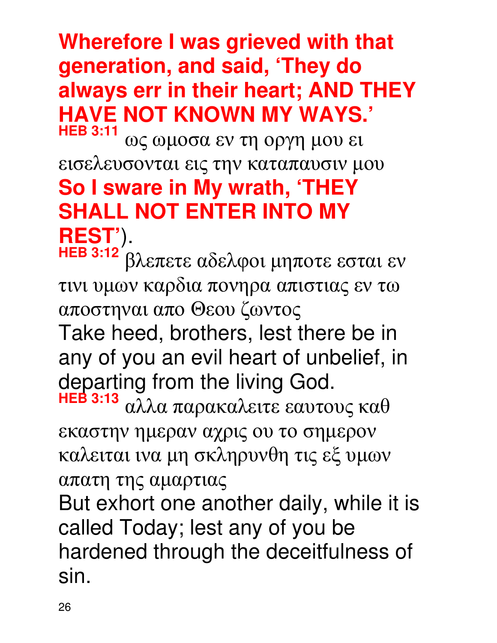#### **Wherefore I was grieved with that generation, and said, 'They do always err in their heart; AND THEY HAVE NOT KNOWN MY WAYS.' HEB 3:11**

ως ωµοσα εν τη οργη µου ει εισελευσονται εις την καταπαυσιν µου **So I sware in My wrath, 'THEY SHALL NOT ENTER INTO MY REST'**).

**HEB 3:12** βλεπετε αδελφοι µηποτε εσται εν τινι υµων καρδια πονηρα απιστιας εν τω αποστηναι απο Θεου ζωντος Take heed, brothers, lest there be in any of you an evil heart of unbelief, in departing from the living God. **HEB 3:13** αλλα παρακαλειτε εαυτους καθ

εκαστην ηµεραν αχρις ου το σηµερον καλειται ινα µη σκληρυνθη τις εξ υµων απατη της αµαρτιας

But exhort one another daily, while it is called Today; lest any of you be hardened through the deceitfulness of sin.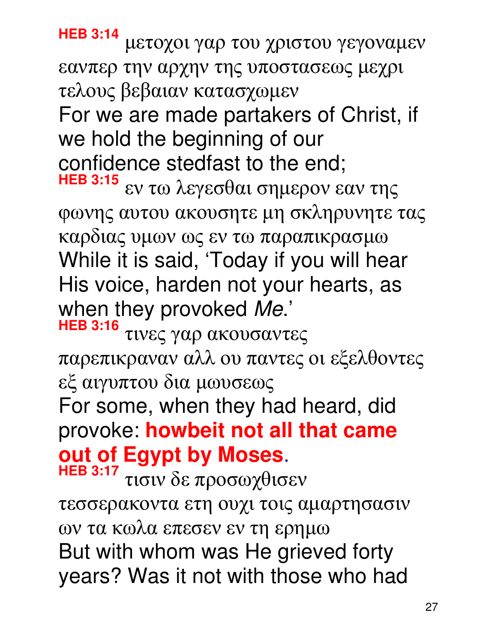**HEB 3:14** µετοχοι γαρ του χριστου γεγοναµεν εανπερ την αρχην της υποστασεως µεχρι τελους βεβαιαν κατασχωµεν For we are made partakers of Christ, if we hold the beginning of our confidence stedfast to the end; **HEB 3:15** εν τω λεγεσθαι σηµερον εαν της φωνης αυτου ακουσητε µη σκληρυνητε τας καρδιας υµων ως εν τω παραπικρασµω While it is said, 'Today if you will hear His voice, harden not your hearts, as when they provoked Me.' **HEB 3:16** τινες γαρ ακουσαντες παρεπικραναν αλλ ου παντες οι εξελθοντες

εξ αιγυπτου δια µωυσεως

For some, when they had heard, did provoke: **howbeit not all that came out of Egypt by Moses**.

**HEB 3:17** τισιν δε προσωχθισεν τεσσερακοντα ετη ουχι τοις αµαρτησασιν ων τα κωλα επεσεν εν τη ερηµω But with whom was He grieved forty years? Was it not with those who had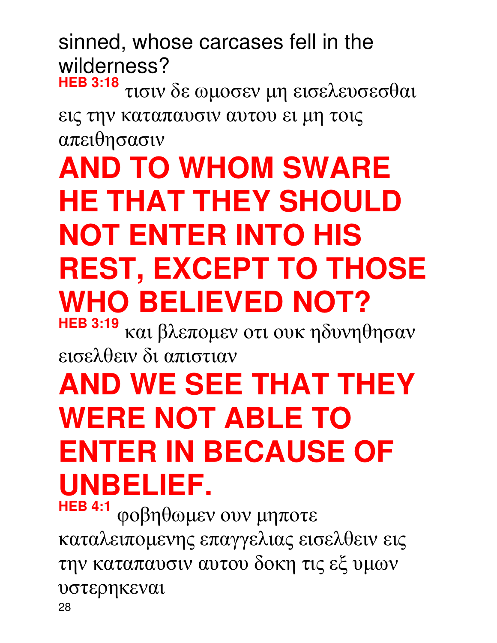sinned, whose carcases fell in the wilderness?

**HEB 3:18** τισιν δε ωµοσεν µη εισελευσεσθαι εις την καταπαυσιν αυτου ει µη τοις απειθησασιν

## **AND TO WHOM SWARE HE THAT THEY SHOULD NOT ENTER INTO HIS REST, EXCEPT TO THOSE WHO BELIEVED NOT?**

**HEB 3:19** και βλεποµεν οτι ουκ ηδυνηθησαν εισελθειν δι απιστιαν

## **AND WE SEE THAT THEY WERE NOT ABLE TO ENTER IN BECAUSE OF UNBELIEF.**

28 **HEB 4:1** φοβηθωµεν ουν µηποτε καταλειποµενης επαγγελιας εισελθειν εις την καταπαυσιν αυτου δοκη τις εξ υµων υστερηκεναι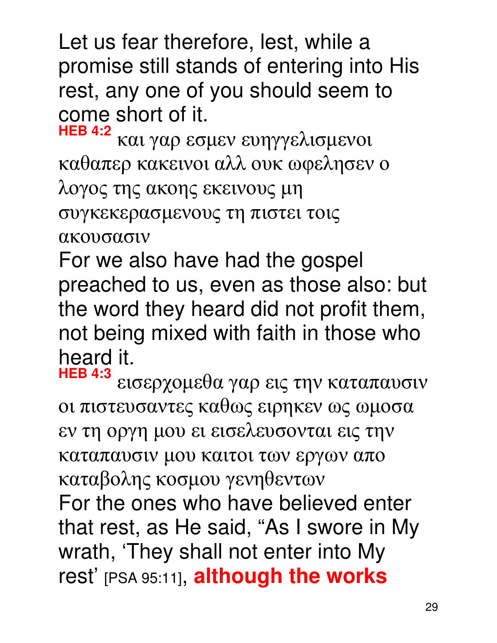Let us fear therefore, lest, while a promise still stands of entering into His rest, any one of you should seem to come short of it.

**HEB 4:2** και γαρ εσµεν ευηγγελισµενοι καθαπερ κακεινοι αλλ ουκ ωφελησεν ο λογος της ακοης εκεινους µη συγκεκερασµενους τη πιστει τοις ακουσασιν

For we also have had the gospel preached to us, even as those also: but the word they heard did not profit them, not being mixed with faith in those who heard it.<br>HEB 4:3

**HEB 4:3** εισερχοµεθα γαρ εις την καταπαυσιν οι πιστευσαντες καθως ειρηκεν ως ωµοσα εν τη οργη µου ει εισελευσονται εις την καταπαυσιν µου καιτοι των εργων απο καταβολης κοσµου γενηθεντων For the ones who have believed enter that rest, as He said, "As I swore in My wrath, 'They shall not enter into My rest' [PSA 95:11], **although the works**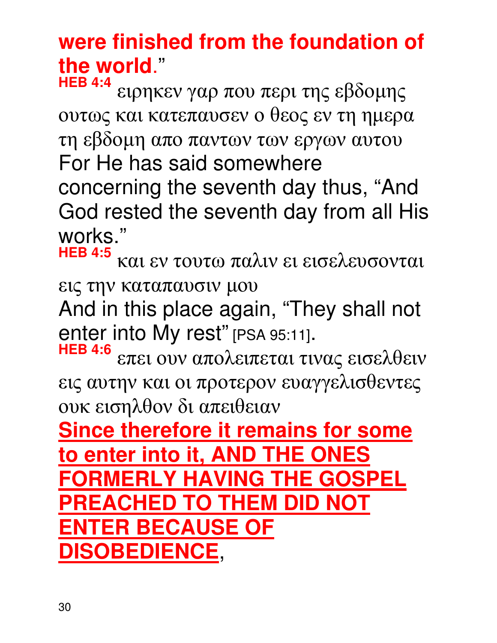### **were finished from the foundation of the world**."

**HEB 4:4** ειρηκεν γαρ που περι της εβδοµης ουτως και κατεπαυσεν ο θεος εν τη ηµερα τη εβδοµη απο παντων των εργων αυτου For He has said somewhere concerning the seventh day thus, "And God rested the seventh day from all His works."

**HEB 4:5** και εν τουτω παλιν ει εισελευσονται εις την καταπαυσιν µου

And in this place again, "They shall not enter into My rest" [PSA 95:11].

**HEB 4:6** επει ουν απολειπεται τινας εισελθειν εις αυτην και οι προτερον ευαγγελισθεντες ουκ εισηλθον δι απειθειαν

**Since therefore it remains for some to enter into it, AND THE ONES FORMERLY HAVING THE GOSPEL PREACHED TO THEM DID NOT ENTER BECAUSE OF DISOBEDIENCE**,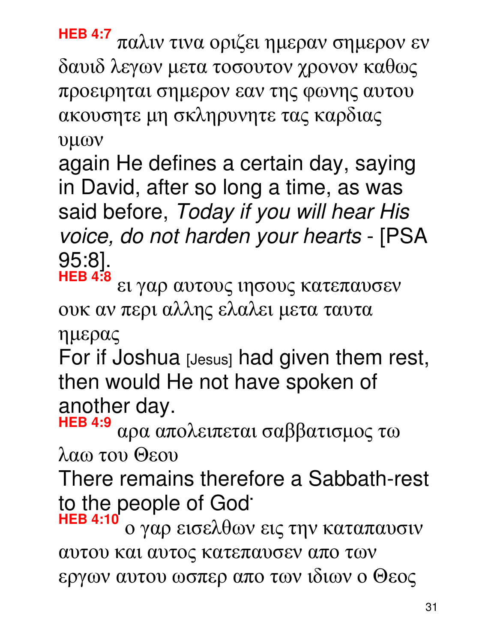**HEB 4:7** παλιν τινα οριζει ηµεραν σηµερον εν δαυιδ λεγων µετα τοσουτον χρονον καθως προειρηται σηµερον εαν της φωνης αυτου ακουσητε µη σκληρυνητε τας καρδιας υµων

again He defines a certain day, saying in David, after so long a time, as was said before, Today if you will hear His voice, do not harden your hearts - [PSA 95:8]. **HEB 4:8**

ει γαρ αυτους ιησους κατεπαυσεν ουκ αν περι αλλης ελαλει µετα ταυτα

ηµερας

For if Joshua [Jesus] had given them rest, then would He not have spoken of another day.

**HEB 4:9** αρα απολειπεται σαββατισµος τω λαω του Θεου

There remains therefore a Sabbath-rest to the people of God**.** 

**HEB 4:10** ο γαρ εισελθων εις την καταπαυσιν αυτου και αυτος κατεπαυσεν απο των εργων αυτου ωσπερ απο των ιδιων ο Θεος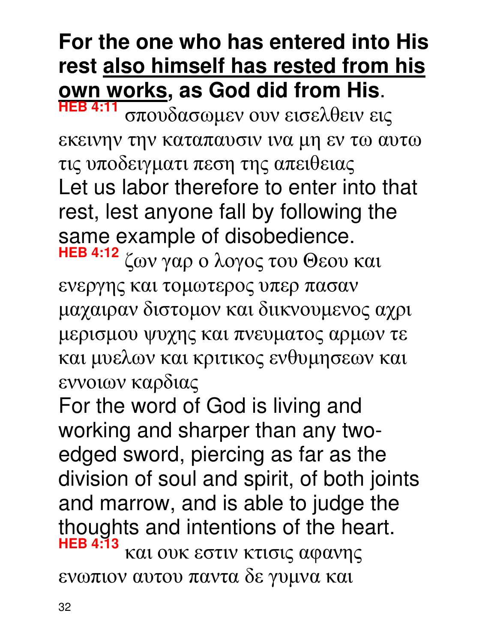### **For the one who has entered into His rest also himself has rested from his own works, as God did from His**.

**HEB 4:11** σπουδασωµεν ουν εισελθειν εις εκεινην την καταπαυσιν ινα µη εν τω αυτω τις υποδειγµατι πεση της απειθειας Let us labor therefore to enter into that rest, lest anyone fall by following the same example of disobedience.

**HEB 4:12** ζων γαρ ο λογος του Θεου και ενεργης και τοµωτερος υπερ πασαν µαχαιραν διστοµον και διικνουµενος αχρι µερισµου ψυχης και πνευµατος αρµων τε και µυελων και κριτικος ενθυµησεων και εννοιων καρδιας

For the word of God is living and working and sharper than any twoedged sword, piercing as far as the division of soul and spirit, of both joints and marrow, and is able to judge the thoughts and intentions of the heart. **HEB 4:13** και ουκ εστιν κτισις αφανης ενωπιον αυτου παντα δε γυµνα και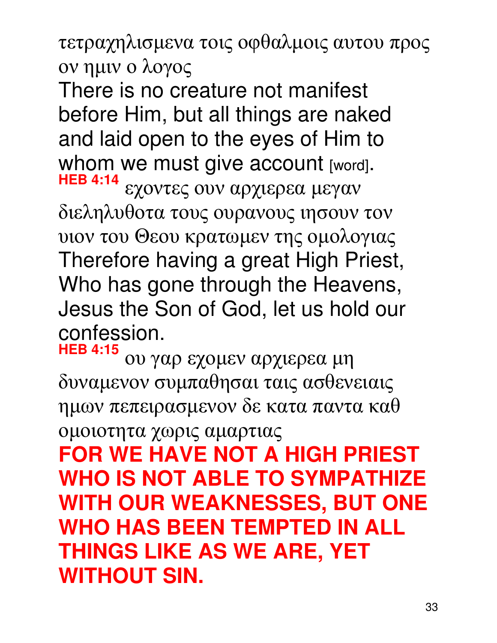τετραχηλισµενα τοις οφθαλµοις αυτου προς ον ηµιν ο λογος

There is no creature not manifest before Him, but all things are naked and laid open to the eyes of Him to whom we must give account [word].

**HEB 4:14** εχοντες ουν αρχιερεα µεγαν διεληλυθοτα τους ουρανους ιησουν τον υιον του Θεου κρατωµεν της οµολογιας Therefore having a great High Priest, Who has gone through the Heavens, Jesus the Son of God, let us hold our confession.

**HEB 4:15** ου γαρ εχοµεν αρχιερεα µη δυναµενον συµπαθησαι ταις ασθενειαις ηµων πεπειρασµενον δε κατα παντα καθ οµοιοτητα χωρις αµαρτιας

**FOR WE HAVE NOT A HIGH PRIEST WHO IS NOT ABLE TO SYMPATHIZE WITH OUR WEAKNESSES, BUT ONE WHO HAS BEEN TEMPTED IN ALL THINGS LIKE AS WE ARE, YET WITHOUT SIN.**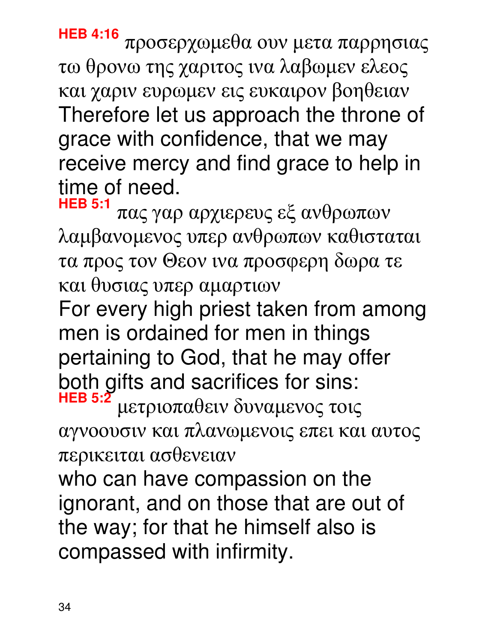**HEB 4:16** προσερχωµεθα ουν µετα παρρησιας τω θρονω της χαριτος ινα λαβωµεν ελεος και χαριν ευρωµεν εις ευκαιρον βοηθειαν Therefore let us approach the throne of grace with confidence, that we may receive mercy and find grace to help in time of need.

**HEB 5:1** πας γαρ αρχιερευς εξ ανθρωπων λαµβανοµενος υπερ ανθρωπων καθισταται τα προς τον Θεον ινα προσφερη δωρα τε και θυσιας υπερ αµαρτιων

For every high priest taken from among men is ordained for men in things pertaining to God, that he may offer both gifts and sacrifices for sins: **HEB 5:2** µετριοπαθειν δυναµενος τοις

αγνοουσιν και πλανωµενοις επει και αυτος περικειται ασθενειαν

who can have compassion on the ignorant, and on those that are out of the way; for that he himself also is compassed with infirmity.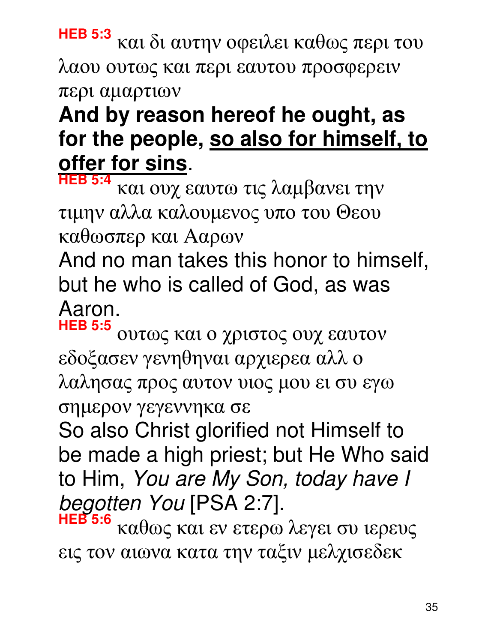**HEB 5:3** και δι αυτην οφειλει καθως περι του λαου ουτως και περι εαυτου προσφερειν περι αµαρτιων

### **And by reason hereof he ought, as for the people, so also for himself, to offer for sins**.

**HEB 5:4** και ουχ εαυτω τις λαµβανει την τιµην αλλα καλουµενος υπο του Θεου καθωσπερ και Aαρων

And no man takes this honor to himself, but he who is called of God, as was Aaron.

**HEB 5:5** ουτως και ο χριστος ουχ εαυτον εδοξασεν γενηθηναι αρχιερεα αλλ ο λαλησας προς αυτον υιος µου ει συ εγω σηµερον γεγεννηκα σε

So also Christ glorified not Himself to be made a high priest; but He Who said to Him, You are My Son, today have I begotten You [PSA 2:7].

**HEB 5:6** καθως και εν ετερω λεγει συ ιερευς εις τον αιωνα κατα την ταξιν µελχισεδεκ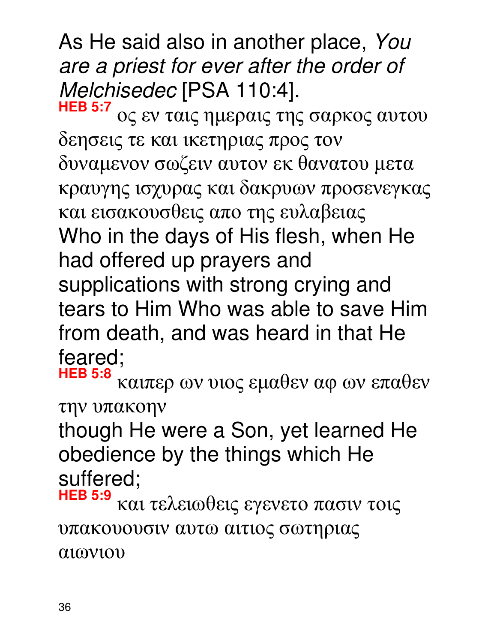As He said also in another place, You are a priest for ever after the order of Melchisedec [PSA 110:4].

**HEB 5:7** ος εν ταις ηµεραις της σαρκος αυτου δεησεις τε και ικετηριας προς τον δυναµενον σωζειν αυτον εκ θανατου µετα κραυγης ισχυρας και δακρυων προσενεγκας και εισακουσθεις απο της ευλαβειας Who in the days of His flesh, when He had offered up prayers and supplications with strong crying and tears to Him Who was able to save Him from death, and was heard in that He feared;

**HEB 5:8** καιπερ ων υιος εµαθεν αφ ων επαθεν την υπακοην

though He were a Son, yet learned He obedience by the things which He suffered;

**HEB 5:9** και τελειωθεις εγενετο πασιν τοις υπακουουσιν αυτω αιτιος σωτηριας αιωνιου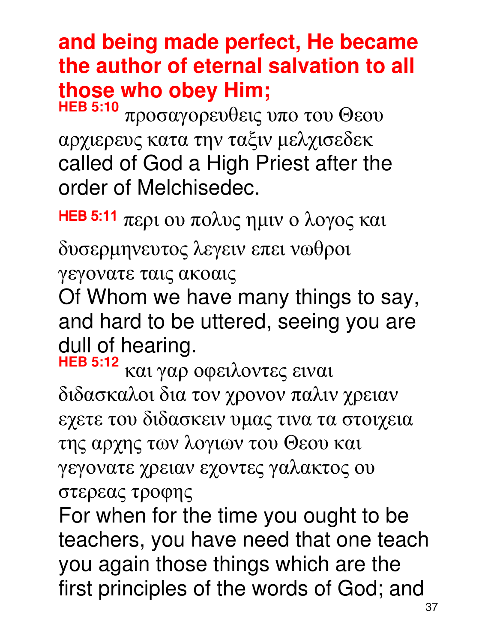### **and being made perfect, He became the author of eternal salvation to all those who obey Him;**

**HEB 5:10** προσαγορευθεις υπο του Θεου αρχιερευς κατα την ταξιν µελχισεδεκ called of God a High Priest after the order of Melchisedec.

HEB 5:11  $\pi$ ερι ου πολυς ημιν ο λογος και

δυσερµηνευτος λεγειν επει νωθροι

γεγονατε ταις ακοαις

Of Whom we have many things to say, and hard to be uttered, seeing you are dull of hearing.

**HEB 5:12** και γαρ οφειλοντες ειναι διδασκαλοι δια τον χρονον παλιν χρειαν εχετε του διδασκειν υµας τινα τα στοιχεια της αρχης των λογιων του Θεου και γεγονατε χρειαν εχοντες γαλακτος ου στερεας τροφης

For when for the time you ought to be teachers, you have need that one teach you again those things which are the first principles of the words of God; and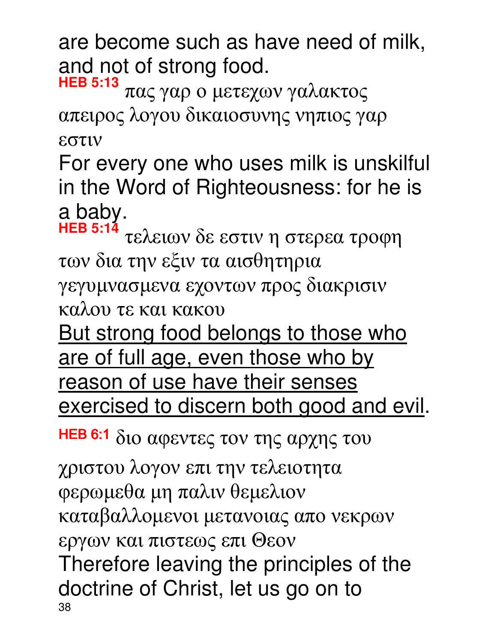are become such as have need of milk, and not of strong food.

**HEB 5:13** πας γαρ ο µετεχων γαλακτος απειρος λογου δικαιοσυνης νηπιος γαρ εστιν

For every one who uses milk is unskilful in the Word of Righteousness: for he is a baby.<br> $HEB 5:14$ 

**HEB 5:14** τελειων δε εστιν η στερεα τροφη των δια την εξιν τα αισθητηρια

γεγυµνασµενα εχοντων προς διακρισιν

καλου τε και κακου

But strong food belongs to those who are of full age, even those who by

reason of use have their senses exercised to discern both good and evil.

HEB 6:1 διο αφεντες τον της αρχης του

38 χριστου λογον επι την τελειοτητα φερωµεθα µη παλιν θεµελιον καταβαλλοµενοι µετανοιας απο νεκρων εργων και πιστεως επι Θεον Therefore leaving the principles of the doctrine of Christ, let us go on to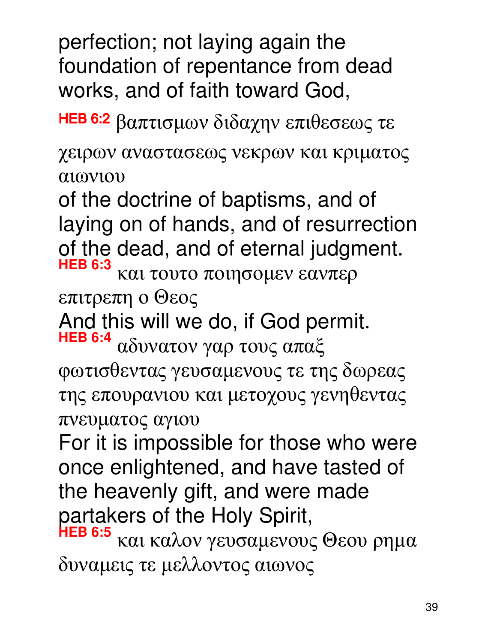perfection; not laying again the foundation of repentance from dead works, and of faith toward God,

HEB 6:2 βαπτισμων διδαχην επιθεσεως τε

χειρων αναστασεως νεκρων και κριµατος αιωνιου

of the doctrine of baptisms, and of laying on of hands, and of resurrection of the dead, and of eternal judgment.

**HEB 6:3** και τουτο ποιησοµεν εανπερ

επιτρεπη ο Θεος

And this will we do, if God permit.

**HEB 6:4** αδυνατον γαρ τους απαξ φωτισθεντας γευσαµενους τε της δωρεας της επουρανιου και µετοχους γενηθεντας πνευµατος αγιου

For it is impossible for those who were once enlightened, and have tasted of the heavenly gift, and were made partakers of the Holy Spirit,

**HEB 6:5** και καλον γευσαµενους Θεου ρηµα δυναµεις τε µελλοντος αιωνος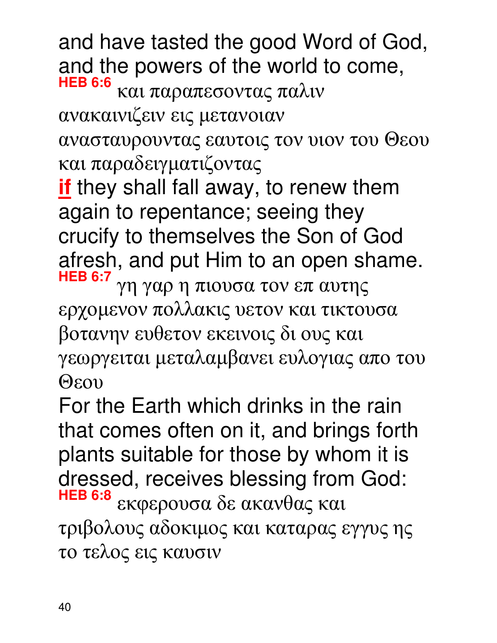and have tasted the good Word of God, and the powers of the world to come, **HEB 6:6** και παραπεσοντας παλιν

ανακαινιζειν εις µετανοιαν

ανασταυρουντας εαυτοις τον υιον του Θεου και παραδειγµατιζοντας

**if** they shall fall away, to renew them again to repentance; seeing they crucify to themselves the Son of God afresh, and put Him to an open shame. **HEB 6:7** γη γαρ η πιουσα τον επ αυτης

ερχοµενον πολλακις υετον και τικτουσα βοτανην ευθετον εκεινοις δι ους και γεωργειται µεταλαµβανει ευλογιας απο του Θεου

For the Earth which drinks in the rain that comes often on it, and brings forth plants suitable for those by whom it is dressed, receives blessing from God: **HEB 6:8** εκφερουσα δε ακανθας και τριβολους αδοκιµος και καταρας εγγυς ης το τελος εις καυσιν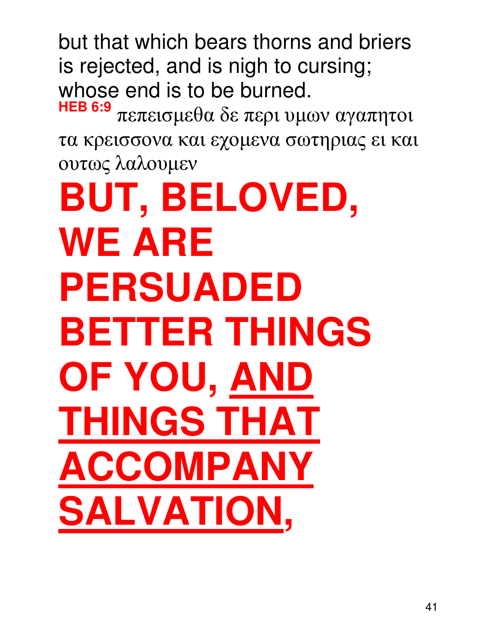but that which bears thorns and briers is rejected, and is nigh to cursing; whose end is to be burned.

**HEB 6:9** πεπεισµεθα δε περι υµων αγαπητοι τα κρεισσονα και εχοµενα σωτηριας ει και ουτως λαλουµεν

**BUT, BELOVED, WE ARE PERSUADED BETTER THINGS OF YOU, AND THINGS THAT ACCOMPANY SALVATION,**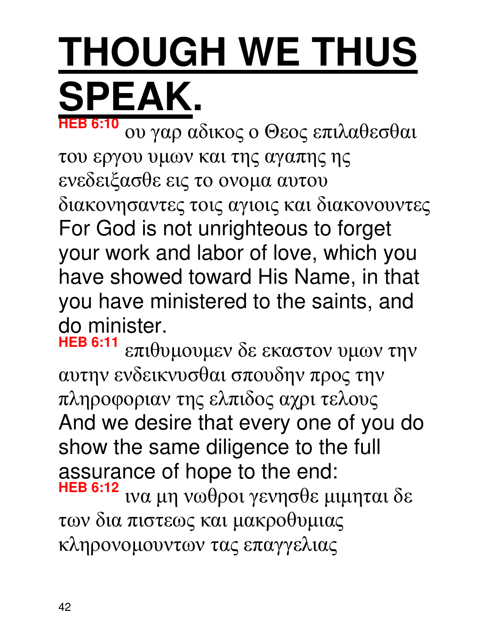### **THOUGH WE THUS SPEAK. HEB 6:10**

ου γαρ αδικος ο Θεος επιλαθεσθαι του εργου υµων και της αγαπης ης ενεδειξασθε εις το ονοµα αυτου διακονησαντες τοις αγιοις και διακονουντες For God is not unrighteous to forget your work and labor of love, which you have showed toward His Name, in that you have ministered to the saints, and do minister.<br>HEB 6:11

επιθυμουμεν δε εκαστον υμων την αυτην ενδεικνυσθαι σπουδην προς την πληροφοριαν της ελπιδος αχρι τελους And we desire that every one of you do show the same diligence to the full assurance of hope to the end: **HEB 6:12** ινα µη νωθροι γενησθε µιµηται δε των δια πιστεως και µακροθυµιας κληρονοµουντων τας επαγγελιας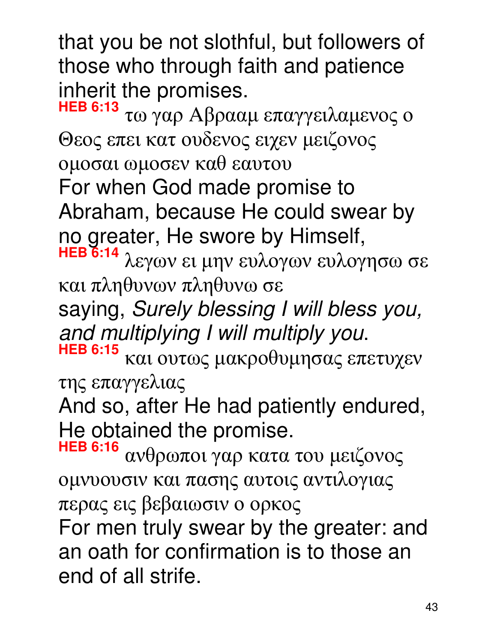that you be not slothful, but followers of those who through faith and patience inherit the promises.

**HEB 6:13** τω γαρ Aβρααµ επαγγειλαµενος ο Θεος επει κατ ουδενος ειχεν µειζονος οµοσαι ωµοσεν καθ εαυτου For when God made promise to Abraham, because He could swear by no greater, He swore by Himself, λεγων ει μην ευλογων ευλογησω σε και πληθυνων πληθυνω σε saying, Surely blessing I will bless you, and multiplying I will multiply you. **HEB 6:15** και ουτως µακροθυµησας επετυχεν της επαγγελιας

And so, after He had patiently endured, He obtained the promise.

**HEB 6:16** ανθρωποι γαρ κατα του µειζονος οµνυουσιν και πασης αυτοις αντιλογιας περας εις βεβαιωσιν ο ορκος For men truly swear by the greater: and an oath for confirmation is to those an end of all strife.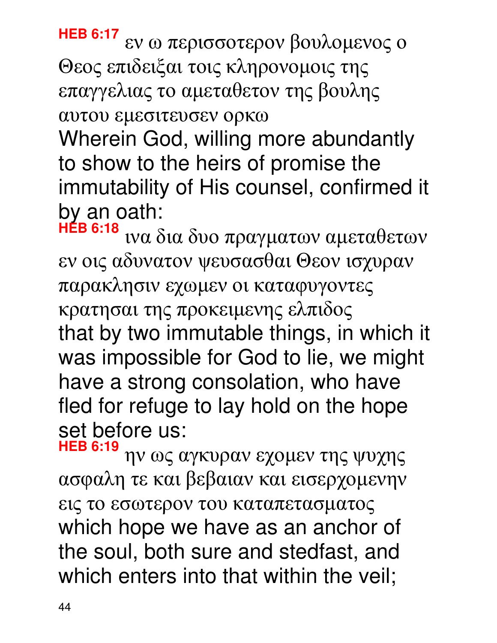ην ως αγκυραν εχοµεν της ψυχης ασφαλη τε και βεβαιαν και εισερχοµενην εις το εσωτερον του καταπετασµατος which hope we have as an anchor of the soul, both sure and stedfast, and which enters into that within the veil;

**HEB 6:19**

παρακλησιν εχωµεν οι καταφυγοντες κρατησαι της προκειµενης ελπιδος that by two immutable things, in which it was impossible for God to lie, we might have a strong consolation, who have fled for refuge to lay hold on the hope set before us:

Wherein God, willing more abundantly to show to the heirs of promise the immutability of His counsel, confirmed it by an oath: **HEB 6:18** ινα δια δυο πραγµατων αµεταθετων

εν οις αδυνατον ψευσασθαι Θεον ισχυραν

Θεος επιδειξαι τοις κληρονοµοις της επαγγελιας το αµεταθετον της βουλης αυτου εµεσιτευσεν ορκω

**HEB 6:17** εν ω περισσοτερον βουλοµενος ο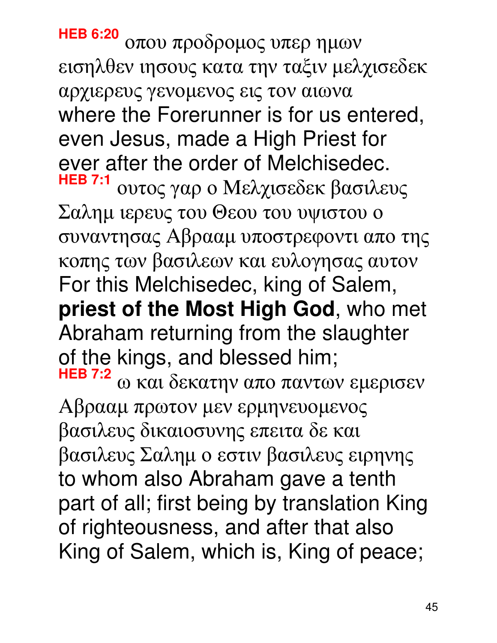**HEB 6:20** οπου προδροµος υπερ ηµων εισηλθεν ιησους κατα την ταξιν µελχισεδεκ αρχιερευς γενοµενος εις τον αιωνα where the Forerunner is for us entered, even Jesus, made a High Priest for ever after the order of Melchisedec. **HEB 7:1** ουτος γαρ ο Mελχισεδεκ βασιλευς Σαληµ ιερευς του Θεου του υψιστου ο συναντησας Aβρααµ υποστρεφοντι απο της κοπης των βασιλεων και ευλογησας αυτον For this Melchisedec, king of Salem, **priest of the Most High God**, who met Abraham returning from the slaughter of the kings, and blessed him; **HEB 7:2** ω και δεκατην απο παντων εµερισεν Aβρααµ πρωτον µεν ερµηνευοµενος βασιλευς δικαιοσυνης επειτα δε και βασιλευς Σαληµ ο εστιν βασιλευς ειρηνης to whom also Abraham gave a tenth part of all; first being by translation King of righteousness, and after that also

King of Salem, which is, King of peace;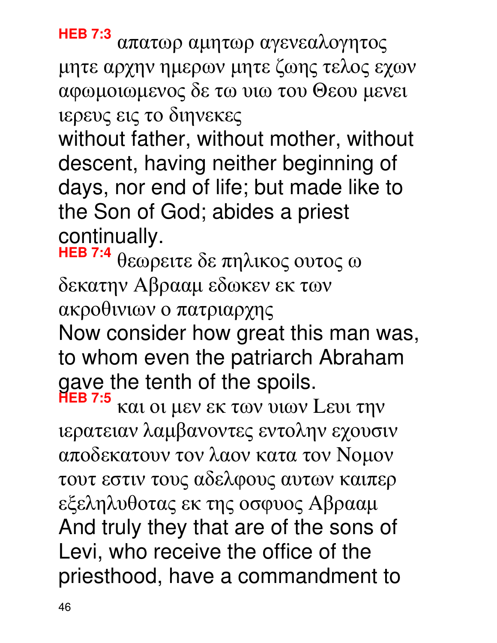**HEB 7:3** απατωρ αµητωρ αγενεαλογητος µητε αρχην ηµερων µητε ζωης τελος εχων αφωµοιωµενος δε τω υιω του Θεου µενει ιερευς εις το διηνεκες

without father, without mother, without descent, having neither beginning of days, nor end of life; but made like to the Son of God; abides a priest continually.

**HEB 7:4** θεωρειτε δε πηλικος ουτος ω δεκατην Aβρααµ εδωκεν εκ των ακροθινιων ο πατριαρχης Now consider how great this man was, to whom even the patriarch Abraham

gave the tenth of the spoils.

**HEB 7:5** και οι µεν εκ των υιων Lευι την ιερατειαν λαµβανοντες εντολην εχουσιν αποδεκατουν τον λαον κατα τον Nοµον τουτ εστιν τους αδελφους αυτων καιπερ εξεληλυθοτας εκ της οσφυος Aβρααµ And truly they that are of the sons of Levi, who receive the office of the priesthood, have a commandment to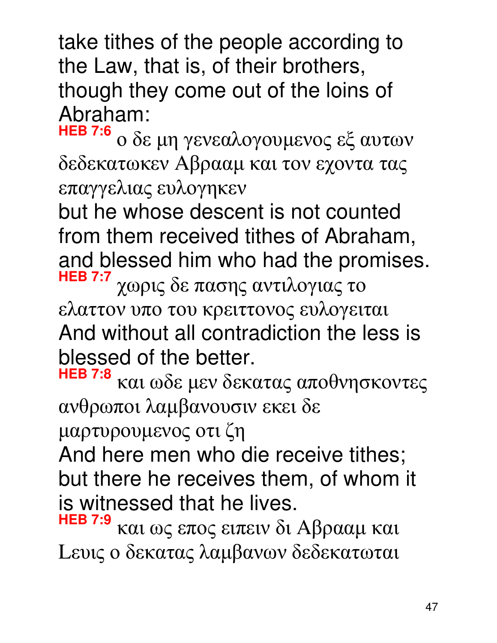take tithes of the people according to the Law, that is, of their brothers, though they come out of the loins of Abraham:

**HEB 7:6** ο δε µη γενεαλογουµενος εξ αυτων δεδεκατωκεν Aβρααµ και τον εχοντα τας επαγγελιας ευλογηκεν

but he whose descent is not counted from them received tithes of Abraham, and blessed him who had the promises. **HEB 7:7** χωρις δε πασης αντιλογιας το

ελαττον υπο του κρειττονος ευλογειται And without all contradiction the less is blessed of the better.

**HEB 7:8** και ωδε µεν δεκατας αποθνησκοντες ανθρωποι λαµβανουσιν εκει δε

µαρτυρουµενος οτι ζη

And here men who die receive tithes; but there he receives them, of whom it is witnessed that he lives.

**HEB 7:9** και ως επος ειπειν δι Aβρααµ και Lευις ο δεκατας λαµβανων δεδεκατωται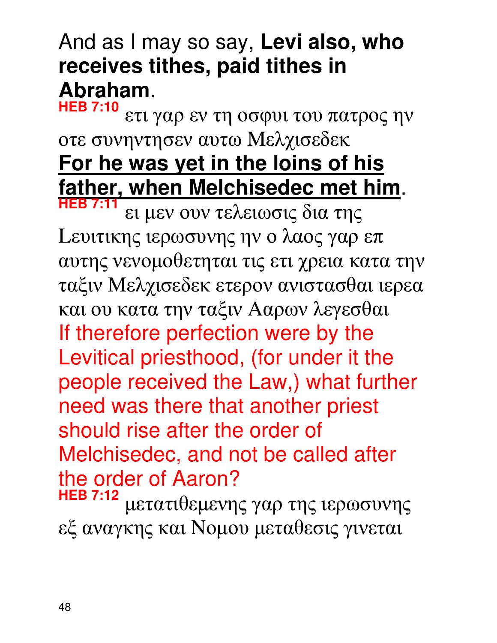#### And as I may so say, **Levi also, who receives tithes, paid tithes in Abraham**.

**HEB 7:10** ετι γαρ εν τη οσφυι του πατρος ην οτε συνηντησεν αυτω Mελχισεδεκ **For he was yet in the loins of his father, when Melchisedec met him**. **HEB 7:11**

ει µεν ουν τελειωσις δια της Lευιτικης ιερωσυνης ην ο λαος γαρ επ αυτης νενοµοθετηται τις ετι χρεια κατα την ταξιν Mελχισεδεκ ετερον ανιστασθαι ιερεα και ου κατα την ταξιν Aαρων λεγεσθαι If therefore perfection were by the Levitical priesthood, (for under it the people received the Law,) what further need was there that another priest should rise after the order of Melchisedec, and not be called after the order of Aaron?<br>HEB 7:12

μετατιθεμενης γαρ της ιερωσυνης εξ αναγκης και Nοµου µεταθεσις γινεται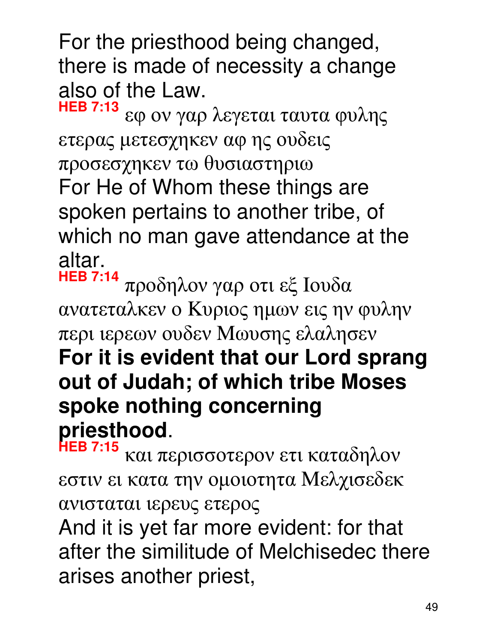For the priesthood being changed, there is made of necessity a change also of the Law.

**HEB 7:13** εφ ον γαρ λεγεται ταυτα φυλης ετερας µετεσχηκεν αφ ης ουδεις προσεσχηκεν τω θυσιαστηριω For He of Whom these things are spoken pertains to another tribe, of which no man gave attendance at the altar.<br><del>HEB</del> 7:14

**HEB 7:14** προδηλον γαρ οτι εξ Iουδα ανατεταλκεν ο Kυριος ηµων εις ην φυλην περι ιερεων ουδεν Mωυσης ελαλησεν

#### **For it is evident that our Lord sprang out of Judah; of which tribe Moses spoke nothing concerning priesthood**.

**HEB 7:15** και περισσοτερον ετι καταδηλον εστιν ει κατα την οµοιοτητα Mελχισεδεκ ανισταται ιερευς ετερος

And it is yet far more evident: for that after the similitude of Melchisedec there arises another priest,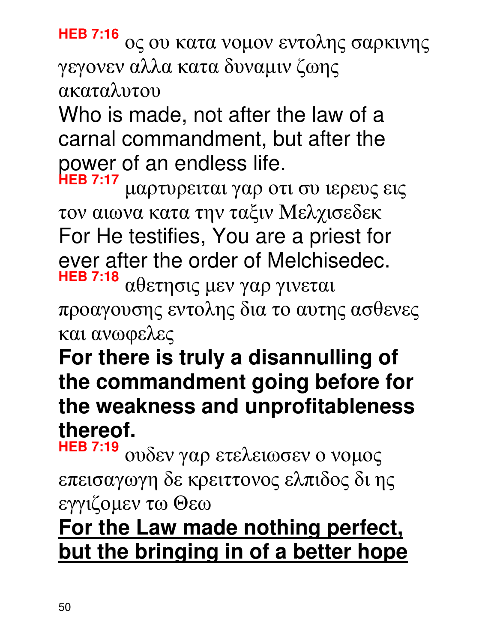**HEB 7:16** ος ου κατα νοµον εντολης σαρκινης γεγονεν αλλα κατα δυναµιν ζωης ακαταλυτου

Who is made, not after the law of a carnal commandment, but after the power of an endless life.

**HEB 7:17** µαρτυρειται γαρ οτι συ ιερευς εις τον αιωνα κατα την ταξιν Mελχισεδεκ For He testifies, You are a priest for ever after the order of Melchisedec. αθετησις μεν γαρ γινεται

προαγουσης εντολης δια το αυτης ασθενες και ανωφελες

### **For there is truly a disannulling of the commandment going before for the weakness and unprofitableness thereof.**

**HEB 7:19** ουδεν γαρ ετελειωσεν ο νοµος επεισαγωγη δε κρειττονος ελπιδος δι ης εγγιζοµεν τω Θεω

### **For the Law made nothing perfect, but the bringing in of a better hope**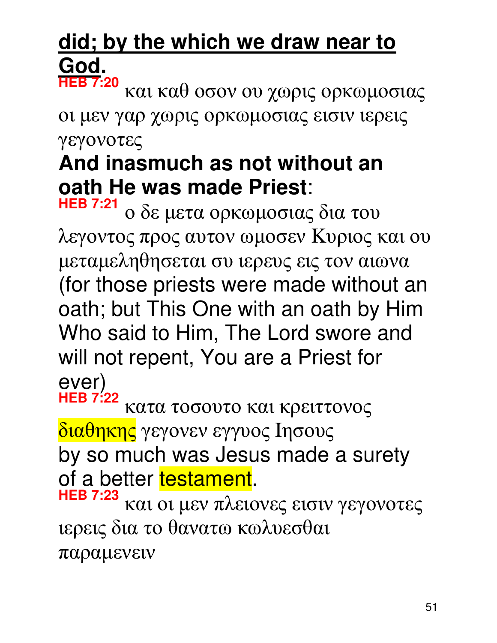#### did; by the which we draw near to **God. HEB 7:20**

και καθ οσον ου χωρις ορκωµοσιας οι µεν γαρ χωρις ορκωµοσιας εισιν ιερεις γεγονοτες

#### **And inasmuch as not without an oath He was made Priest**:

**HEB 7:21** ο δε µετα ορκωµοσιας δια του λεγοντος προς αυτον ωµοσεν Kυριος και ου µεταµεληθησεται συ ιερευς εις τον αιωνα (for those priests were made without an oath; but This One with an oath by Him Who said to Him, The Lord swore and will not repent, You are a Priest for ever)

**HEB 7:22** κατα τοσουτο και κρειττονος διαθηκης γεγονεν εγγυος Iησους by so much was Jesus made a surety of a better testament. **HEB 7:23**

και οι µεν πλειονες εισιν γεγονοτες ιερεις δια το θανατω κωλυεσθαι παραµενειν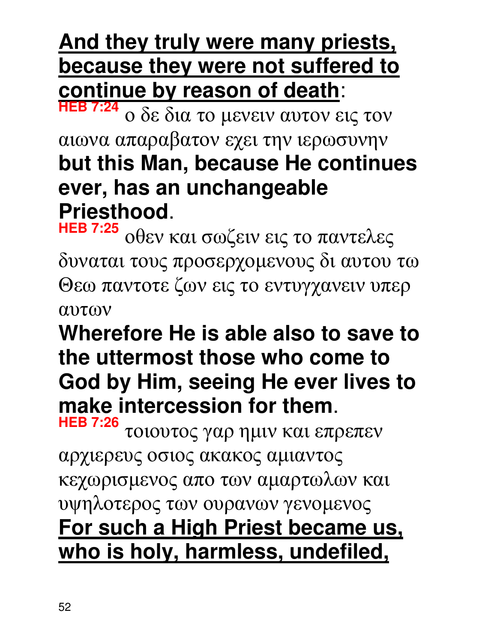### **And they truly were many priests, because they were not suffered to continue by reason of death**:

**HEB 7:24** ο δε δια το µενειν αυτον εις τον αιωνα απαραβατον εχει την ιερωσυνην **but this Man, because He continues ever, has an unchangeable Priesthood**.

**HEB 7:25** οθεν και σωζειν εις το παντελες δυναται τους προσερχοµενους δι αυτου τω Θεω παντοτε ζων εις το εντυγχανειν υπερ αυτων

#### **Wherefore He is able also to save to the uttermost those who come to God by Him, seeing He ever lives to make intercession for them**.

**HEB 7:26** τοιουτος γαρ ηµιν και επρεπεν αρχιερευς οσιος ακακος αµιαντος κεχωρισµενος απο των αµαρτωλων και υψηλοτερος των ουρανων γενοµενος **For such a High Priest became us, who is holy, harmless, undefiled,**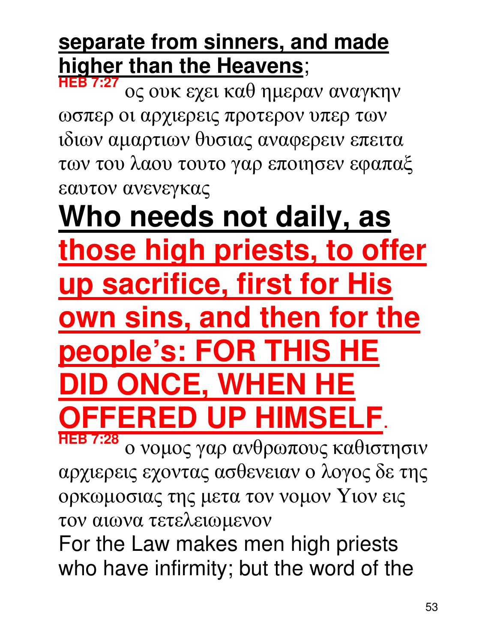#### **separate from sinners, and made higher than the Heavens**;

**HEB 7:27** ος ουκ εχει καθ ηµεραν αναγκην ωσπερ οι αρχιερεις προτερον υπερ των ιδιων αµαρτιων θυσιας αναφερειν επειτα των του λαου τουτο γαρ εποιησεν εφαπαξ εαυτον ανενεγκας

### **Who needs not daily, as those high priests, to offer up sacrifice, first for His own sins, and then for the people's: FOR THIS HE D ONCE. WHEN UP HIMSE**

**HEB 7:28** ο νοµος γαρ ανθρωπους καθιστησιν αρχιερεις εχοντας ασθενειαν ο λογος δε της ορκωµοσιας της µετα τον νοµον Yιον εις τον αιωνα τετελειωµενον

For the Law makes men high priests who have infirmity; but the word of the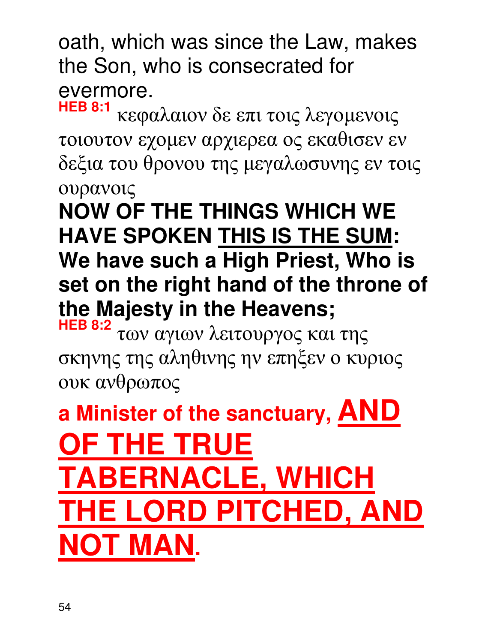oath, which was since the Law, makes the Son, who is consecrated for evermore.<br>HEB 8:1

**HEB 8:1** κεφαλαιον δε επι τοις λεγοµενοις τοιουτον εχοµεν αρχιερεα ος εκαθισεν εν δεξια του θρονου της µεγαλωσυνης εν τοις ουρανοις

**NOW OF THE THINGS WHICH WE HAVE SPOKEN THIS IS THE SUM: We have such a High Priest, Who is set on the right hand of the throne of the Majesty in the Heavens; HEB 8:2**

των αγιων λειτουργος και της σκηνης της αληθινης ην επηξεν ο κυριος ουκ ανθρωπος

**a Minister of the sanctuary, AND OF THE TRUE ERNACLE, WHICH LORD PITCHED, AND NOT MAN.**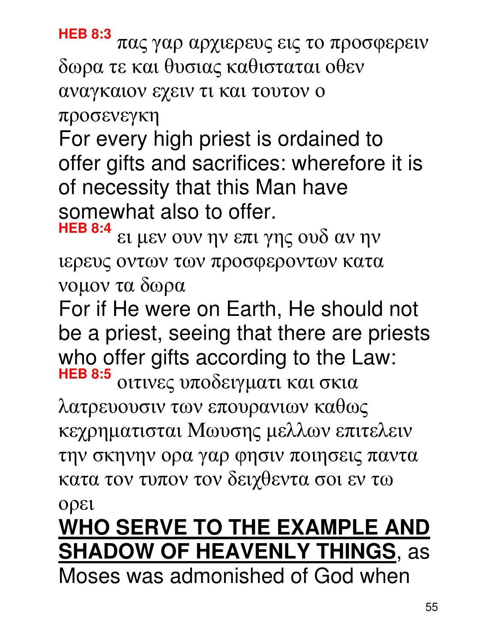#### ορει **WHO SERVE TO THE EXAMPLE AND SHADOW OF HEAVENLY THINGS**, as Moses was admonished of God when

55

οιτινες υποδειγµατι και σκια λατρευουσιν των επουρανιων καθως κεχρηµατισται Mωυσης µελλων επιτελειν την σκηνην ορα γαρ φησιν ποιησεις παντα κατα τον τυπον τον δειχθεντα σοι εν τω

νοµον τα δωρα For if He were on Earth, He should not be a priest, seeing that there are priests who offer gifts according to the Law: **HEB 8:5**

**HEB 8:4** ει µεν ουν ην επι γης ουδ αν ην ιερευς οντων των προσφεροντων κατα

For every high priest is ordained to offer gifts and sacrifices: wherefore it is of necessity that this Man have somewhat also to offer.

πας γαρ αρχιερευς εις το προσφερειν

δωρα τε και θυσιας καθισταται οθεν αναγκαιον εχειν τι και τουτον ο

**HEB 8:3**

προσενεγκη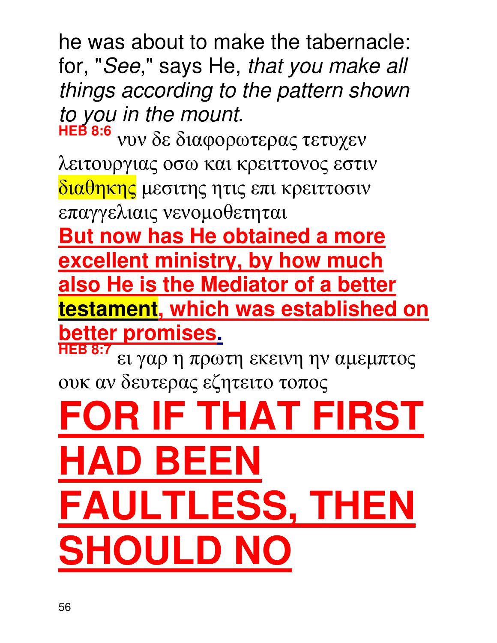he was about to make the tabernacle: for, "See," says He, that you make all things according to the pattern shown to you in the mount.

**HEB 8:6** νυν δε διαφορωτερας τετυχεν λειτουργιας οσω και κρειττονος εστιν διαθηκης µεσιτης ητις επι κρειττοσιν επαγγελιαις νενοµοθετηται

**But now has He obtained a more excellent ministry, by how much also He is the Mediator of a better testament, which was established on better promises.**

**HEB 8:7** ει γαρ η πρωτη εκεινη ην αµεµπτος ουκ αν δευτερας εζητειτο τοπος

## **R IF THAT FIRST** D BEE L**ESS, THEN SHOULD**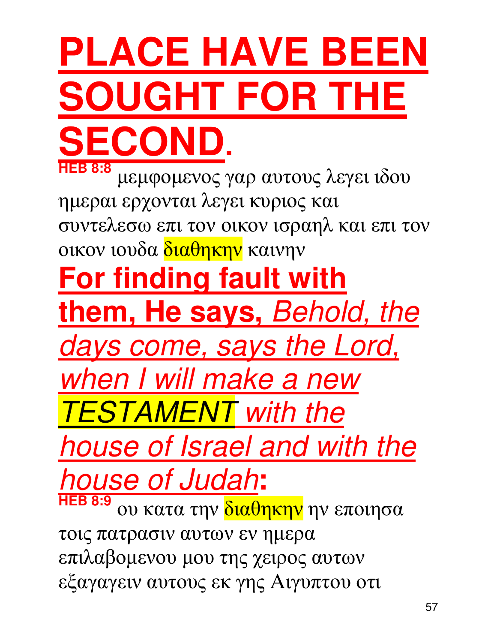## **PLACE HAVE BEEN SOUGHT FOR THE SECOND.**

**HEB 8:8** µεµφοµενος γαρ αυτους λεγει ιδου ηµεραι ερχονται λεγει κυριος και συντελεσω επι τον οικον ισραηλ και επι τον οικον ιουδα <mark>διαθηκην</mark> καινην **For finding fault with them, He says,** Behold, the days come, says the Lord, when I will make a new **TESTAMENT** with the house of Israel and with the house of Judah**: HEB 8:9** ου κατα την διαθηκην ην εποιησα τοις πατρασιν αυτων εν ηµερα επιλαβοµενου µου της χειρος αυτων εξαγαγειν αυτους εκ γης Aιγυπτου οτι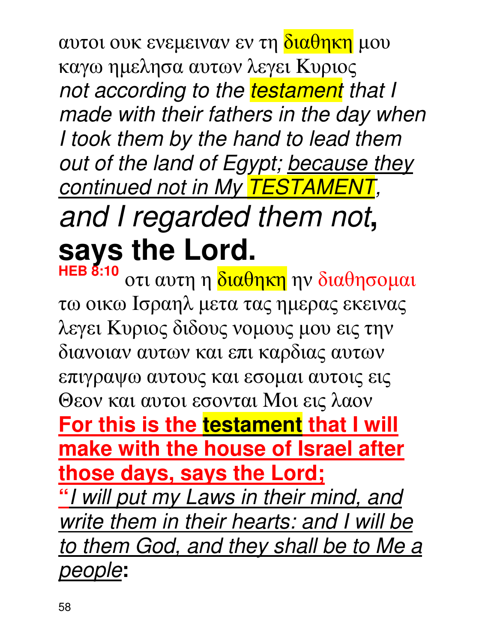αυτοι ουκ ενεμειναν εν τη διαθηκη μου καγω ηµελησα αυτων λεγει Kυριος not according to the testament that I made with their fathers in the day when I took them by the hand to lead them out of the land of Egypt; because they continued not in My TESTAMENT, and I regarded them not**, says the Lord.**

**HEB 8:10** οτι αυτη η <mark>διαθηκη</mark> ην διαθησομαι τω οικω Iσραηλ µετα τας ηµερας εκεινας λεγει Kυριος διδους νοµους µου εις την διανοιαν αυτων και επι καρδιας αυτων επιγραψω αυτους και εσοµαι αυτοις εις Θεον και αυτοι εσονται Mοι εις λαον **For this is the testament that I will make with the house of Israel after those days, says the Lord; "**I will put my Laws in their mind, and write them in their hearts: and I will be to them God, and they shall be to Me a people**:**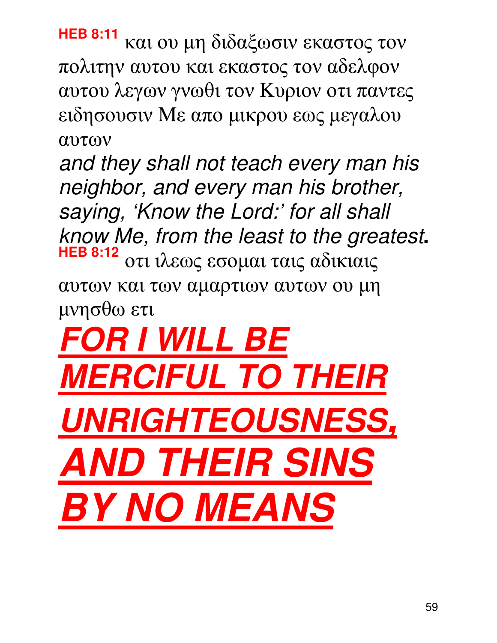**HEB 8:11** και ου µη διδαξωσιν εκαστος τον πολιτην αυτου και εκαστος τον αδελφον αυτου λεγων γνωθι τον Kυριον οτι παντες ειδησουσιν Mε απο µικρου εως µεγαλου αυτων

and they shall not teach every man his neighbor, and every man his brother, saying, 'Know the Lord:' for all shall know Me, from the least to the greatest**. HEB 8:12** οτι ιλεως εσοµαι ταις αδικιαις αυτων και των αµαρτιων αυτων ου µη µνησθω ετι

**FOR I WILL BE MERCIFUL TO THEIR UNRIGHTEOUSNESS, AND THEIR SINS BY NO MEANS**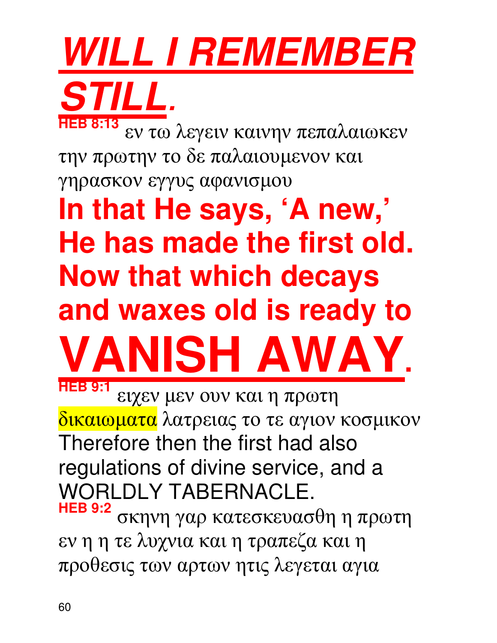## **WILL I REMEMBER STILL**.

**HEB 8:13** εν τω λεγειν καινην πεπαλαιωκεν την πρωτην το δε παλαιουµενον και γηρασκον εγγυς αφανισµου

**In that He says, 'A new,' He has made the first old. Now that which decays and waxes old is ready to VANISH AWAY. HEB 9:1**

ειχεν µεν ουν και η πρωτη δικαιωµατα λατρειας το τε αγιον κοσµικον Therefore then the first had also regulations of divine service, and a WORLDLY TABERNACLE. **HEB 9:2** σκηνη γαρ κατεσκευασθη η πρωτη εν η η τε λυχνια και η τραπεζα και η προθεσις των αρτων ητις λεγεται αγια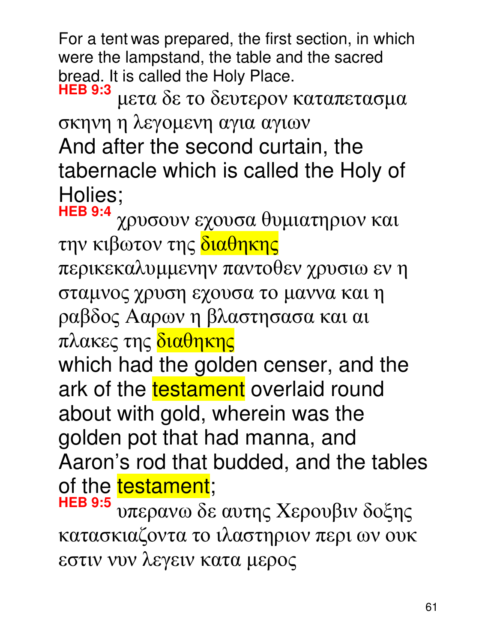For a tent was prepared, the first section, in which were the lampstand, the table and the sacred bread. It is called the Holy Place.

**HEB 9:3** µετα δε το δευτερον καταπετασµα σκηνη η λεγοµενη αγια αγιων And after the second curtain, the tabernacle which is called the Holy of Holies;

**HEB 9:4** χρυσουν εχουσα θυµιατηριον και την κιβωτον της διαθηκης περικεκαλυµµενην παντοθεν χρυσιω εν η σταµνος χρυση εχουσα το µαννα και η ραβδος Aαρων η βλαστησασα και αι πλακες της διαθηκης

which had the golden censer, and the ark of the testament overlaid round about with gold, wherein was the golden pot that had manna, and Aaron's rod that budded, and the tables of the testament;

**HEB 9:5** υπερανω δε αυτης Xερουβιν δοξης κατασκιαζοντα το ιλαστηριον περι ων ουκ εστιν νυν λεγειν κατα µερος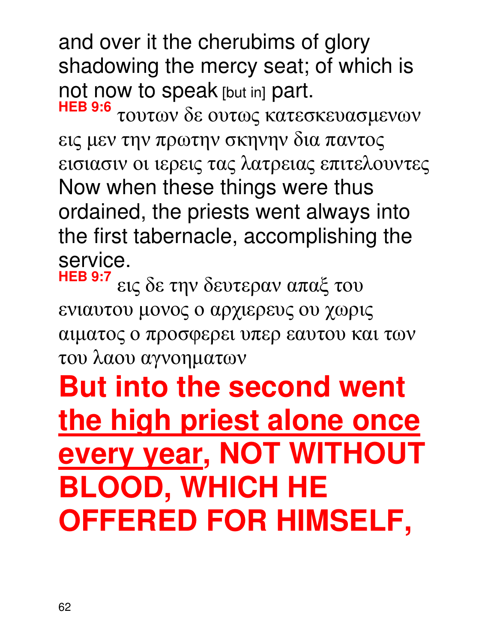and over it the cherubims of glory shadowing the mercy seat; of which is not now to speak [but in] part.

**HEB 9:6** τουτων δε ουτως κατεσκευασµενων εις µεν την πρωτην σκηνην δια παντος εισιασιν οι ιερεις τας λατρειας επιτελουντες Now when these things were thus ordained, the priests went always into the first tabernacle, accomplishing the service.

**HEB 9:7** εις δε την δευτεραν απαξ του ενιαυτου µονος ο αρχιερευς ου χωρις αιµατος ο προσφερει υπερ εαυτου και των του λαου αγνοηµατων

### **But into the second went the high priest alone once every year, NOT WITHOUT BLOOD, WHICH HE OFFERED FOR HIMSELF,**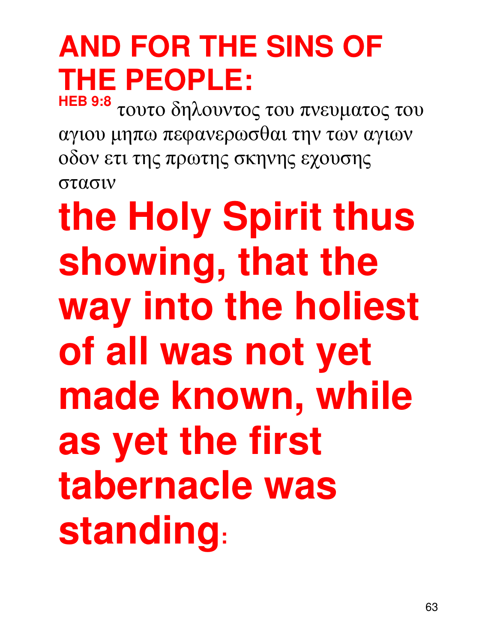### **AND FOR THE SINS OF THE PEOPLE: HEB 9:8**

τουτο δηλουντος του πνευµατος του αγιου µηπω πεφανερωσθαι την των αγιων οδον ετι της πρωτης σκηνης εχουσης στασιν

**the Holy Spirit thus showing, that the way into the holiest of all was not yet made known, while as yet the first tabernacle was standing:**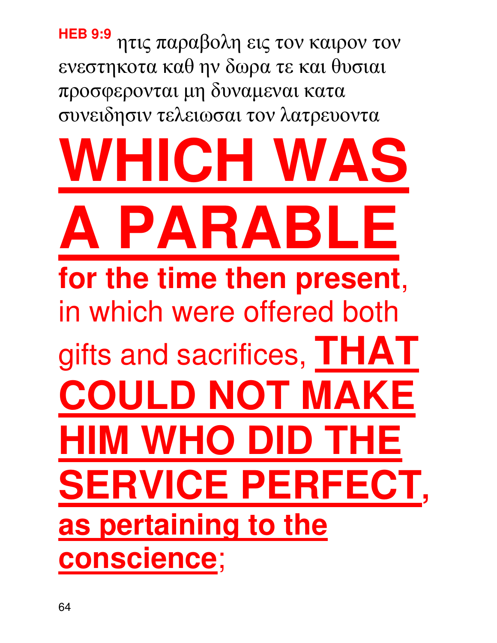**HEB 9:9** ητις παραβολη εις τον καιρον τον ενεστηκοτα καθ ην δωρα τε και θυσιαι προσφερονται µη δυναµεναι κατα συνειδησιν τελειωσαι τον λατρευοντα **KCHI A PARABLE for the time then present**, in which were offered both gifts and sacrifices, **THAT ILD NOT MAKE HIM WHO DI SERVICE PERFECT as pertaining to the conscience**;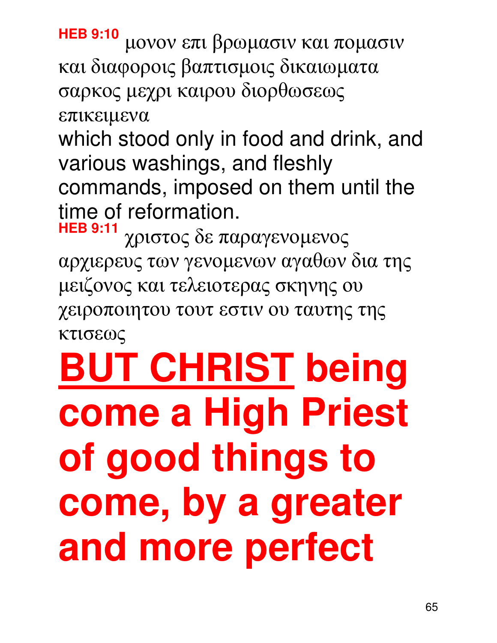**HEB 9:10** µονον επι βρωµασιν και ποµασιν και διαφοροις βαπτισµοις δικαιωµατα σαρκος µεχρι καιρου διορθωσεως επικειµενα

which stood only in food and drink, and various washings, and fleshly commands, imposed on them until the time of reformation.

**HEB 9:11** χριστος δε παραγενοµενος αρχιερευς των γενοµενων αγαθων δια της µειζονος και τελειοτερας σκηνης ου χειροποιητου τουτ εστιν ου ταυτης της κτισεως

## **BUT CHRIST being come a High Priest of good things to come, by a greater and more perfect**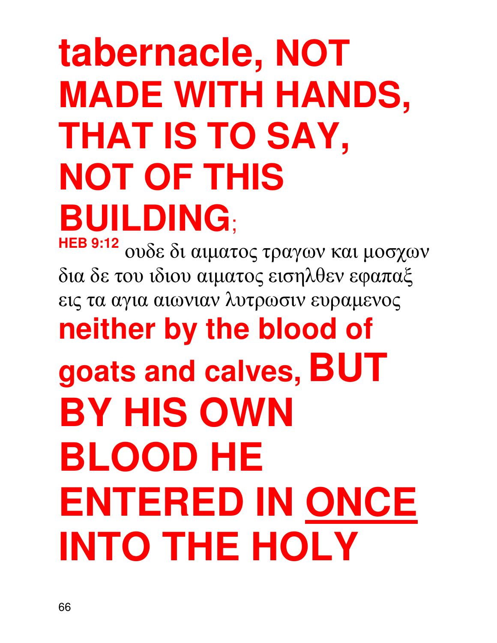### **tabernacle, NOT MADE WITH HANDS, THAT IS TO SAY, NOT OF THIS BUILDING**;

**HEB 9:12** ουδε δι αιµατος τραγων και µοσχων δια δε του ιδιου αιµατος εισηλθεν εφαπαξ εις τα αγια αιωνιαν λυτρωσιν ευραµενος **neither by the blood of goats and calves, BUT BY HIS OWN BLOOD HE ENTERED IN ONCE INTO THE HOLY**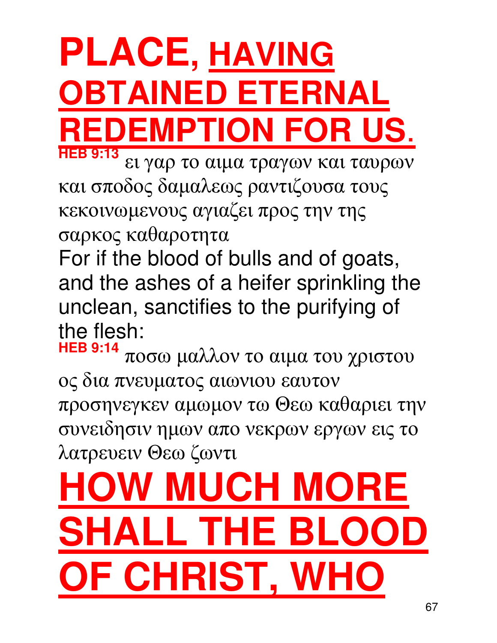### **PLACE, HAVING OBTAINED ETERNAL REDEMPTION FOR HEB 9:13**

ει γαρ το αιµα τραγων και ταυρων και σποδος δαµαλεως ραντιζουσα τους κεκοινωµενους αγιαζει προς την της σαρκος καθαροτητα

For if the blood of bulls and of goats, and the ashes of a heifer sprinkling the unclean, sanctifies to the purifying of the flesh:

**HEB 9:14** ποσω µαλλον το αιµα του χριστου ος δια πνευµατος αιωνιου εαυτον προσηνεγκεν αµωµον τω Θεω καθαριει την συνειδησιν ηµων απο νεκρων εργων εις το λατρευειν Θεω ζωντι

## **W MUCH MORE** LL THE BL **F CHRIST, WI**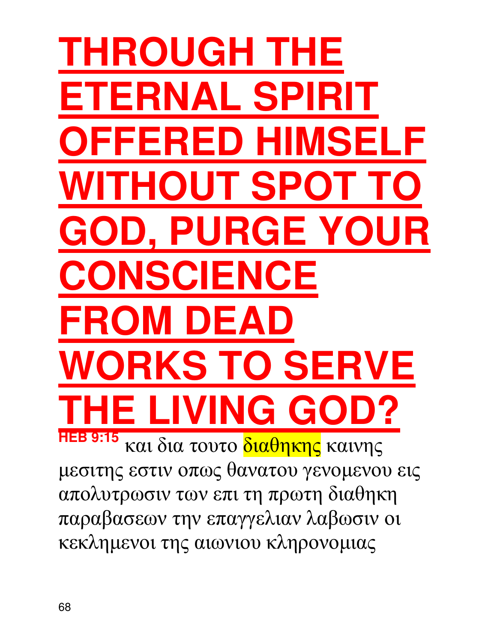### **THROUGH T ETERNAL SPIRIT**  FERED HII **OUT SP D. PURGE YO VSCIENCE FROM DEA RKS TO SERVE VING G HEB 9:15** και δια τουτο διαθηκης καινης µεσιτης εστιν οπως θανατου γενοµενου εις απολυτρωσιν των επι τη πρωτη διαθηκη παραβασεων την επαγγελιαν λαβωσιν οι κεκληµενοι της αιωνιου κληρονοµιας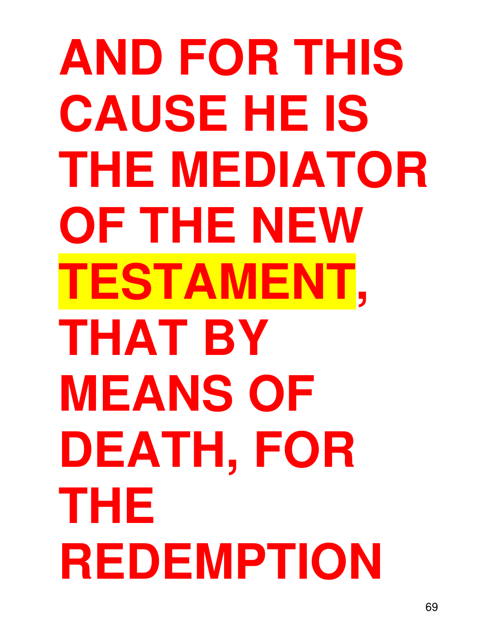**AND FOR THIS CAUSE HE IS THE MEDIATOR OF THE NEW TESTAMENT, THAT BY MEANS OF DEATH, FOR THE REDEMPTION**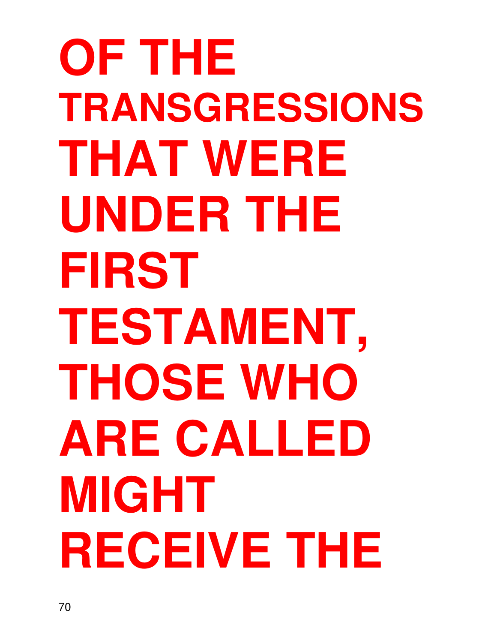**OF THE TRANSGRESSIONS THAT WERE UNDER THE FIRST TESTAMENT, THOSE WHO ARE CALLED MIGHT RECEIVE THE**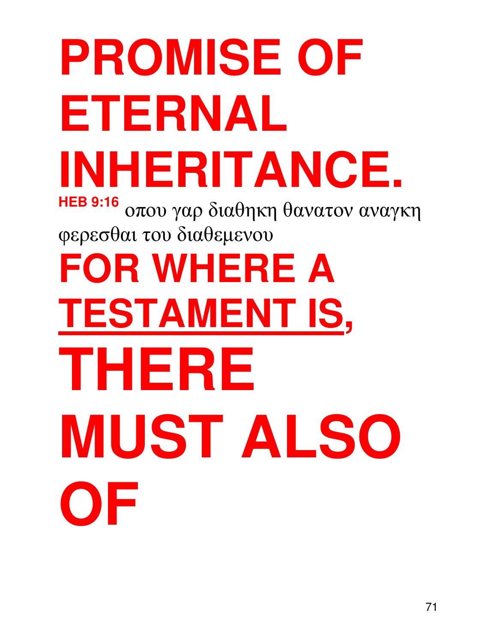# **PROMISE OF ETERNAL INHERITANCE.**

**HEB 9:16** οπου γαρ διαθηκη θανατον αναγκη φερεσθαι του διαθεµενου

**FOR WHERE A TESTAMENT IS, THERE MUST ALSO OF**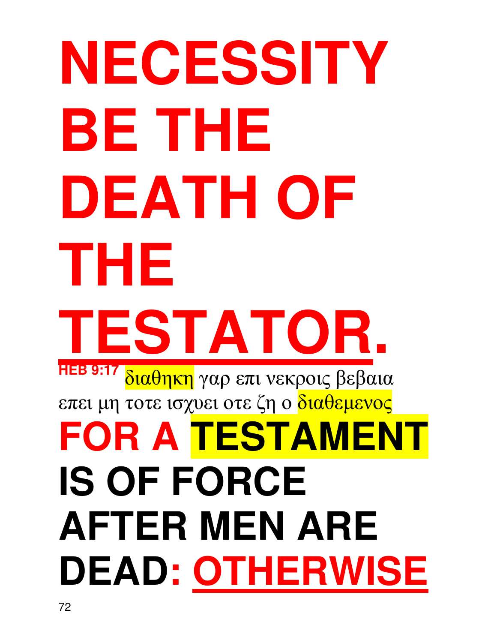## **NECESSITY BE THE DEATH OF THE TESTATOR. HEB 9:17** διαθηκη γαρ επι νεκροις βεβαια επει µη τοτε ισχυει οτε ζη ο διαθεµενος **FOR A TESTAMENT IS OF FORCE AFTER MEN ARE DEAD: OTHERWISE**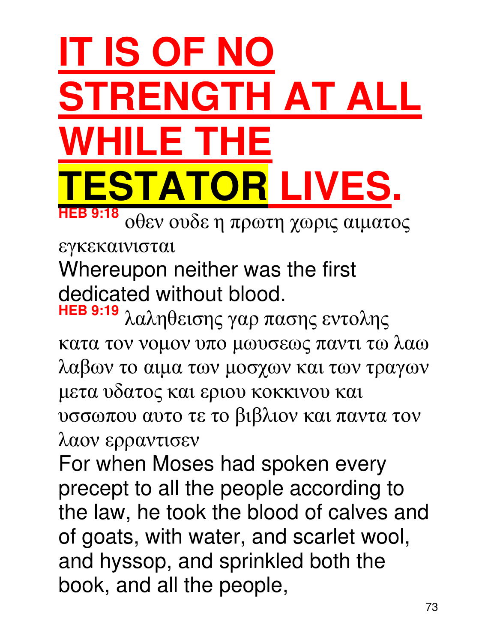## **IT IS OF NO STRENGTH AT ALL WHILE THE TESTATOR LIVES.**

**HEB 9:18** οθεν ουδε η πρωτη χωρις αιµατος

#### εγκεκαινισται

Whereupon neither was the first dedicated without blood.

λαληθεισης γαρ πασης εντολης κατα τον νοµον υπο µωυσεως παντι τω λαω λαβων το αιµα των µοσχων και των τραγων µετα υδατος και εριου κοκκινου και υσσωπου αυτο τε το βιβλιον και παντα τον λαον ερραντισεν

For when Moses had spoken every precept to all the people according to the law, he took the blood of calves and of goats, with water, and scarlet wool, and hyssop, and sprinkled both the book, and all the people,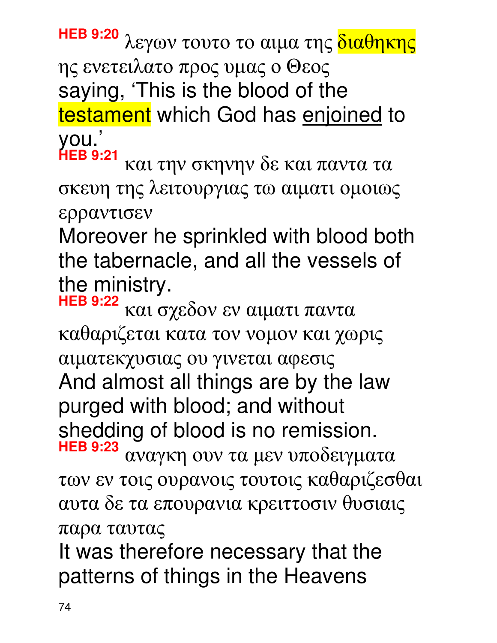**HEB 9:20** λεγων τουτο το αιµα της διαθηκης ης ενετειλατο προς υµας ο Θεος saying, 'This is the blood of the testament which God has enjoined to you.'

**HEB 9:21** και την σκηνην δε και παντα τα σκευη της λειτουργιας τω αιµατι οµοιως ερραντισεν

Moreover he sprinkled with blood both the tabernacle, and all the vessels of the ministry.

**HEB 9:22** και σχεδον εν αιµατι παντα καθαριζεται κατα τον νοµον και χωρις αιµατεκχυσιας ου γινεται αφεσις And almost all things are by the law purged with blood; and without shedding of blood is no remission. **HEB 9:23**

αναγκη ουν τα µεν υποδειγµατα των εν τοις ουρανοις τουτοις καθαριζεσθαι αυτα δε τα επουρανια κρειττοσιν θυσιαις παρα ταυτας

It was therefore necessary that the patterns of things in the Heavens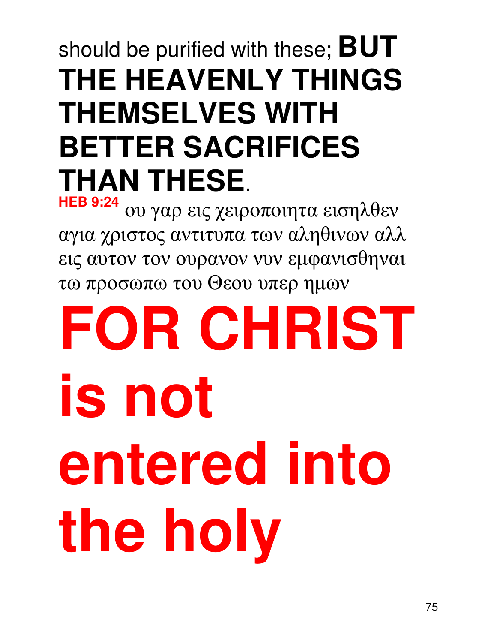#### should be purified with these; **BUT THE HEAVENLY THINGS THEMSELVES WITH BETTER SACRIFICES THAN THESE**.

**HEB 9:24** ου γαρ εις χειροποιητα εισηλθεν αγια χριστος αντιτυπα των αληθινων αλλ εις αυτον τον ουρανον νυν εµφανισθηναι τω προσωπω του Θεου υπερ ηµων

# **FOR CHRIST is not entered into the holy**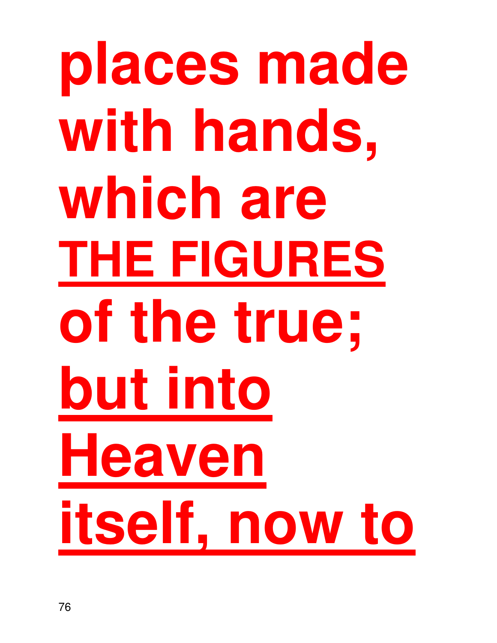## **places made with hands, which are THE FIGURES of the true; but into Heaven itself, now to**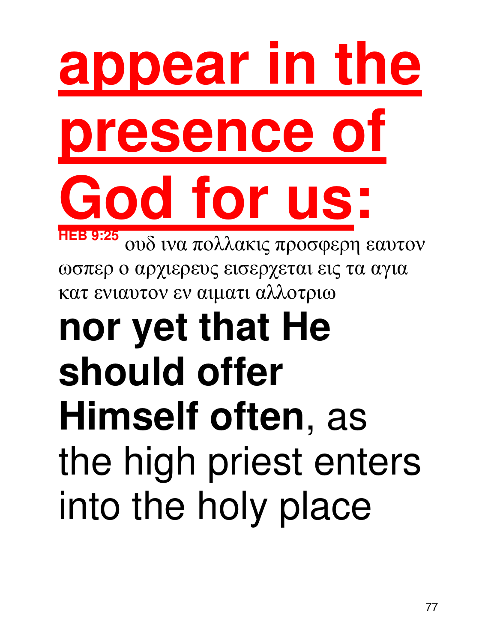# **appear in the presence of**  God for us:

**HEB 9:25** ουδ ινα πολλακις προσφερη εαυτον ωσπερ ο αρχιερευς εισερχεται εις τα αγια κατ ενιαυτον εν αιµατι αλλοτριω

### **nor yet that He should offer Himself often**, as the high priest enters into the holy place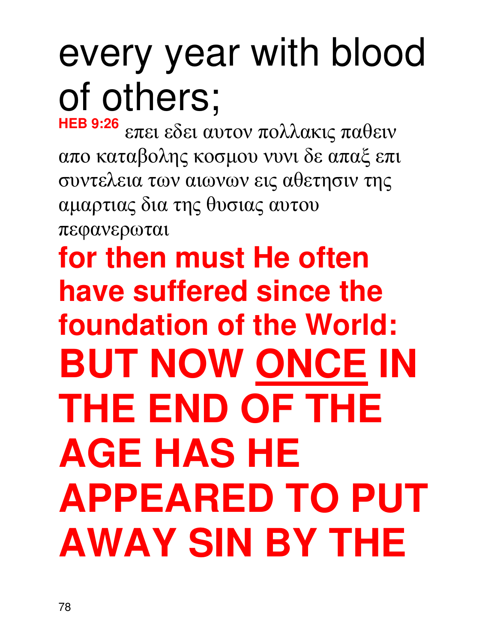### every year with blood of others;

**HEB 9:26** επει εδει αυτον πολλακις παθειν απο καταβολης κοσµου νυνι δε απαξ επι συντελεια των αιωνων εις αθετησιν της αµαρτιας δια της θυσιας αυτου πεφανερωται

**for then must He often have suffered since the foundation of the World: BUT NOW ONCE IN THE END OF THE AGE HAS HE APPEARED TO PUT AWAY SIN BY THE**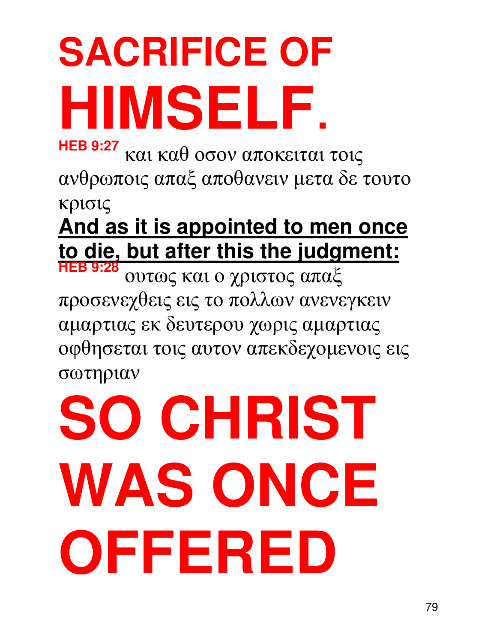## **SACRIFICE OF HIMSELF**.

**HEB 9:27** και καθ οσον αποκειται τοις ανθρωποις απαξ αποθανειν µετα δε τουτο κρισις

**And as it is appointed to men once to die, but after this the judgment:**

**HEB 9:28** ουτως και ο χριστος απαξ προσενεχθεις εις το πολλων ανενεγκειν αµαρτιας εκ δευτερου χωρις αµαρτιας οφθησεται τοις αυτον απεκδεχοµενοις εις σωτηριαν

# **SO CHRIST WAS ONCE OFFERED**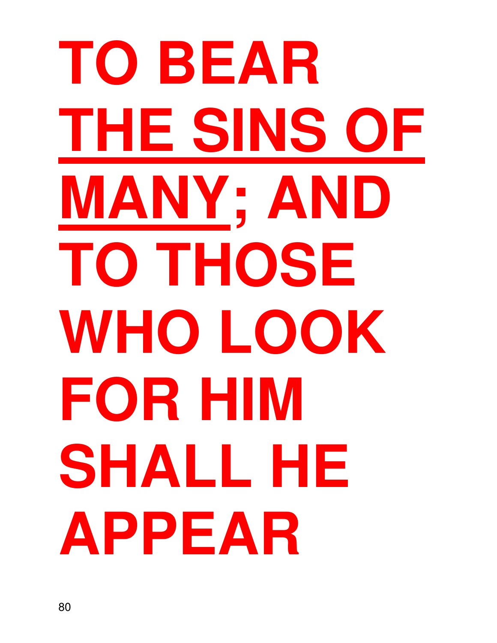# **TO BEAR THE SINS OF MANY; AND TO THOSE WHO LOOK FOR HIM SHALL HE APPEAR**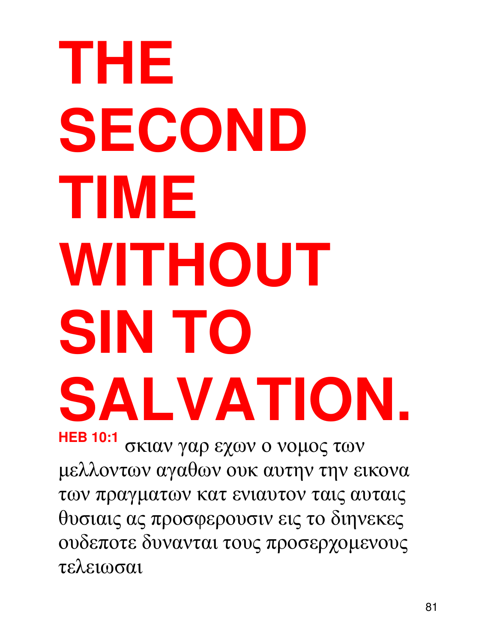## **THE SECOND TIME WITHOUT SIN TO SALVATION. HEB 10:1** σκιαν γαρ εχων ο νοµος των

µελλοντων αγαθων ουκ αυτην την εικονα των πραγµατων κατ ενιαυτον ταις αυταις θυσιαις ας προσφερουσιν εις το διηνεκες ουδεποτε δυνανται τους προσερχοµενους τελειωσαι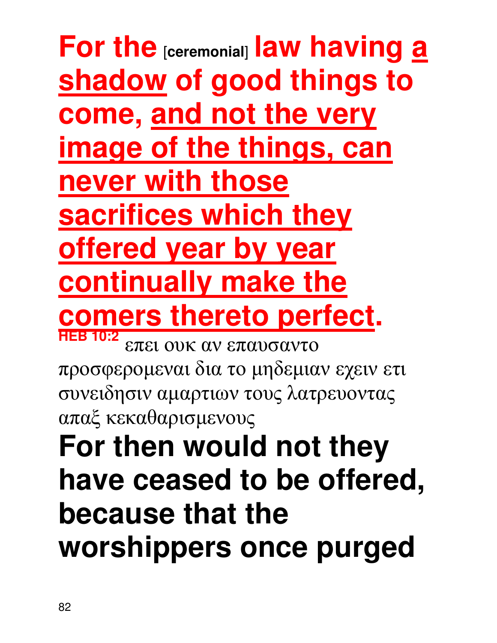**For the** [**ceremonial**] **law having a shadow of good things to come, and not the very image of the things, can never with those sacrifices which they offered year by year continually make the comers thereto perfect. HEB 10:2** επει ουκ αν επαυσαντο προσφεροµεναι δια το µηδεµιαν εχειν ετι συνειδησιν αµαρτιων τους λατρευοντας

απαξ κεκαθαρισµενους

### **For then would not they have ceased to be offered, because that the worshippers once purged**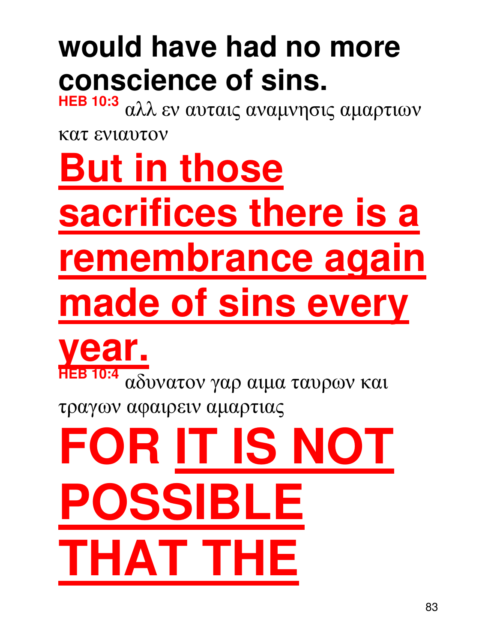### **But in those sacrifices there is a remembrance again made of sins every year. HEB 10:4** αδυνατον γαρ αιµα ταυρων και τραγων αφαιρειν αµαρτιας **OR IT IS NOT** POSSIBI

**THAT THE** 

κατ ενιαυτον

**HEB 10:3** αλλ εν αυταις αναµνησις αµαρτιων

### **would have had no more CONSCIENCE Of SINS.**<br>HEB 10:3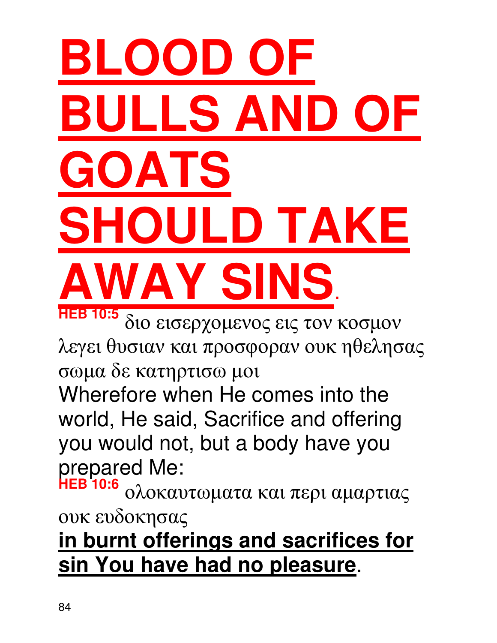## **BLOOD OF BULLS AND OF OATS SULD TAKE AWAY SINS**.

**HEB 10:5** διο εισερχοµενος εις τον κοσµον λεγει θυσιαν και προσφοραν ουκ ηθελησας σωµα δε κατηρτισω µοι

Wherefore when He comes into the world, He said, Sacrifice and offering you would not, but a body have you prepared Me:

**HEB 10:6** ολοκαυτωµατα και περι αµαρτιας ουκ ευδοκησας

#### **in burnt offerings and sacrifices for sin You have had no pleasure**.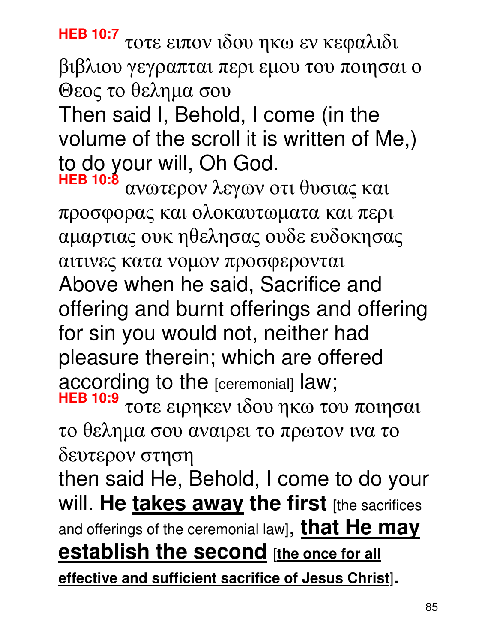**HEB 10:7** τοτε ειπον ιδου ηκω εν κεφαλιδι βιβλιου γεγραπται περι εµου του ποιησαι ο Θεος το θεληµα σου

Then said I, Behold, I come (in the volume of the scroll it is written of Me,) to do your will, Oh God.

**HEB 10:8** ανωτερον λεγων οτι θυσιας και προσφορας και ολοκαυτωµατα και περι αµαρτιας ουκ ηθελησας ουδε ευδοκησας αιτινες κατα νοµον προσφερονται Above when he said, Sacrifice and offering and burnt offerings and offering for sin you would not, neither had pleasure therein; which are offered according to the [ceremonial] law; **HEB 10:9** τοτε ειρηκεν ιδου ηκω του ποιησαι

το θεληµα σου αναιρει το πρωτον ινα το δευτερον στηση

then said He, Behold, I come to do your will. He **takes away the first** [the sacrifices and offerings of the ceremonial law], **that He may <u>establish the second</u>** [the once for all

**effective and sufficient sacrifice of Jesus Christ**].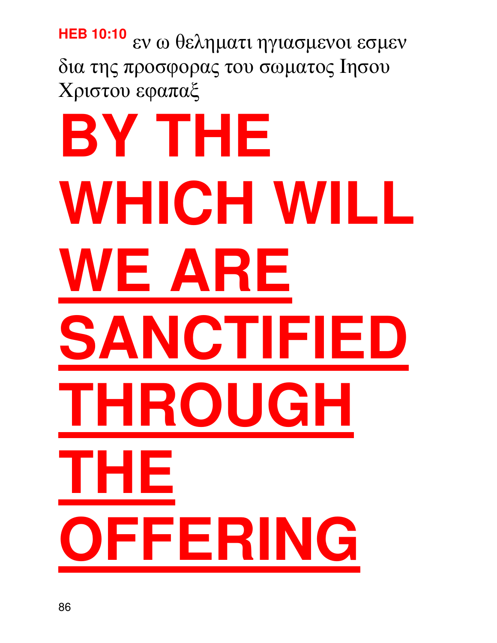#### **HEB 10:10** εν ω θεληµατι ηγιασµενοι εσµεν δια της προσφορας του σωµατος Iησου Xριστου εφαπαξ

# **BY THE WHICH WILL WE ARE SANCTIFIE THROUGH THE OFFERING**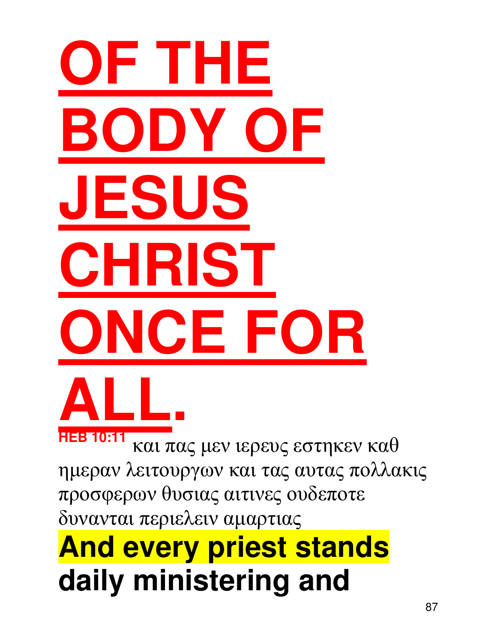# **OF THE BODY OF JESUS CHRIST ONCE FOR ALL.**

**HEB 10:11** και πας µεν ιερευς εστηκεν καθ ηµεραν λειτουργων και τας αυτας πολλακις προσφερων θυσιας αιτινες ουδεποτε δυνανται περιελειν αµαρτιας

### **And every priest stands daily ministering and**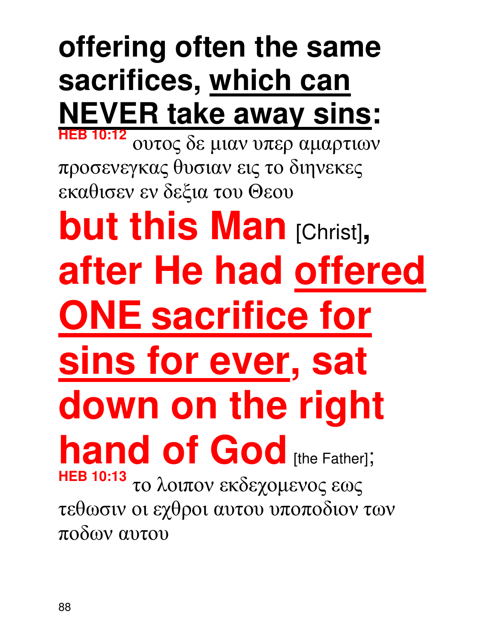#### **offering often the same sacrifices, which can NEVER take away sins: HEB 10:12**

ουτος δε µιαν υπερ αµαρτιων προσενεγκας θυσιαν εις το διηνεκες εκαθισεν εν δεξια του Θεου

**but this Man [Christ], after He had offered ONE sacrifice for sins for ever, sat down on the right hand of God** [the Father]; **HEB 10:13** το λοιπον εκδεχοµενος εως τεθωσιν οι εχθροι αυτου υποποδιον των ποδων αυτου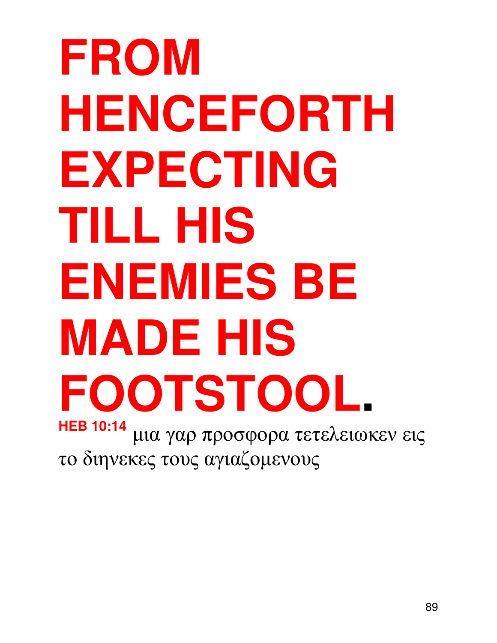**FROM HENCEFORTH EXPECTING TILL HIS ENEMIES BE MADE HIS FOOTSTOOL. HEB 10:14** µια γαρ προσφορα τετελειωκεν εις το διηνεκες τους αγιαζοµενους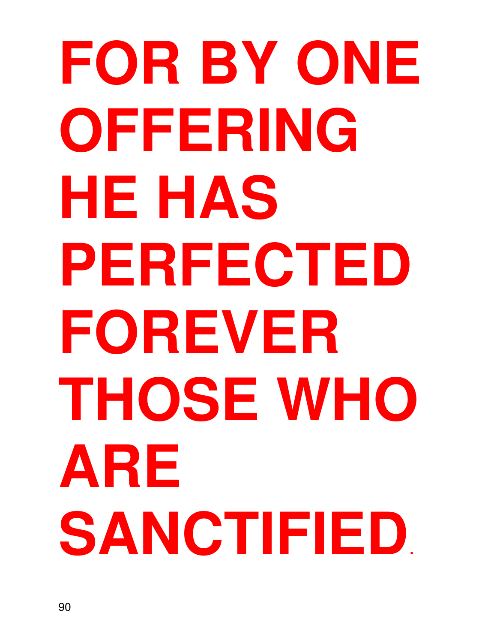# **FOR BY ONE OFFERING HE HAS PERFECTED FOREVER THOSE WHO ARE SANCTIFIED**.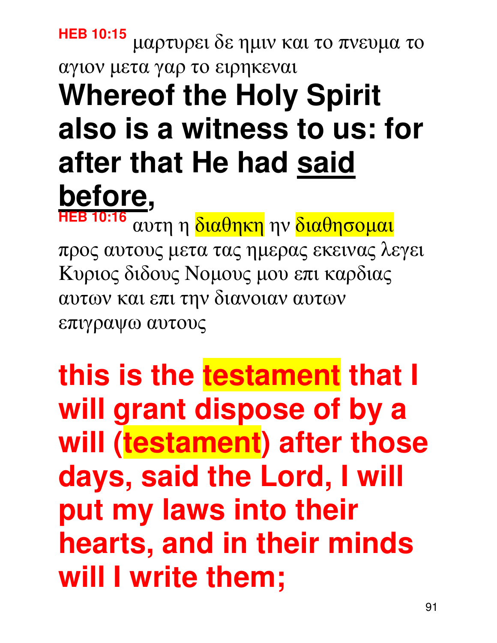#### **HEB 10:15** µαρτυρει δε ηµιν και το πνευµα το αγιον µετα γαρ το ειρηκεναι **Whereof the Holy Spirit also is a witness to us: for after that He had said before, HEB 10:16**

αυτη η διαθηκη ην διαθησοµαι προς αυτους µετα τας ηµερας εκεινας λεγει Kυριος διδους Nοµους µου επι καρδιας αυτων και επι την διανοιαν αυτων επιγραψω αυτους

**this is the testament that I will grant dispose of by a will (testament) after those days, said the Lord, I will put my laws into their hearts, and in their minds will I write them;**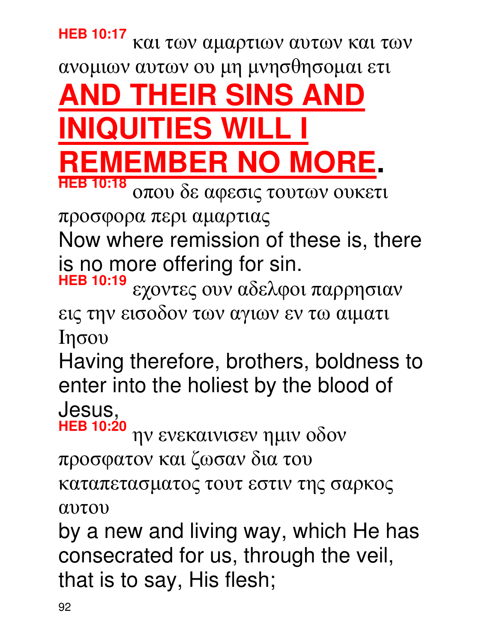#### **HEB 10:17** και των αµαρτιων αυτων και των ανοµιων αυτων ου µη µνησθησοµαι ετι

**AND THEIR SINS AND QUITIES WI MEMBER NO MORE. HEB 10:18**

οπου δε αφεσις τουτων ουκετι

προσφορα περι αµαρτιας

Now where remission of these is, there is no more offering for sin.

**HEB 10:19** εχοντες ουν αδελφοι παρρησιαν εις την εισοδον των αγιων εν τω αιµατι Iησου

Having therefore, brothers, boldness to enter into the holiest by the blood of Jesus,

**HEB 10:20** ην ενεκαινισεν ηµιν οδον προσφατον και ζωσαν δια του καταπετασµατος τουτ εστιν της σαρκος αυτου

by a new and living way, which He has consecrated for us, through the veil, that is to say, His flesh;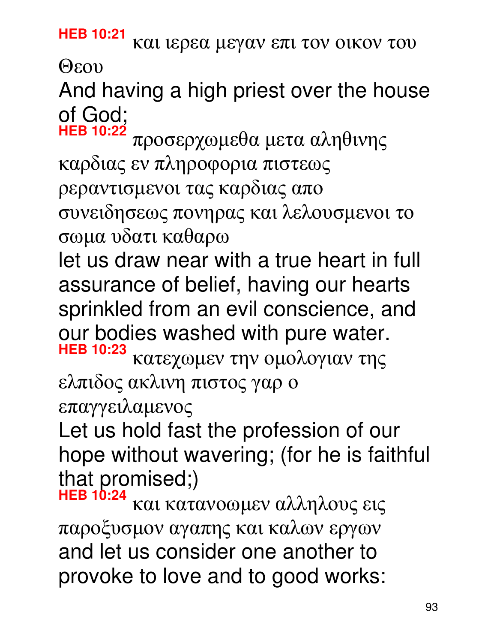**HEB 10:21** και ιερεα µεγαν επι τον οικον του Θεου

### And having a high priest over the house of God;<br>HEB 10:22

**HEB 10:22** προσερχωµεθα µετα αληθινης καρδιας εν πληροφορια πιστεως ρεραντισµενοι τας καρδιας απο συνειδησεως πονηρας και λελουσµενοι το σωµα υδατι καθαρω

let us draw near with a true heart in full assurance of belief, having our hearts sprinkled from an evil conscience, and our bodies washed with pure water.

**HEB 10:23** κατεχωµεν την οµολογιαν της ελπιδος ακλινη πιστος γαρ ο

επαγγειλαµενος

Let us hold fast the profession of our hope without wavering; (for he is faithful that promised;)

**HEB 10:24** και κατανοωµεν αλληλους εις παροξυσµον αγαπης και καλων εργων and let us consider one another to provoke to love and to good works: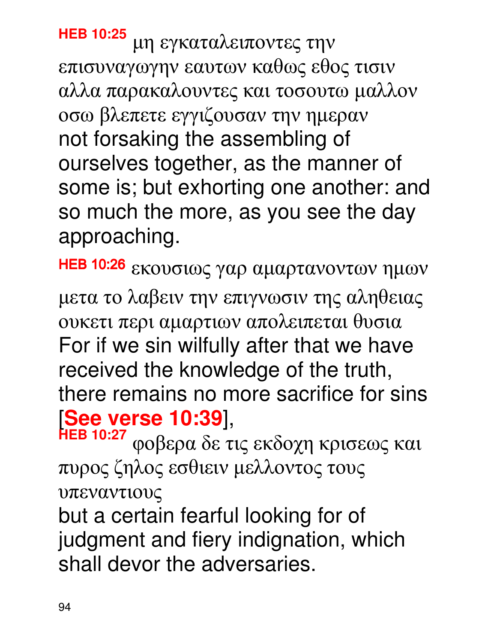**HEB 10:25** µη εγκαταλειποντες την επισυναγωγην εαυτων καθως εθος τισιν αλλα παρακαλουντες και τοσουτω µαλλον οσω βλεπετε εγγιζουσαν την ηµεραν not forsaking the assembling of ourselves together, as the manner of some is; but exhorting one another: and so much the more, as you see the day approaching.

HEB 10:26 εκουσιως γαρ αµαρτανοντων ηµων µετα το λαβειν την επιγνωσιν της αληθειας ουκετι περι αµαρτιων απολειπεται θυσια For if we sin wilfully after that we have received the knowledge of the truth, there remains no more sacrifice for sins [**See verse 10:39**],

**HEB 10:27** φοβερα δε τις εκδοχη κρισεως και πυρος ζηλος εσθιειν µελλοντος τους υπεναντιους

but a certain fearful looking for of judgment and fiery indignation, which shall devor the adversaries.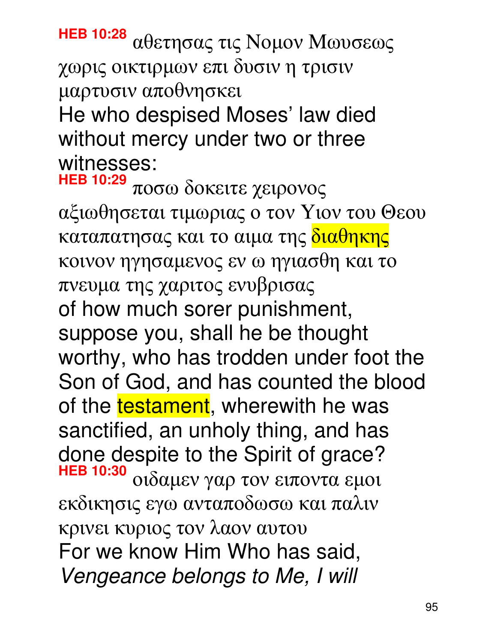**HEB 10:28** αθετησας τις Nοµον Mωυσεως χωρις οικτιρµων επι δυσιν η τρισιν µαρτυσιν αποθνησκει He who despised Moses' law died without mercy under two or three witnesses:

**HEB 10:29** ποσω δοκειτε χειρονος αξιωθησεται τιµωριας ο τον Yιον του Θεου καταπατησας και το αιµα της διαθηκης κοινον ηγησαµενος εν ω ηγιασθη και το πνευµα της χαριτος ενυβρισας of how much sorer punishment, suppose you, shall he be thought worthy, who has trodden under foot the Son of God, and has counted the blood of the testament, wherewith he was sanctified, an unholy thing, and has done despite to the Spirit of grace? **HEB 10:30** οιδαµεν γαρ τον ειποντα εµοι εκδικησις εγω ανταποδωσω και παλιν κρινει κυριος τον λαον αυτου For we know Him Who has said, Vengeance belongs to Me, I will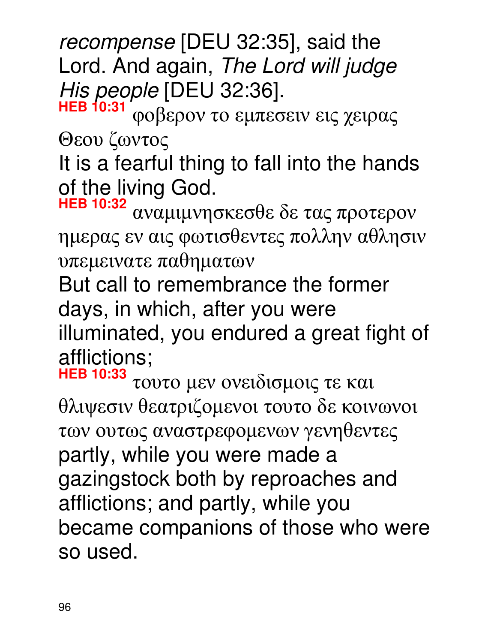recompense [DEU 32:35], said the Lord. And again, The Lord will judge  $His$  people [DEU 32:36].

**HEB 10:31** φοβερον το εµπεσειν εις χειρας Θεου ζωντος

It is a fearful thing to fall into the hands of the living God.

**HEB 10:32** αναµιµνησκεσθε δε τας προτερον ηµερας εν αις φωτισθεντες πολλην αθλησιν υπεµεινατε παθηµατων

But call to remembrance the former days, in which, after you were illuminated, you endured a great fight of afflictions;

**HEB 10:33** τουτο µεν ονειδισµοις τε και θλιψεσιν θεατριζοµενοι τουτο δε κοινωνοι των ουτως αναστρεφοµενων γενηθεντες partly, while you were made a gazingstock both by reproaches and afflictions; and partly, while you became companions of those who were so used.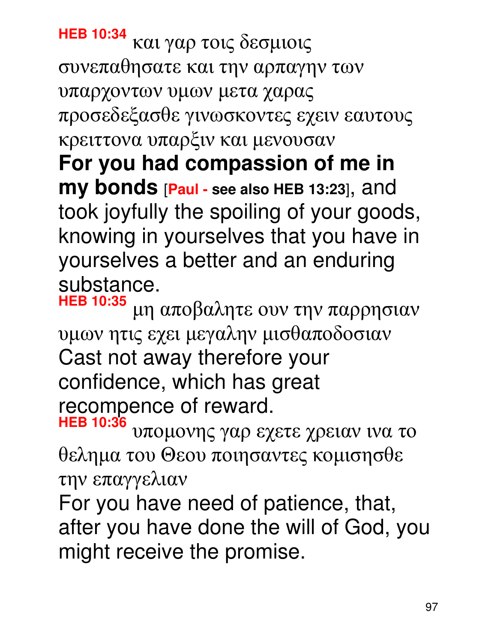**HEB 10:34** και γαρ τοις δεσµιοις συνεπαθησατε και την αρπαγην των υπαρχοντων υµων µετα χαρας προσεδεξασθε γινωσκοντες εχειν εαυτους κρειττονα υπαρξιν και µενουσαν **For you had compassion of me in my bonds** [**Paul - see also HEB 13:23**], and took joyfully the spoiling of your goods, knowing in yourselves that you have in yourselves a better and an enduring substance.

**HEB 10:35** µη αποβαλητε ουν την παρρησιαν υµων ητις εχει µεγαλην µισθαποδοσιαν Cast not away therefore your confidence, which has great recompence of reward.

**HEB 10:36** υποµονης γαρ εχετε χρειαν ινα το θεληµα του Θεου ποιησαντες κοµισησθε την επαγγελιαν

For you have need of patience, that, after you have done the will of God, you might receive the promise.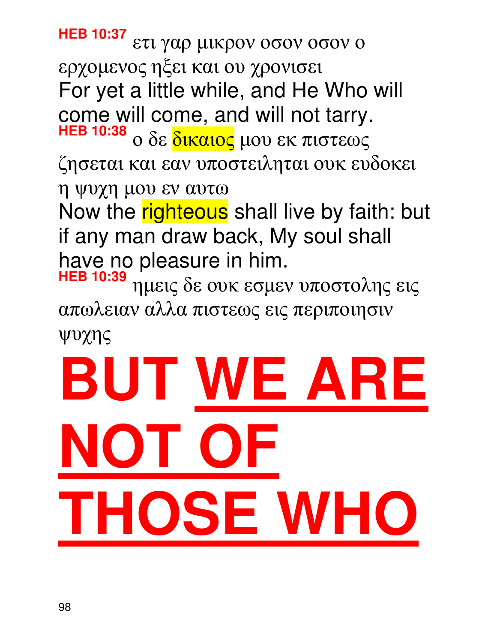**HEB 10:37** ετι γαρ µικρον οσον οσον ο ερχοµενος ηξει και ου χρονισει For yet a little while, and He Who will come will come, and will not tarry. **HEB 10:38** ο δε δικαιος µου εκ πιστεως ζησεται και εαν υποστειληται ουκ ευδοκει η ψυχη µου εν αυτω Now the righteous shall live by faith: but if any man draw back, My soul shall have no pleasure in him.

**HEB 10:39** ηµεις δε ουκ εσµεν υποστολης εις απωλειαν αλλα πιστεως εις περιποιησιν ψυχης

# **BUT WE ARE NOT OF THOSE WHO**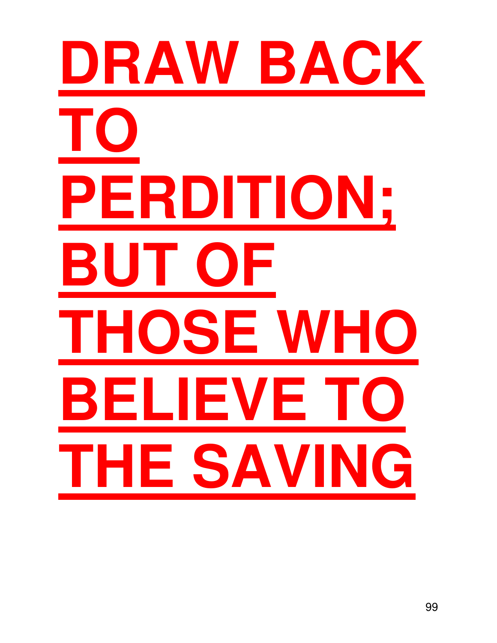# **DRAW BACK TO PERDITION; BUT OF THOSE WHO BELIEVE** 1 **THE SAVING**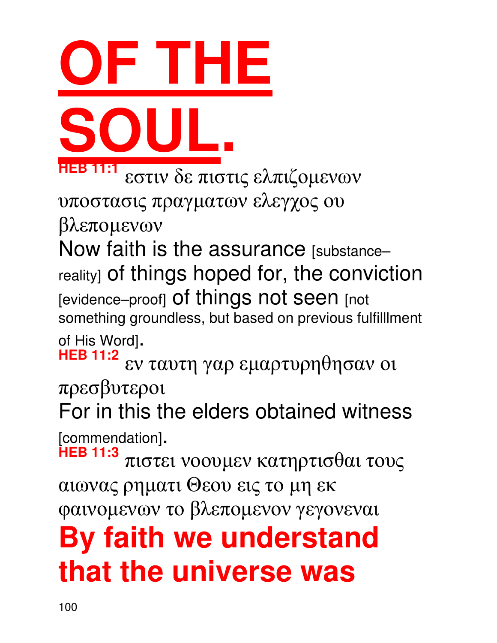#### φαινοµενων το βλεποµενον γεγονεναι **By faith we understand that the universe was**

[commendation]. **HEB 11:3** πιστει νοουµεν κατηρτισθαι τους αιωνας ρηµατι Θεου εις το µη εκ

πρεσβυτεροι For in this the elders obtained witness

of His Word]. **HEB 11:2** εν ταυτη γαρ εµαρτυρηθησαν οι

Now faith is the assurance [substancereality] of things hoped for, the conviction [evidence-proof] Of things not seen [not something groundless, but based on previous fulfilllment

υποστασις πραγµατων ελεγχος ου βλεποµενων

**HEB 11:1** εστιν δε πιστις ελπιζοµενων

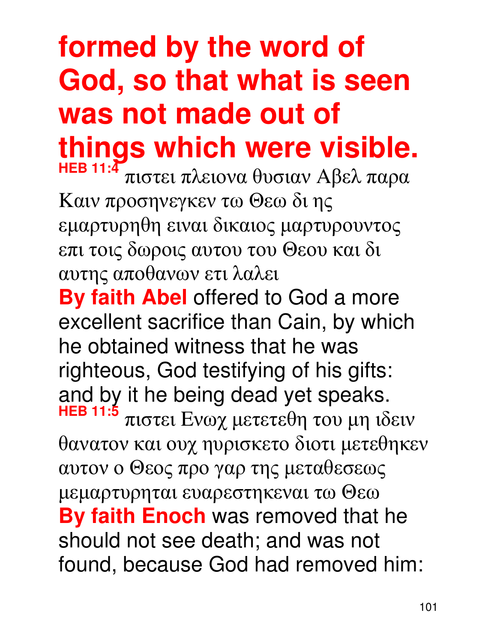#### **formed by the word of God, so that what is seen was not made out of things which were visible. HEB 11:4**

πιστει πλειονα θυσιαν Aβελ παρα Kαιν προσηνεγκεν τω Θεω δι ης εµαρτυρηθη ειναι δικαιος µαρτυρουντος επι τοις δωροις αυτου του Θεου και δι αυτης αποθανων ετι λαλει

**By faith Abel** offered to God a more excellent sacrifice than Cain, by which he obtained witness that he was righteous, God testifying of his gifts: and by it he being dead yet speaks. **HEB 11:5** πιστει Eνωχ µετετεθη του µη ιδειν θανατον και ουχ ηυρισκετο διοτι µετεθηκεν αυτον ο Θεος προ γαρ της µεταθεσεως µεµαρτυρηται ευαρεστηκεναι τω Θεω **By faith Enoch** was removed that he should not see death; and was not found, because God had removed him: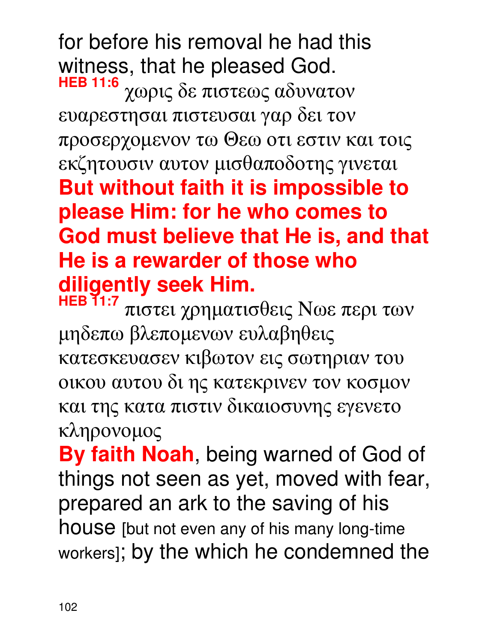for before his removal he had this witness, that he pleased God. **HEB 11:6** χωρις δε πιστεως αδυνατον ευαρεστησαι πιστευσαι γαρ δει τον προσερχοµενον τω Θεω οτι εστιν και τοις εκζητουσιν αυτον µισθαποδοτης γινεται **But without faith it is impossible to please Him: for he who comes to God must believe that He is, and that He is a rewarder of those who diligently seek Him.** 

**HEB 11:7** πιστει χρηµατισθεις Nωε περι των µηδεπω βλεποµενων ευλαβηθεις κατεσκευασεν κιβωτον εις σωτηριαν του οικου αυτου δι ης κατεκρινεν τον κοσµον και της κατα πιστιν δικαιοσυνης εγενετο κληρονοµος

**By faith Noah**, being warned of God of things not seen as yet, moved with fear, prepared an ark to the saving of his house [but not even any of his many long-time workers]; by the which he condemned the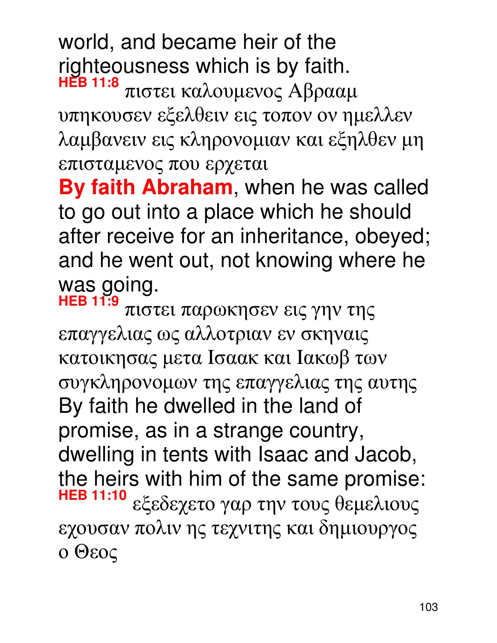world, and became heir of the righteousness which is by faith. **HEB 11:8**

πιστει καλουµενος Aβρααµ υπηκουσεν εξελθειν εις τοπον ον ηµελλεν λαµβανειν εις κληρονοµιαν και εξηλθεν µη επισταµενος που ερχεται

**By faith Abraham**, when he was called to go out into a place which he should after receive for an inheritance, obeyed; and he went out, not knowing where he was going.

**HEB 11:9** πιστει παρωκησεν εις γην της επαγγελιας ως αλλοτριαν εν σκηναις κατοικησας µετα Iσαακ και Iακωβ των συγκληρονοµων της επαγγελιας της αυτης By faith he dwelled in the land of promise, as in a strange country, dwelling in tents with Isaac and Jacob, the heirs with him of the same promise:<br>HEB 11:10 **HEB 11:10** εξεδεχετο γαρ την τους θεµελιους εχουσαν πολιν ης τεχνιτης και δηµιουργος ο Θεος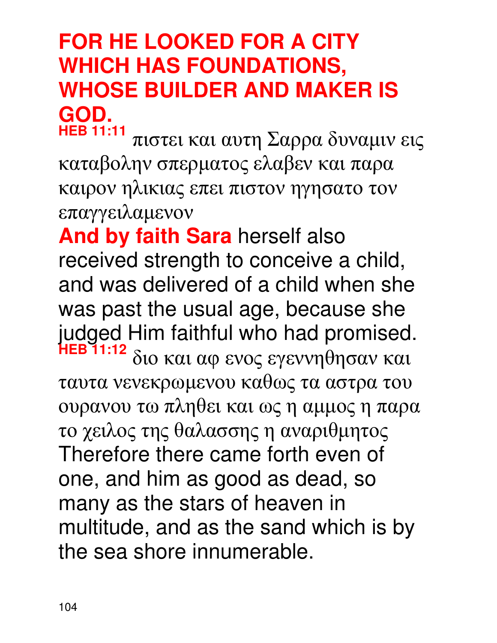#### **FOR HE LOOKED FOR A CITY WHICH HAS FOUNDATIONS, WHOSE BUILDER AND MAKER IS GOD. HEB 11:11**

πιστει και αυτη Σαρρα δυναµιν εις καταβολην σπερµατος ελαβεν και παρα καιρον ηλικιας επει πιστον ηγησατο τον επαγγειλαµενον

**And by faith Sara** herself also received strength to conceive a child, and was delivered of a child when she was past the usual age, because she judged Him faithful who had promised. **HEB 11:12** διο και αφ ενος εγεννηθησαν και ταυτα νενεκρωµενου καθως τα αστρα του ουρανου τω πληθει και ως η αµµος η παρα το χειλος της θαλασσης η αναριθµητος Therefore there came forth even of one, and him as good as dead, so many as the stars of heaven in multitude, and as the sand which is by the sea shore innumerable.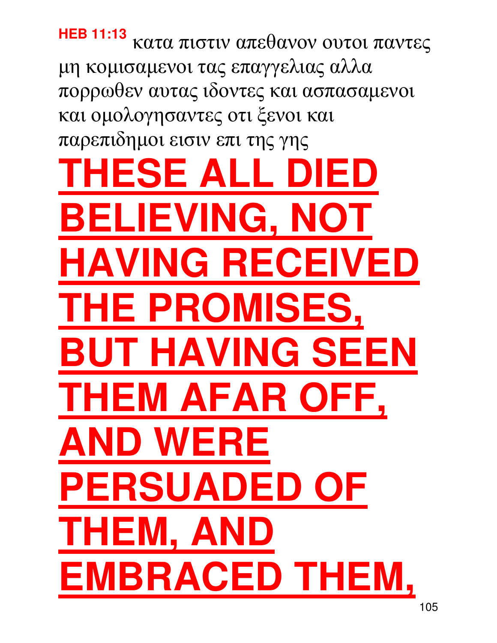**HEB 11:13** κατα πιστιν απεθανον ουτοι παντες µη κοµισαµενοι τας επαγγελιας αλλα πορρωθεν αυτας ιδοντες και ασπασαµενοι και οµολογησαντες οτι ξενοι και παρεπιδηµοι εισιν επι της γης **THE ALL I BELIEVING, NOT HAVING RECEIVED THE PROMISES, F HAVING SEEN THEM AFAR OFI AND WERE PERSUADED OF THEM, A**I **MBRACED THEM**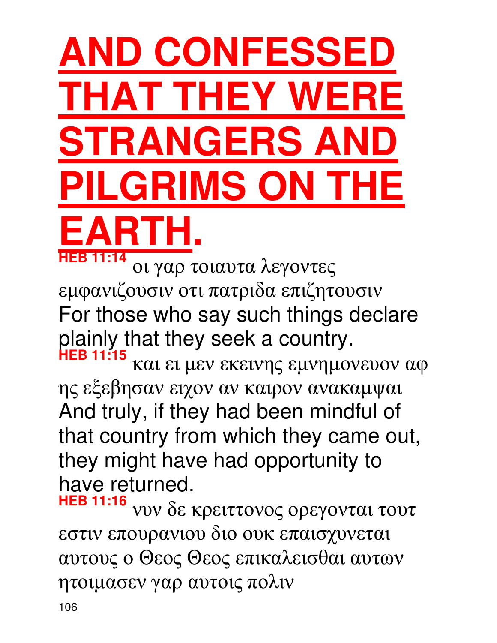### **AND CONFESSEI THAT THEY WER STRANGERS AN ILGRIMS ON THE EARTH.**

**HEB 11:14** οι γαρ τοιαυτα λεγοντες εµφανιζουσιν οτι πατριδα επιζητουσιν For those who say such things declare plainly that they seek a country.

**HEB 11:15** και ει µεν εκεινης εµνηµονευον αφ ης εξεβησαν ειχον αν καιρον ανακαµψαι And truly, if they had been mindful of that country from which they came out, they might have had opportunity to have returned.

**HEB 11:16** νυν δε κρειττονος ορεγονται τουτ εστιν επουρανιου διο ουκ επαισχυνεται αυτους ο Θεος Θεος επικαλεισθαι αυτων ητοιµασεν γαρ αυτοις πολιν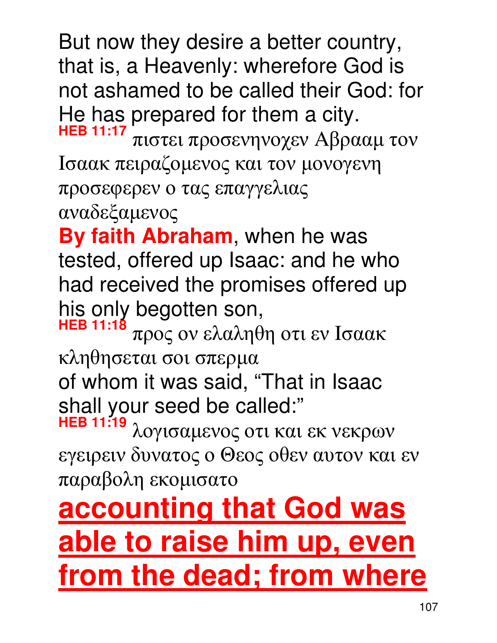But now they desire a better country, that is, a Heavenly: wherefore God is not ashamed to be called their God: for He has prepared for them a city.

**HEB 11:17** πιστει προσενηνοχεν Aβρααµ τον Iσαακ πειραζοµενος και τον µονογενη προσεφερεν ο τας επαγγελιας αναδεξαµενος

**By faith Abraham**, when he was tested, offered up Isaac: and he who had received the promises offered up his only begotten son,

**HEB 11:18** προς ον ελαληθη οτι εν Iσαακ κληθησεται σοι σπερµα of whom it was said, "That in Isaac

shall your seed be called:"

**HEB 11:19** λογισαµενος οτι και εκ νεκρων εγειρειν δυνατος ο Θεος οθεν αυτον και εν παραβολη εκοµισατο

#### **accounting that God was able to raise him up, even from the dead; from where**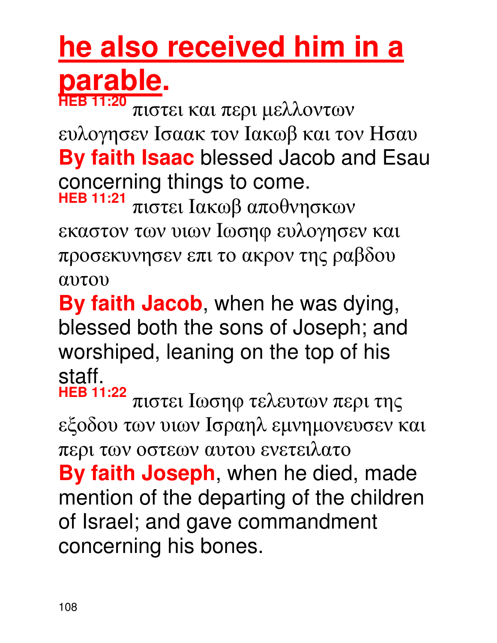#### **he also received him in a parable. HEB 11:20**

πιστει και περι µελλοντων ευλογησεν Iσαακ τον Iακωβ και τον Hσαυ **By faith Isaac** blessed Jacob and Esau concerning things to come. **HEB 11:21**

πιστει Iακωβ αποθνησκων εκαστον των υιων Iωσηφ ευλογησεν και προσεκυνησεν επι το ακρον της ραβδου αυτου

**By faith Jacob**, when he was dying, blessed both the sons of Joseph; and worshiped, leaning on the top of his staff.

**HEB 11:22** πιστει Iωσηφ τελευτων περι της εξοδου των υιων Iσραηλ εµνηµονευσεν και περι των οστεων αυτου ενετειλατο **By faith Joseph**, when he died, made mention of the departing of the children of Israel; and gave commandment concerning his bones.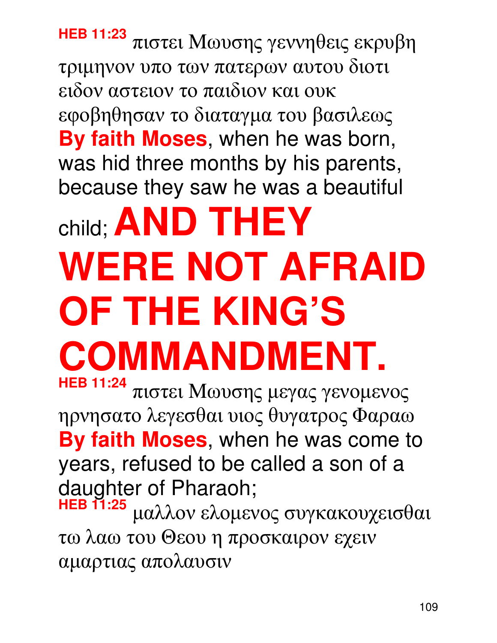**HEB 11:23** πιστει Mωυσης γεννηθεις εκρυβη τριµηνον υπο των πατερων αυτου διοτι ειδον αστειον το παιδιον και ουκ εφοβηθησαν το διαταγµα του βασιλεως **By faith Moses**, when he was born, was hid three months by his parents, because they saw he was a beautiful

# child; **AND THEY WERE NOT AFRAID OF THE KING'S COMMANDMENT.**

**HEB 11:24** πιστει Mωυσης µεγας γενοµενος ηρνησατο λεγεσθαι υιος θυγατρος Φαραω **By faith Moses**, when he was come to years, refused to be called a son of a daughter of Pharaoh;

**HEB 11:25** µαλλον ελοµενος συγκακουχεισθαι τω λαω του Θεου η προσκαιρον εχειν αµαρτιας απολαυσιν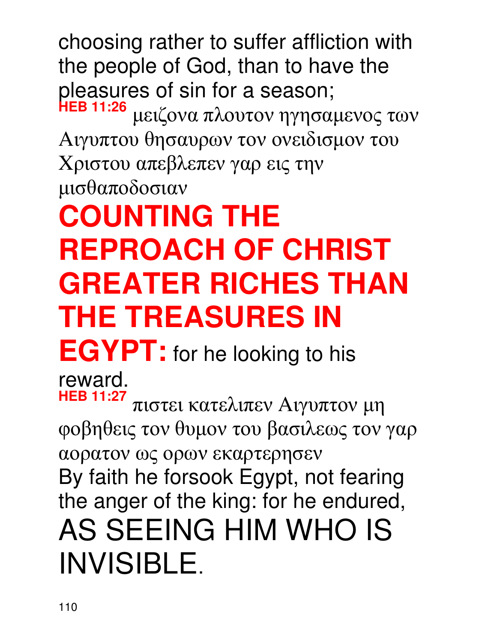choosing rather to suffer affliction with the people of God, than to have the pleasures of sin for a season;<br>HEB 11:26 μειζονα πλουτον ηγησαμενος των Aιγυπτου θησαυρων τον ονειδισµον του Xριστου απεβλεπεν γαρ εις την µισθαποδοσιαν

## **COUNTING THE REPROACH OF CHRIST GREATER RICHES THAN THE TREASURES IN**

**EGYPT:** for he looking to his

reward.

**HEB 11:27** πιστει κατελιπεν Aιγυπτον µη φοβηθεις τον θυµον του βασιλεως τον γαρ αορατον ως ορων εκαρτερησεν By faith he forsook Egypt, not fearing the anger of the king: for he endured, AS SEEING HIM WHO IS INVISIBLE.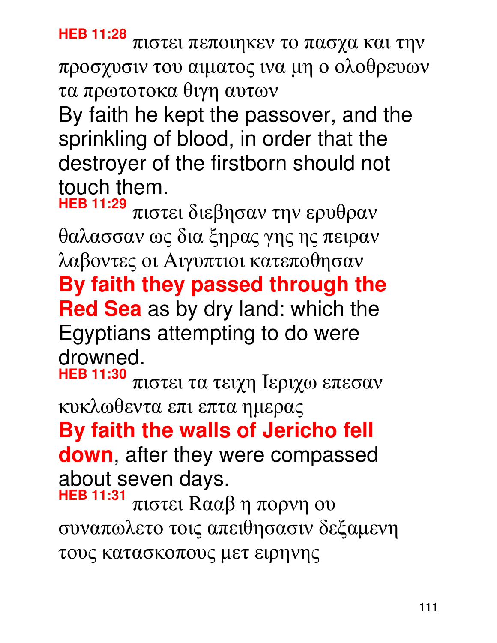**HEB 11:28** πιστει πεποιηκεν το πασχα και την προσχυσιν του αιµατος ινα µη ο ολοθρευων τα πρωτοτοκα θιγη αυτων

By faith he kept the passover, and the sprinkling of blood, in order that the destroyer of the firstborn should not touch them.

**HEB 11:29** πιστει διεβησαν την ερυθραν θαλασσαν ως δια ξηρας γης ης πειραν λαβοντες οι Aιγυπτιοι κατεποθησαν **By faith they passed through the Red Sea** as by dry land: which the Egyptians attempting to do were drowned.

**HEB 11:30** πιστει τα τειχη Iεριχω επεσαν κυκλωθεντα επι επτα ηµερας **By faith the walls of Jericho fell down**, after they were compassed

about seven days.

**HEB 11:31** πιστει Rααβ η πορνη ου συναπωλετο τοις απειθησασιν δεξαµενη τους κατασκοπους µετ ειρηνης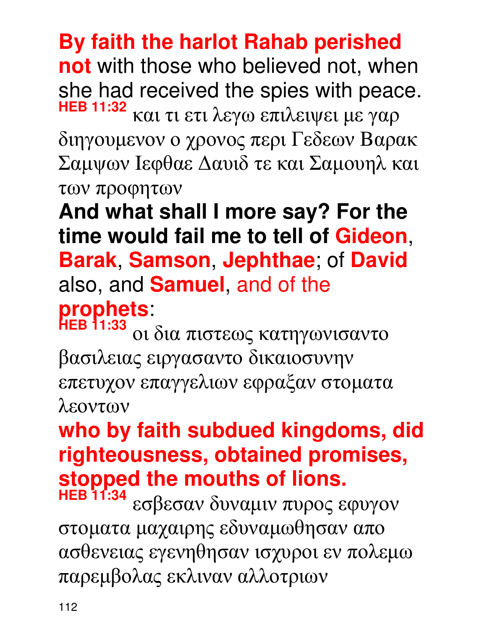#### **By faith the harlot Rahab perished**

**not** with those who believed not, when she had received the spies with peace. **HEB 11:32** και τι ετι λεγω επιλειψει µε γαρ

διηγουµενον ο χρονος περι Γεδεων Bαρακ Σαµψων Iεφθαε ∆αυιδ τε και Σαµουηλ και των προφητων

**And what shall I more say? For the time would fail me to tell of Gideon**, **Barak**, **Samson**, **Jephthae**; of **David** also, and **Samuel**, and of the **prophets**:

**HEB 11:33** οι δια πιστεως κατηγωνισαντο βασιλειας ειργασαντο δικαιοσυνην επετυχον επαγγελιων εφραξαν στοµατα λεοντων

### **who by faith subdued kingdoms, did righteousness, obtained promises, stopped the mouths of lions.**

εσβεσαν δυναμιν πυρος εφυγον στοµατα µαχαιρης εδυναµωθησαν απο ασθενειας εγενηθησαν ισχυροι εν πολεµω παρεµβολας εκλιναν αλλοτριων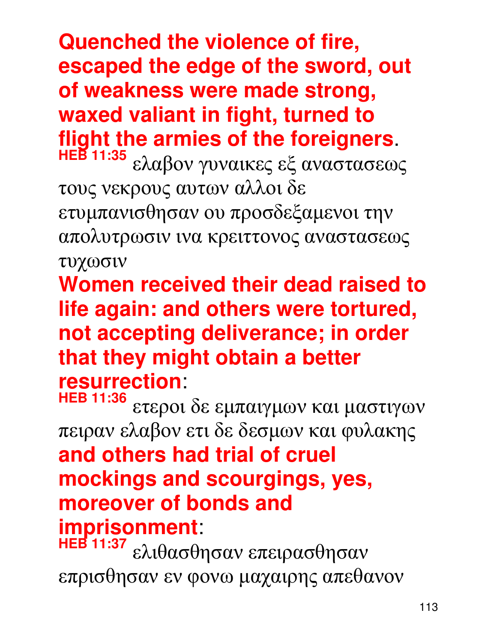**Quenched the violence of fire, escaped the edge of the sword, out of weakness were made strong, waxed valiant in fight, turned to flight the armies of the foreigners.**<br>HEB 11:35 along anyouses of avergances

**HEB 11:35** ελαβον γυναικες εξ αναστασεως τους νεκρους αυτων αλλοι δε ετυµπανισθησαν ου προσδεξαµενοι την απολυτρωσιν ινα κρειττονος αναστασεως τυχωσιν

**Women received their dead raised to life again: and others were tortured, not accepting deliverance; in order that they might obtain a better resurrection**:

**HEB 11:36** ετεροι δε εµπαιγµων και µαστιγων πειραν ελαβον ετι δε δεσµων και φυλακης **and others had trial of cruel mockings and scourgings, yes, moreover of bonds and imprisonment**:

**HEB 11:37** ελιθασθησαν επειρασθησαν επρισθησαν εν φονω µαχαιρης απεθανον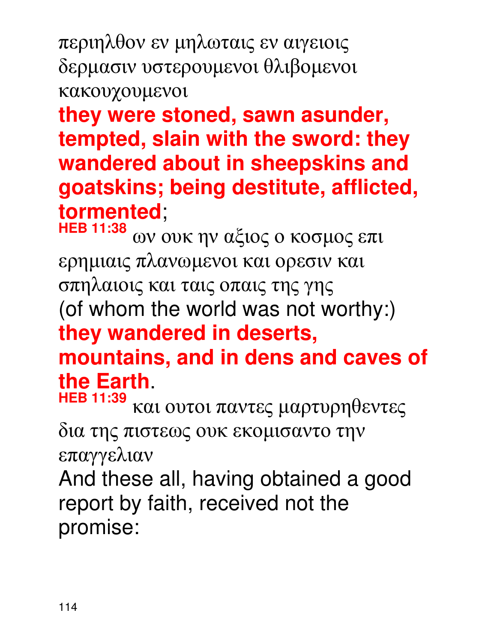περιηλθον εν µηλωταις εν αιγειοις δερµασιν υστερουµενοι θλιβοµενοι κακουχουµενοι

**they were stoned, sawn asunder, tempted, slain with the sword: they wandered about in sheepskins and goatskins; being destitute, afflicted, tormented**;

**HEB 11:38** ων ουκ ην αξιος ο κοσµος επι ερηµιαις πλανωµενοι και ορεσιν και σπηλαιοις και ταις οπαις της γης (of whom the world was not worthy:) **they wandered in deserts, mountains, and in dens and caves of the Earth**.

**HEB 11:39** και ουτοι παντες µαρτυρηθεντες δια της πιστεως ουκ εκοµισαντο την επαγγελιαν

And these all, having obtained a good report by faith, received not the promise: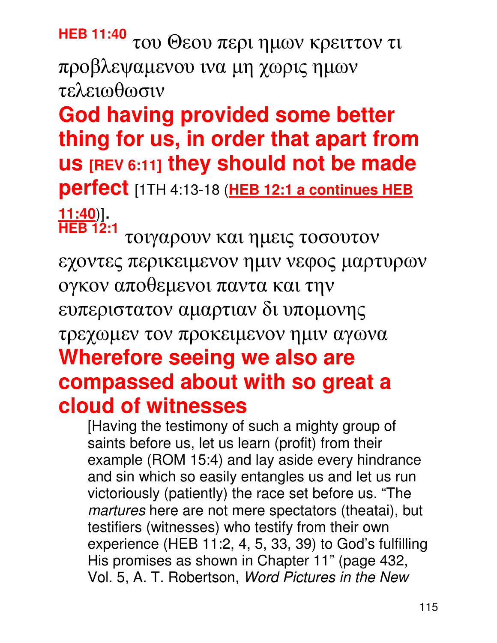### **HEB 11:40** του Θεου περι ηµων κρειττον τι προβλεψαµενου ινα µη χωρις ηµων

τελειωθωσιν **God having provided some better thing for us, in order that apart from us [REV 6:11] they should not be made perfect** [1TH 4:13-18 (**HEB 12:1 a continues HEB** 

**11:40**)]. **HEB 12:1**

τοιγαρουν και ηµεις τοσουτον εχοντες περικειµενον ηµιν νεφος µαρτυρων ογκον αποθεµενοι παντα και την ευπεριστατον αµαρτιαν δι υποµονης τρεχωµεν τον προκειµενον ηµιν αγωνα

#### **Wherefore seeing we also are compassed about with so great a cloud of witnesses**

[Having the testimony of such a mighty group of saints before us, let us learn (profit) from their example (ROM 15:4) and lay aside every hindrance and sin which so easily entangles us and let us run victoriously (patiently) the race set before us. "The martures here are not mere spectators (theatai), but testifiers (witnesses) who testify from their own experience (HEB 11:2, 4, 5, 33, 39) to God's fulfilling His promises as shown in Chapter 11" (page 432, Vol. 5, A. T. Robertson, Word Pictures in the New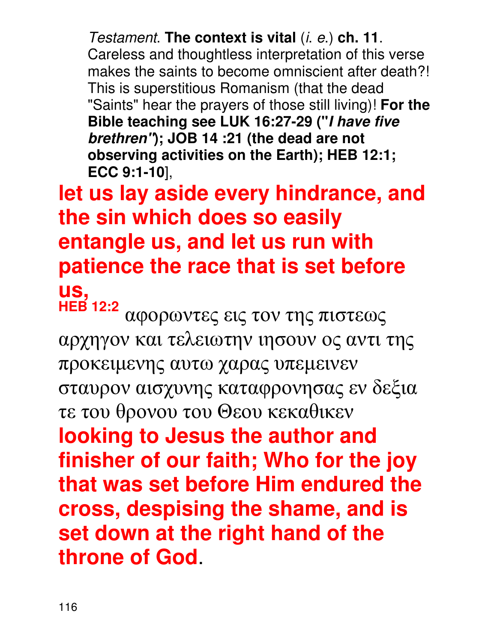Testament. **The context is vital** (i. e.) **ch. 11**. Careless and thoughtless interpretation of this verse makes the saints to become omniscient after death?! This is superstitious Romanism (that the dead "Saints" hear the prayers of those still living)! **For the Bible teaching see LUK 16:27-29 ("I have five brethren"); JOB 14 :21 (the dead are not observing activities on the Earth); HEB 12:1; ECC 9:1-10**],

#### **let us lay aside every hindrance, and the sin which does so easily entangle us, and let us run with patience the race that is set before us,**

**HEB 12:2** αφορωντες εις τον της πιστεως αρχηγον και τελειωτην ιησουν ος αντι της προκειµενης αυτω χαρας υπεµεινεν σταυρον αισχυνης καταφρονησας εν δεξια τε του θρονου του Θεου κεκαθικεν **looking to Jesus the author and finisher of our faith; Who for the joy that was set before Him endured the cross, despising the shame, and is set down at the right hand of the throne of God**.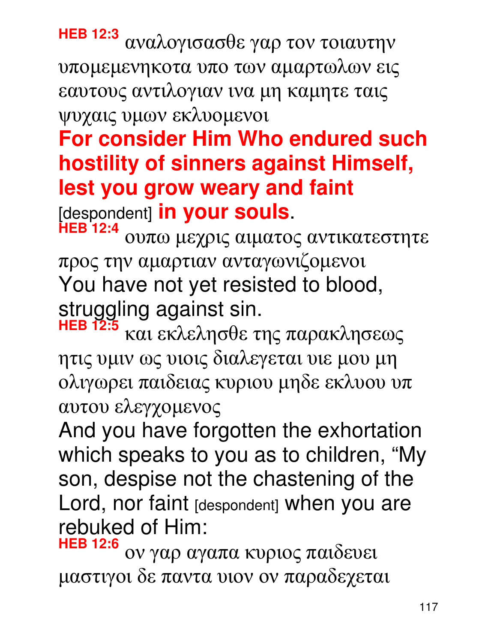**HEB 12:3** αναλογισασθε γαρ τον τοιαυτην υποµεµενηκοτα υπο των αµαρτωλων εις εαυτους αντιλογιαν ινα µη καµητε ταις

ψυχαις υµων εκλυοµενοι

### **For consider Him Who endured such hostility of sinners against Himself, lest you grow weary and faint**

[despondent] **in your souls**.

**HEB 12:4** ουπω µεχρις αιµατος αντικατεστητε προς την αµαρτιαν ανταγωνιζοµενοι You have not yet resisted to blood, struggling against sin.

**HEB 12:5** και εκλελησθε της παρακλησεως ητις υµιν ως υιοις διαλεγεται υιε µου µη ολιγωρει παιδειας κυριου µηδε εκλυου υπ αυτου ελεγχοµενος

And you have forgotten the exhortation which speaks to you as to children, "My son, despise not the chastening of the Lord, nor faint [despondent] when you are rebuked of Him:

**HEB 12:6** ον γαρ αγαπα κυριος παιδευει µαστιγοι δε παντα υιον ον παραδεχεται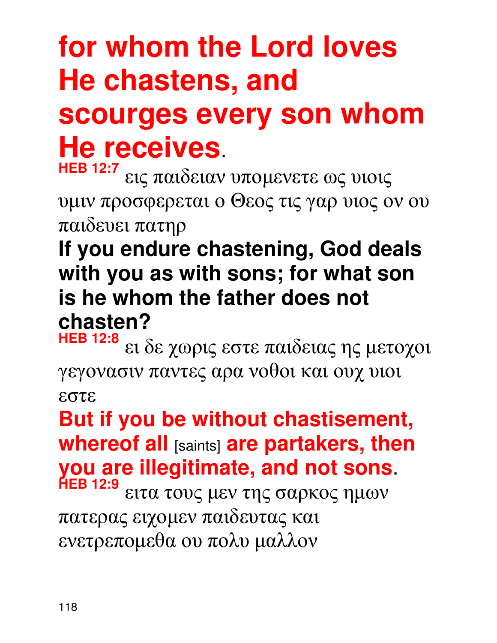### **for whom the Lord loves He chastens, and scourges every son whom He receives**. **HEB 12:7**

εις παιδειαν υποµενετε ως υιοις υµιν προσφερεται ο Θεος τις γαρ υιος ον ου παιδευει πατηρ

#### **If you endure chastening, God deals with you as with sons; for what son is he whom the father does not chasten?**

**HEB 12:8** ει δε χωρις εστε παιδειας ης µετοχοι γεγονασιν παντες αρα νοθοι και ουχ υιοι εστε

**But if you be without chastisement, whereof all** [saints] **are partakers, then you are illegitimate, and not sons**.

**HEB 12:9** ειτα τους µεν της σαρκος ηµων πατερας ειχοµεν παιδευτας και ενετρεποµεθα ου πολυ µαλλον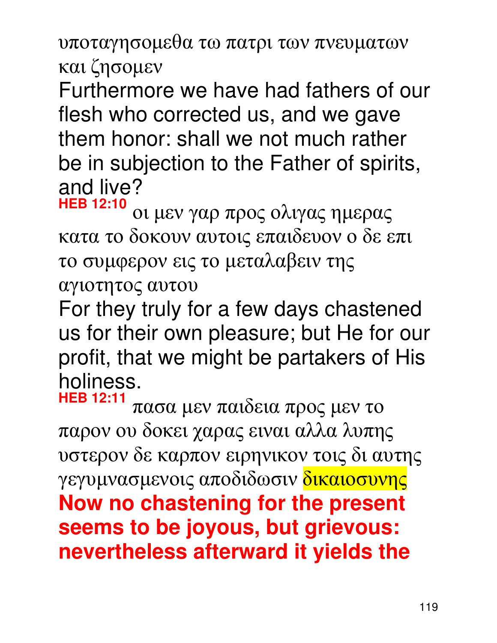υποταγησοµεθα τω πατρι των πνευµατων και ζησοµεν

Furthermore we have had fathers of our flesh who corrected us, and we gave them honor: shall we not much rather be in subjection to the Father of spirits, and live?

**HEB 12:10** οι µεν γαρ προς ολιγας ηµερας κατα το δοκουν αυτοις επαιδευον ο δε επι το συµφερον εις το µεταλαβειν της αγιοτητος αυτου

For they truly for a few days chastened us for their own pleasure; but He for our profit, that we might be partakers of His holiness.

**HEB 12:11** πασα µεν παιδεια προς µεν το παρον ου δοκει χαρας ειναι αλλα λυπης υστερον δε καρπον ειρηνικον τοις δι αυτης γεγυμνασμενοις αποδιδωσιν <mark>δικαιοσυνης</mark> **Now no chastening for the present seems to be joyous, but grievous: nevertheless afterward it yields the**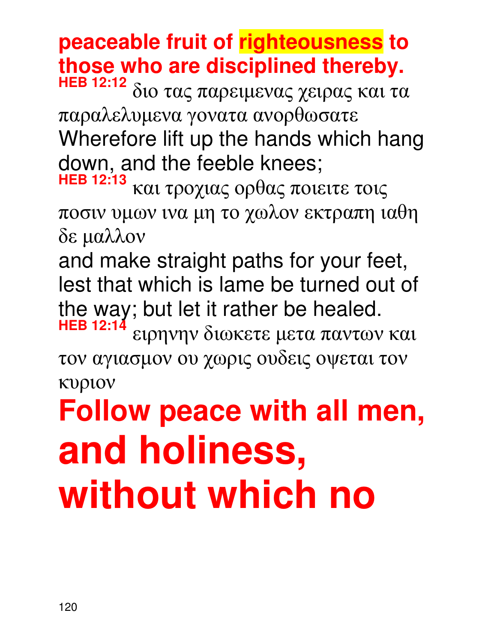#### **peaceable fruit of righteousness to those who are disciplined thereby.**

**HEB 12:12** διο τας παρειµενας χειρας και τα παραλελυµενα γονατα ανορθωσατε Wherefore lift up the hands which hang down, and the feeble knees;

**HEB 12:13** και τροχιας ορθας ποιειτε τοις ποσιν υµων ινα µη το χωλον εκτραπη ιαθη δε µαλλον

and make straight paths for your feet, lest that which is lame be turned out of the way; but let it rather be healed.

**HEB 12:14** ειρηνην διωκετε µετα παντων και τον αγιασµον ου χωρις ουδεις οψεται τον κυριον

# **Follow peace with all men, and holiness, without which no**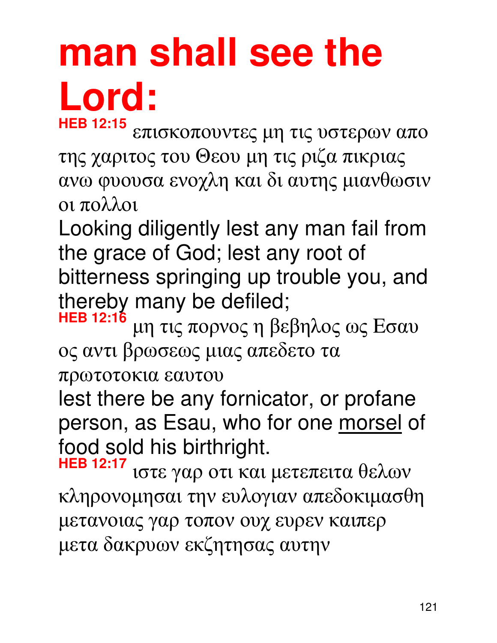# **man shall see the Lord:**

**HEB 12:15** επισκοπουντες µη τις υστερων απο της χαριτος του Θεου µη τις ριζα πικριας ανω φυουσα ενοχλη και δι αυτης µιανθωσιν οι πολλοι

Looking diligently lest any man fail from the grace of God; lest any root of bitterness springing up trouble you, and thereby many be defiled;

**HEB 12:16** µη τις πορνος η βεβηλος ως Eσαυ ος αντι βρωσεως µιας απεδετο τα

πρωτοτοκια εαυτου

lest there be any fornicator, or profane person, as Esau, who for one morsel of food sold his birthright.

**HEB 12:17** ιστε γαρ οτι και µετεπειτα θελων κληρονοµησαι την ευλογιαν απεδοκιµασθη µετανοιας γαρ τοπον ουχ ευρεν καιπερ µετα δακρυων εκζητησας αυτην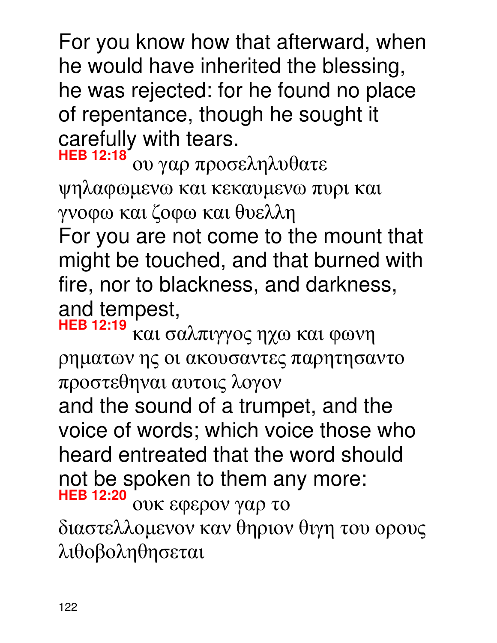For you know how that afterward, when he would have inherited the blessing, he was rejected: for he found no place of repentance, though he sought it carefully with tears.

**HEB 12:18** ου γαρ προσεληλυθατε ψηλαφωµενω και κεκαυµενω πυρι και γνοφω και ζοφω και θυελλη

For you are not come to the mount that might be touched, and that burned with fire, nor to blackness, and darkness, and tempest,

**HEB 12:19** και σαλπιγγος ηχω και φωνη ρηµατων ης οι ακουσαντες παρητησαντο προστεθηναι αυτοις λογον

and the sound of a trumpet, and the voice of words; which voice those who heard entreated that the word should not be spoken to them any more: **HEB 12:20**

ουκ εφερον γαρ το διαστελλοµενον καν θηριον θιγη του ορους λιθοβοληθησεται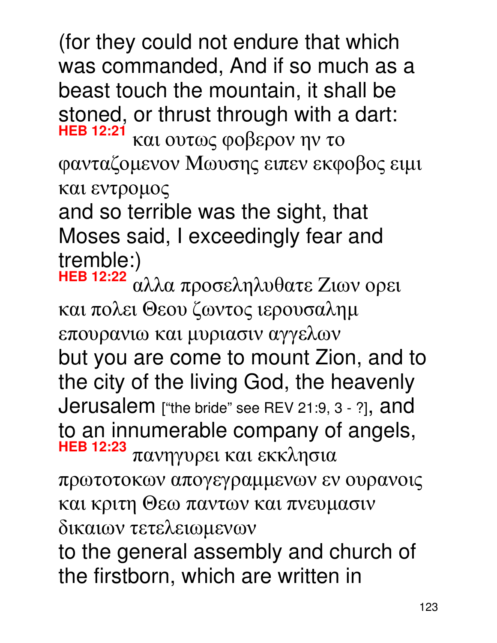(for they could not endure that which was commanded, And if so much as a beast touch the mountain, it shall be stoned, or thrust through with a dart: **HEB 12:21** και ουτως φοβερον ην το

φανταζοµενον Mωυσης ειπεν εκφοβος ειµι και εντροµος

and so terrible was the sight, that Moses said, I exceedingly fear and tremble:)<br>HEB 12:22

**HEB 12:22** αλλα προσεληλυθατε Zιων ορει και πολει Θεου ζωντος ιερουσαληµ επουρανιω και µυριασιν αγγελων but you are come to mount Zion, and to the city of the living God, the heavenly Jerusalem ["the bride" see REV 21:9, 3 - ?], and to an innumerable company of angels, **HEB 12:23** πανηγυρει και εκκλησια

πρωτοτοκων απογεγραµµενων εν ουρανοις και κριτη Θεω παντων και πνευµασιν δικαιων τετελειωµενων

to the general assembly and church of the firstborn, which are written in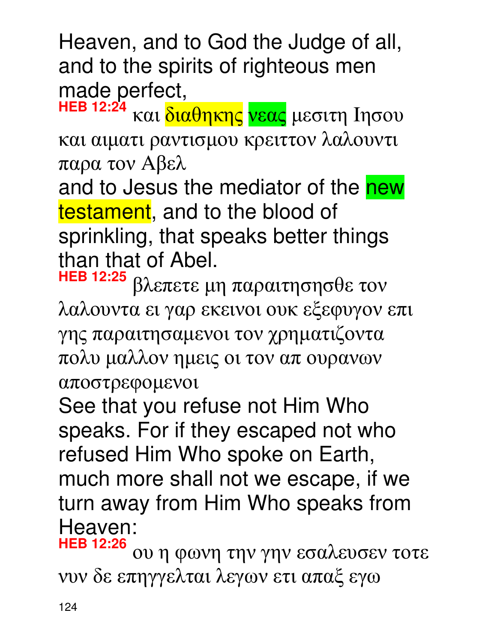Heaven, and to God the Judge of all, and to the spirits of righteous men made perfect,

**HEB 12:24** και <mark>διαθηκης νεας</mark> μεσιτη Ιησου και αιµατι ραντισµου κρειττον λαλουντι παρα τον Aβελ

and to Jesus the mediator of the new testament, and to the blood of sprinkling, that speaks better things than that of Abel.

**HEB 12:25** βλεπετε µη παραιτησησθε τον λαλουντα ει γαρ εκεινοι ουκ εξεφυγον επι γης παραιτησαµενοι τον χρηµατιζοντα πολυ µαλλον ηµεις οι τον απ ουρανων αποστρεφοµενοι

See that you refuse not Him Who speaks. For if they escaped not who refused Him Who spoke on Earth, much more shall not we escape, if we turn away from Him Who speaks from Heaven:

**HEB 12:26** ου η φωνη την γην εσαλευσεν τοτε νυν δε επηγγελται λεγων ετι απαξ εγω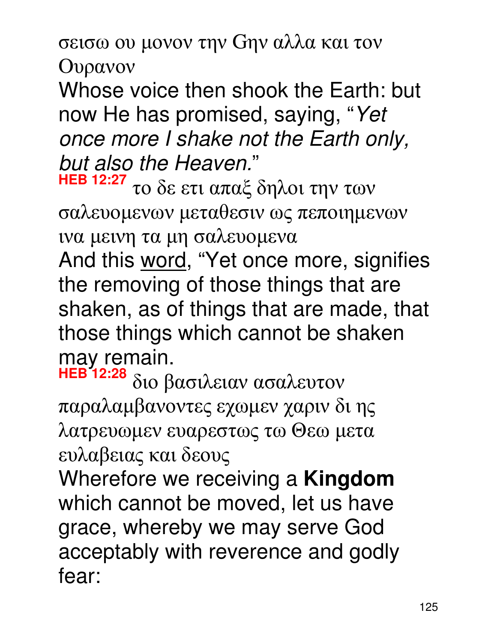σεισω ου µονον την Gην αλλα και τον

Oυρανον

Whose voice then shook the Earth: but now He has promised, saying, "Yet once more I shake not the Earth only, but also the Heaven."

**HEB 12:27** το δε ετι απαξ δηλοι την των σαλευοµενων µεταθεσιν ως πεποιηµενων ινα µεινη τα µη σαλευοµενα

And this word, "Yet once more, signifies the removing of those things that are shaken, as of things that are made, that those things which cannot be shaken may remain.

**HEB 12:28** διο βασιλειαν ασαλευτον παραλαµβανοντες εχωµεν χαριν δι ης λατρευωµεν ευαρεστως τω Θεω µετα ευλαβειας και δεους

Wherefore we receiving a **Kingdom** which cannot be moved, let us have grace, whereby we may serve God acceptably with reverence and godly fear: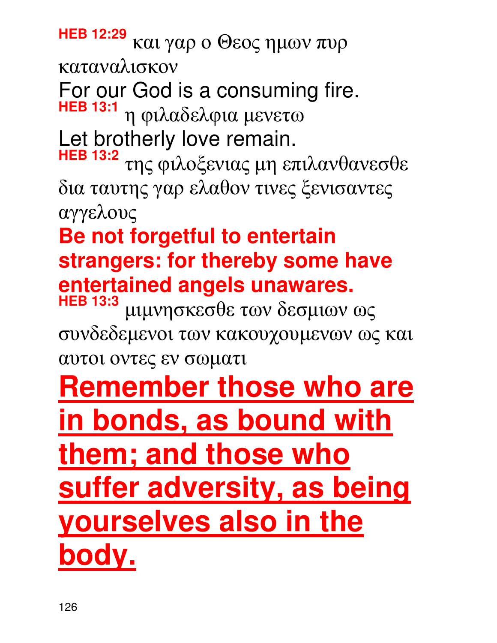**HEB 12:29** και γαρ ο Θεος ηµων πυρ καταναλισκον

For our God is a consuming fire. **HEB 13:1** η φιλαδελφια µενετω

Let brotherly love remain.

**HEB 13:2** της φιλοξενιας µη επιλανθανεσθε δια ταυτης γαρ ελαθον τινες ξενισαντες αγγελους

### **Be not forgetful to entertain strangers: for thereby some have entertained angels unawares.**

**HEB 13:3** µιµνησκεσθε των δεσµιων ως συνδεδεµενοι των κακουχουµενων ως και αυτοι οντες εν σωµατι

### **Remember those who are in bonds, as bound with them; and those who suffer adversity, as being yourselves also in the body.**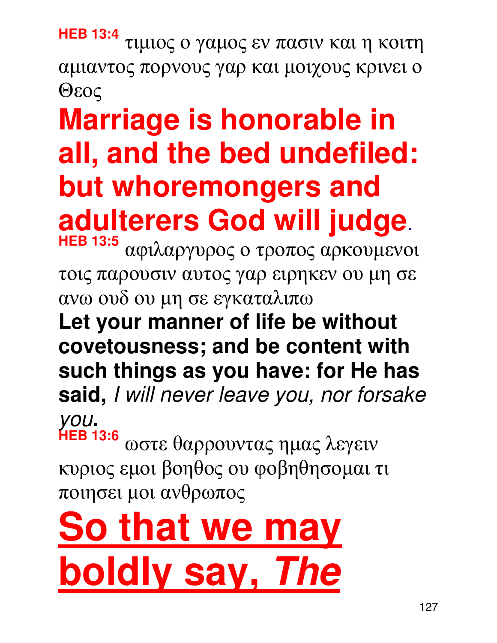**HEB 13:4** τιµιος ο γαµος εν πασιν και η κοιτη αµιαντος πορνους γαρ και µοιχους κρινει ο Θεος

## **Marriage is honorable in all, and the bed undefiled: but whoremongers and adulterers God will judge**.

**HEB 13:5** αφιλαργυρος ο τροπος αρκουµενοι τοις παρουσιν αυτος γαρ ειρηκεν ου µη σε ανω ουδ ου µη σε εγκαταλιπω

**Let your manner of life be without covetousness; and be content with such things as you have: for He has said,** I will never leave you, nor forsake you**.** 

**HEB 13:6** ωστε θαρρουντας ηµας λεγειν κυριος εµοι βοηθος ου φοβηθησοµαι τι ποιησει µοι ανθρωπος

# **So that we may boldly say, The**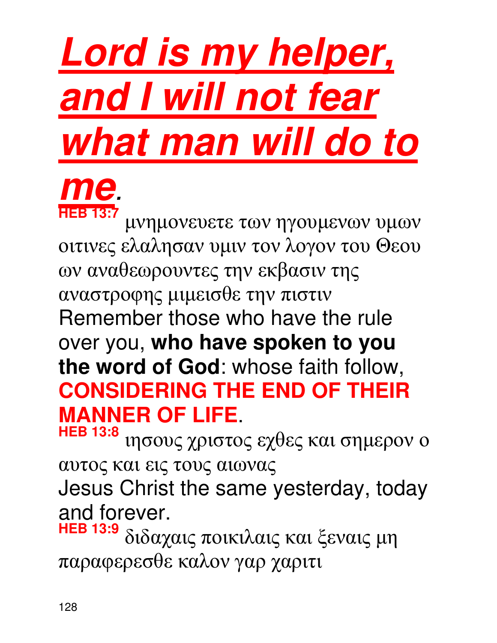# **Lord is my helper, and I will not fear what man will do to**



µνηµονευετε των ηγουµενων υµων οιτινες ελαλησαν υµιν τον λογον του Θεου ων αναθεωρουντες την εκβασιν της αναστροφης µιµεισθε την πιστιν Remember those who have the rule over you, **who have spoken to you the word of God**: whose faith follow, **CONSIDERING THE END OF THEIR MANNER OF LIFE**.

**HEB 13:8** ιησους χριστος εχθες και σηµερον ο αυτος και εις τους αιωνας Jesus Christ the same yesterday, today and forever.<br>HEB 13:9  $_{S_1S_0V_1}$ 

**HEB 13:9** διδαχαις ποικιλαις και ξεναις µη παραφερεσθε καλον γαρ χαριτι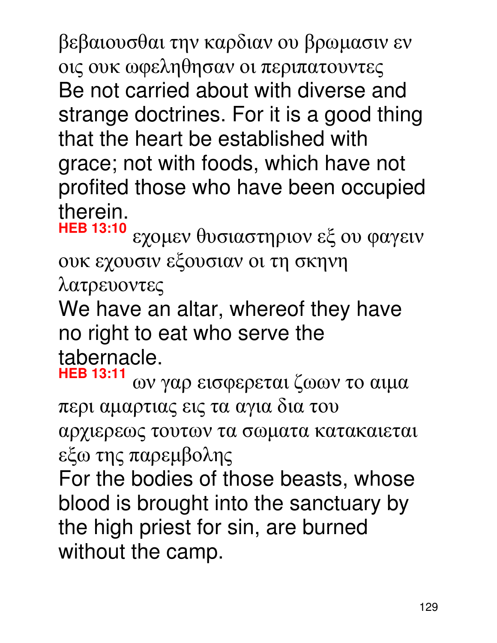βεβαιουσθαι την καρδιαν ου βρωµασιν εν οις ουκ ωφεληθησαν οι περιπατουντες Be not carried about with diverse and strange doctrines. For it is a good thing that the heart be established with grace; not with foods, which have not profited those who have been occupied therein.

**HEB 13:10** εχοµεν θυσιαστηριον εξ ου φαγειν ουκ εχουσιν εξουσιαν οι τη σκηνη λατρευοντες

We have an altar, whereof they have no right to eat who serve the tabernacle.

**HEB 13:11** ων γαρ εισφερεται ζωων το αιµα περι αµαρτιας εις τα αγια δια του αρχιερεως τουτων τα σωµατα κατακαιεται εξω της παρεµβολης

For the bodies of those beasts, whose blood is brought into the sanctuary by the high priest for sin, are burned without the camp.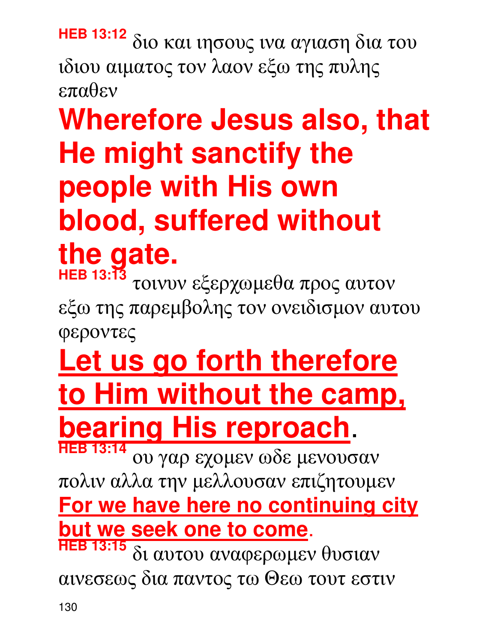**HEB 13:12** διο και ιησους ινα αγιαση δια του ιδιου αιµατος τον λαον εξω της πυλης επαθεν

## **Wherefore Jesus also, that He might sanctify the people with His own blood, suffered without the gate.**

**HEB 13:13** τοινυν εξερχωµεθα προς αυτον εξω της παρεµβολης τον ονειδισµον αυτου φεροντες

## **Let us go forth therefore to Him without the camp, bearing His reproach**.

**HEB 13:14** ου γαρ εχοµεν ωδε µενουσαν πολιν αλλα την µελλουσαν επιζητουµεν **For we have here no continuing city but we seek one to come**.

**HEB 13:15** δι αυτου αναφερωµεν θυσιαν αινεσεως δια παντος τω Θεω τουτ εστιν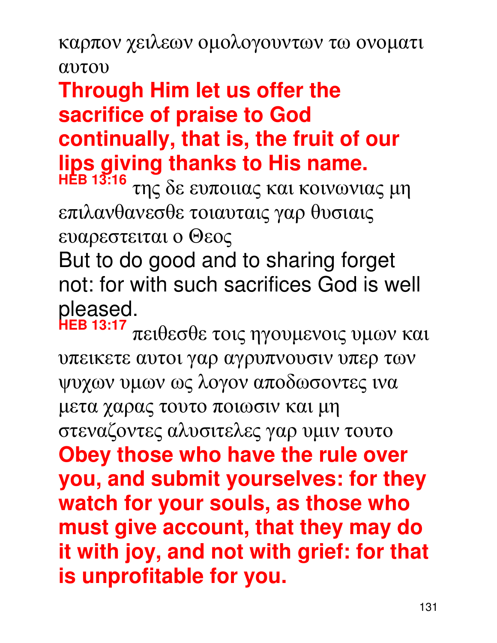καρπον χειλεων οµολογουντων τω ονοµατι αυτου

#### **Through Him let us offer the sacrifice of praise to God continually, that is, the fruit of our lips giving thanks to His name.**

**HEB 13:16** της δε ευποιιας και κοινωνιας µη επιλανθανεσθε τοιαυταις γαρ θυσιαις ευαρεστειται ο Θεος

But to do good and to sharing forget not: for with such sacrifices God is well pleased.<br>HEB 13:17

**HEB 13:17** πειθεσθε τοις ηγουµενοις υµων και υπεικετε αυτοι γαρ αγρυπνουσιν υπερ των ψυχων υµων ως λογον αποδωσοντες ινα µετα χαρας τουτο ποιωσιν και µη στεναζοντες αλυσιτελες γαρ υµιν τουτο **Obey those who have the rule over you, and submit yourselves: for they watch for your souls, as those who must give account, that they may do it with joy, and not with grief: for that is unprofitable for you.**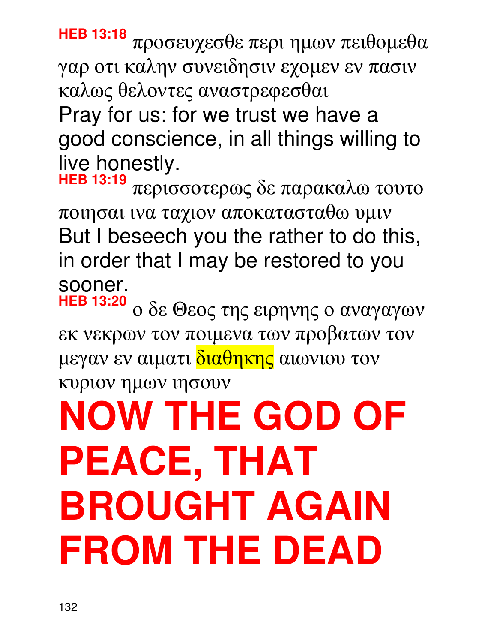# **NOW THE GOD OF PEACE, THAT BROUGHT AGAIN FROM THE DEAD**

**HEB 13:20** ο δε Θεος της ειρηνης ο αναγαγων εκ νεκρων τον ποιµενα των προβατων τον μεγαν εν αιματι διαθηκης αιωνιου τον κυριον ηµων ιησουν

**HEB 13:19** περισσοτερως δε παρακαλω τουτο ποιησαι ινα ταχιον αποκατασταθω υµιν But I beseech you the rather to do this, in order that I may be restored to you sooner.

**HEB 13:18** προσευχεσθε περι ηµων πειθοµεθα γαρ οτι καλην συνειδησιν εχοµεν εν πασιν καλως θελοντες αναστρεφεσθαι Pray for us: for we trust we have a good conscience, in all things willing to live honestly.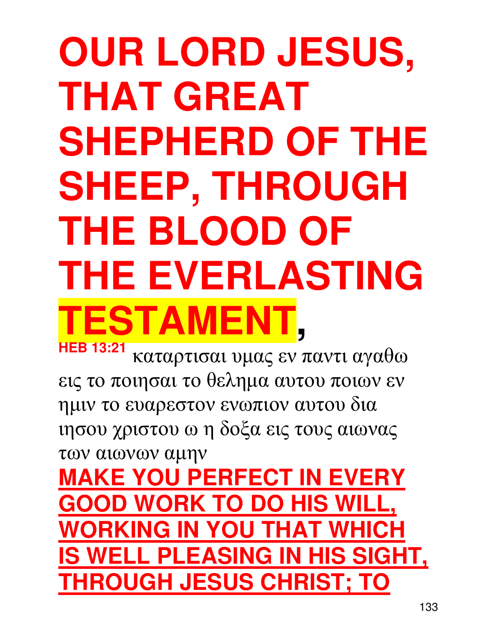## **OUR LORD JESUS, THAT GREAT SHEPHERD OF THE SHEEP, THROUGH THE BLOOD OF THE EVERLASTING TESTAMENT, HEB 13:21**

καταρτισαι υµας εν παντι αγαθω εις το ποιησαι το θεληµα αυτου ποιων εν ηµιν το ευαρεστον ενωπιον αυτου δια ιησου χριστου ω η δοξα εις τους αιωνας των αιωνων αµην

**MAKE YOU PERFECT IN EVERY GOOD WORK TO DO HIS WI WORKING IN YOU THAT WHICH IS WELL PLEASING IN HIS SIGHT, THROUGH JESUS CHRIST; TO**